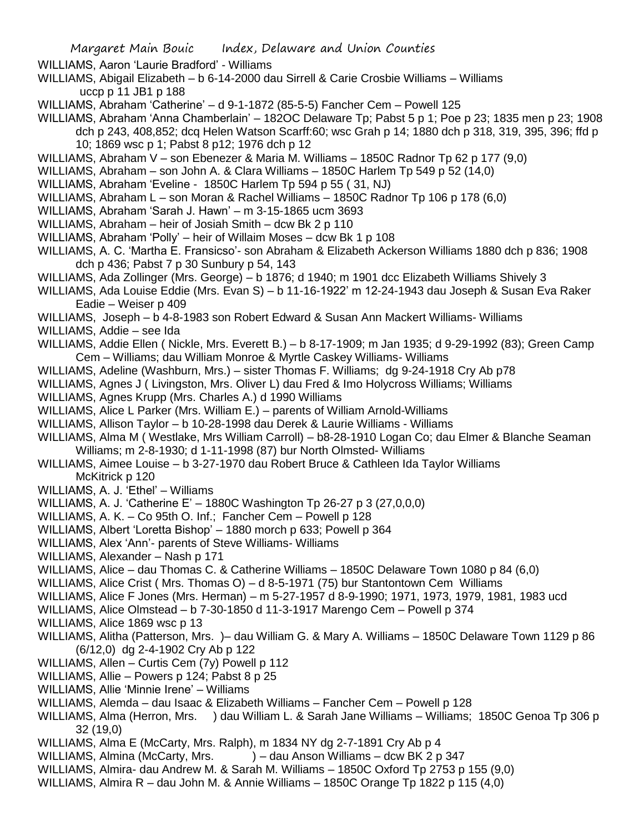WILLIAMS, Aaron 'Laurie Bradford' - Williams

- WILLIAMS, Abigail Elizabeth b 6-14-2000 dau Sirrell & Carie Crosbie Williams Williams uccp p 11 JB1 p 188
- WILLIAMS, Abraham 'Catherine' d 9-1-1872 (85-5-5) Fancher Cem Powell 125
- WILLIAMS, Abraham 'Anna Chamberlain' 182OC Delaware Tp; Pabst 5 p 1; Poe p 23; 1835 men p 23; 1908 dch p 243, 408,852; dcq Helen Watson Scarff:60; wsc Grah p 14; 1880 dch p 318, 319, 395, 396; ffd p
	- 10; 1869 wsc p 1; Pabst 8 p12; 1976 dch p 12
- WILLIAMS, Abraham V son Ebenezer & Maria M. Williams 1850C Radnor Tp 62 p 177 (9,0)
- WILLIAMS, Abraham son John A. & Clara Williams 1850C Harlem Tp 549 p 52 (14,0)
- WILLIAMS, Abraham 'Eveline 1850C Harlem Tp 594 p 55 ( 31, NJ)
- WILLIAMS, Abraham L son Moran & Rachel Williams 1850C Radnor Tp 106 p 178 (6,0)
- WILLIAMS, Abraham 'Sarah J. Hawn' m 3-15-1865 ucm 3693
- WILLIAMS, Abraham heir of Josiah Smith dcw Bk 2 p 110
- WILLIAMS, Abraham 'Polly' heir of Willaim Moses dcw Bk 1 p 108
- WILLIAMS, A. C. 'Martha E. Fransicso'- son Abraham & Elizabeth Ackerson Williams 1880 dch p 836; 1908 dch p 436; Pabst 7 p 30 Sunbury p 54, 143
- WILLIAMS, Ada Zollinger (Mrs. George) b 1876; d 1940; m 1901 dcc Elizabeth Williams Shively 3
- WILLIAMS, Ada Louise Eddie (Mrs. Evan S) b 11-16-1922' m 12-24-1943 dau Joseph & Susan Eva Raker Eadie – Weiser p 409
- WILLIAMS, Joseph b 4-8-1983 son Robert Edward & Susan Ann Mackert Williams- Williams
- WILLIAMS, Addie see Ida
- WILLIAMS, Addie Ellen ( Nickle, Mrs. Everett B.) b 8-17-1909; m Jan 1935; d 9-29-1992 (83); Green Camp Cem – Williams; dau William Monroe & Myrtle Caskey Williams- Williams
- WILLIAMS, Adeline (Washburn, Mrs.) sister Thomas F. Williams; dg 9-24-1918 Cry Ab p78
- WILLIAMS, Agnes J ( Livingston, Mrs. Oliver L) dau Fred & Imo Holycross Williams; Williams
- WILLIAMS, Agnes Krupp (Mrs. Charles A.) d 1990 Williams
- WILLIAMS, Alice L Parker (Mrs. William E.) parents of William Arnold-Williams
- WILLIAMS, Allison Taylor b 10-28-1998 dau Derek & Laurie Williams Williams
- WILLIAMS, Alma M ( Westlake, Mrs William Carroll) b8-28-1910 Logan Co; dau Elmer & Blanche Seaman Williams; m 2-8-1930; d 1-11-1998 (87) bur North Olmsted- Williams
- WILLIAMS, Aimee Louise b 3-27-1970 dau Robert Bruce & Cathleen Ida Taylor Williams McKitrick p 120
- WILLIAMS, A. J. 'Ethel' Williams
- WILLIAMS, A. J. 'Catherine E' 1880C Washington Tp 26-27 p 3 (27,0,0,0)
- WILLIAMS, A. K. Co 95th O. Inf.; Fancher Cem Powell p 128
- WILLIAMS, Albert 'Loretta Bishop' 1880 morch p 633; Powell p 364
- WILLIAMS, Alex 'Ann'- parents of Steve Williams- Williams
- WILLIAMS, Alexander Nash p 171
- WILLIAMS, Alice dau Thomas C. & Catherine Williams 1850C Delaware Town 1080 p 84 (6,0)
- WILLIAMS, Alice Crist ( Mrs. Thomas O) d 8-5-1971 (75) bur Stantontown Cem Williams
- WILLIAMS, Alice F Jones (Mrs. Herman) m 5-27-1957 d 8-9-1990; 1971, 1973, 1979, 1981, 1983 ucd
- WILLIAMS, Alice Olmstead b 7-30-1850 d 11-3-1917 Marengo Cem Powell p 374
- WILLIAMS, Alice 1869 wsc p 13
- WILLIAMS, Alitha (Patterson, Mrs. )– dau William G. & Mary A. Williams 1850C Delaware Town 1129 p 86 (6/12,0) dg 2-4-1902 Cry Ab p 122
- WILLIAMS, Allen Curtis Cem (7y) Powell p 112
- WILLIAMS, Allie Powers p 124; Pabst 8 p 25
- WILLIAMS, Allie 'Minnie Irene' Williams
- WILLIAMS, Alemda dau Isaac & Elizabeth Williams Fancher Cem Powell p 128
- WILLIAMS, Alma (Herron, Mrs. ) dau William L. & Sarah Jane Williams Williams; 1850C Genoa Tp 306 p 32 (19,0)
- WILLIAMS, Alma E (McCarty, Mrs. Ralph), m 1834 NY dg 2-7-1891 Cry Ab p 4
- WILLIAMS, Almina (McCarty, Mrs.  $\qquad -$  dau Anson Williams dcw BK 2 p 347
- WILLIAMS, Almira- dau Andrew M. & Sarah M. Williams 1850C Oxford Tp 2753 p 155 (9,0)
- WILLIAMS, Almira R dau John M. & Annie Williams 1850C Orange Tp 1822 p 115 (4,0)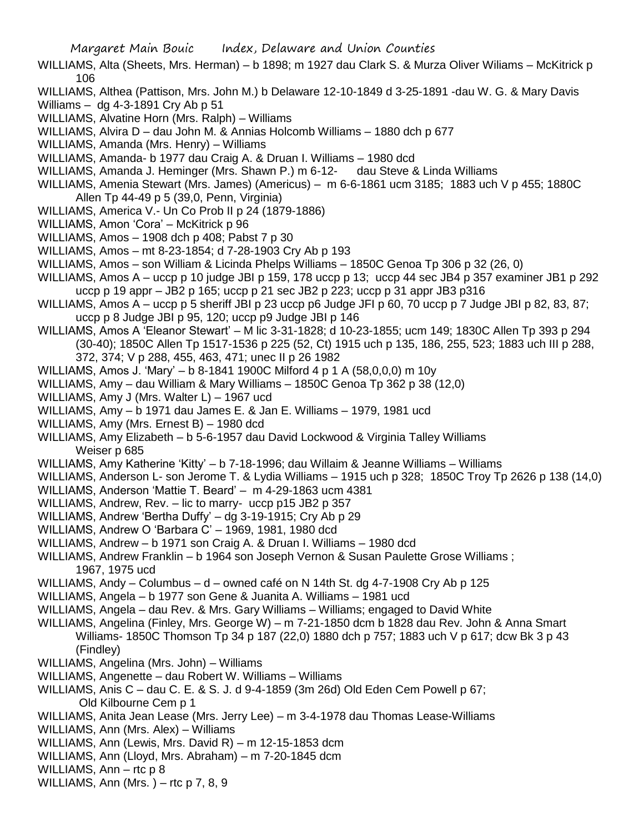Margaret Main Bouic Index, Delaware and Union Counties

- WILLIAMS, Alta (Sheets, Mrs. Herman) b 1898; m 1927 dau Clark S. & Murza Oliver Wiliams McKitrick p 106
- WILLIAMS, Althea (Pattison, Mrs. John M.) b Delaware 12-10-1849 d 3-25-1891 -dau W. G. & Mary Davis
- Williams dg 4-3-1891 Cry Ab p 51

WILLIAMS, Alvatine Horn (Mrs. Ralph) – Williams

WILLIAMS, Alvira D – dau John M. & Annias Holcomb Williams – 1880 dch p 677

- WILLIAMS, Amanda (Mrs. Henry) Williams
- WILLIAMS, Amanda- b 1977 dau Craig A. & Druan I. Williams 1980 dcd
- WILLIAMS, Amanda J. Heminger (Mrs. Shawn P.) m 6-12- dau Steve & Linda Williams
- WILLIAMS, Amenia Stewart (Mrs. James) (Americus) m 6-6-1861 ucm 3185; 1883 uch V p 455; 1880C Allen Tp 44-49 p 5 (39,0, Penn, Virginia)
- WILLIAMS, America V.- Un Co Prob II p 24 (1879-1886)
- WILLIAMS, Amon 'Cora' McKitrick p 96
- WILLIAMS, Amos 1908 dch p 408; Pabst 7 p 30
- WILLIAMS, Amos mt 8-23-1854; d 7-28-1903 Cry Ab p 193
- WILLIAMS, Amos son William & Licinda Phelps Williams 1850C Genoa Tp 306 p 32 (26, 0)
- WILLIAMS, Amos A uccp p 10 judge JBI p 159, 178 uccp p 13; uccp 44 sec JB4 p 357 examiner JB1 p 292 uccp p 19 appr – JB2 p 165; uccp p 21 sec JB2 p 223; uccp p 31 appr JB3 p316
- WILLIAMS, Amos A uccp p 5 sheriff JBI p 23 uccp p6 Judge JFI p 60, 70 uccp p 7 Judge JBI p 82, 83, 87; uccp p 8 Judge JBI p 95, 120; uccp p9 Judge JBI p 146
- WILLIAMS, Amos A 'Eleanor Stewart' M lic 3-31-1828; d 10-23-1855; ucm 149; 1830C Allen Tp 393 p 294 (30-40); 1850C Allen Tp 1517-1536 p 225 (52, Ct) 1915 uch p 135, 186, 255, 523; 1883 uch III p 288,
	- 372, 374; V p 288, 455, 463, 471; unec II p 26 1982
- WILLIAMS, Amos J. 'Mary' b 8-1841 1900C Milford 4 p 1 A (58,0,0,0) m 10y
- WILLIAMS, Amy dau William & Mary Williams 1850C Genoa Tp 362 p 38 (12,0)
- WILLIAMS, Amy J (Mrs. Walter L) 1967 ucd
- WILLIAMS, Amy b 1971 dau James E. & Jan E. Williams 1979, 1981 ucd
- WILLIAMS, Amy (Mrs. Ernest B) 1980 dcd
- WILLIAMS, Amy Elizabeth b 5-6-1957 dau David Lockwood & Virginia Talley Williams Weiser p 685
- WILLIAMS, Amy Katherine 'Kitty' b 7-18-1996; dau Willaim & Jeanne Williams Williams
- WILLIAMS, Anderson L- son Jerome T. & Lydia Williams 1915 uch p 328; 1850C Troy Tp 2626 p 138 (14,0)
- WILLIAMS, Anderson 'Mattie T. Beard' m 4-29-1863 ucm 4381
- WILLIAMS, Andrew, Rev. lic to marry- uccp p15 JB2 p 357
- WILLIAMS, Andrew 'Bertha Duffy' dg 3-19-1915; Cry Ab p 29
- WILLIAMS, Andrew O 'Barbara C' 1969, 1981, 1980 dcd
- WILLIAMS, Andrew b 1971 son Craig A. & Druan I. Williams 1980 dcd
- WILLIAMS, Andrew Franklin b 1964 son Joseph Vernon & Susan Paulette Grose Williams ; 1967, 1975 ucd
- WILLIAMS, Andy Columbus d owned café on N 14th St. dg 4-7-1908 Cry Ab p 125
- WILLIAMS, Angela b 1977 son Gene & Juanita A. Williams 1981 ucd
- WILLIAMS, Angela dau Rev. & Mrs. Gary Williams Williams; engaged to David White
- WILLIAMS, Angelina (Finley, Mrs. George W) m 7-21-1850 dcm b 1828 dau Rev. John & Anna Smart Williams- 1850C Thomson Tp 34 p 187 (22,0) 1880 dch p 757; 1883 uch V p 617; dcw Bk 3 p 43 (Findley)
- WILLIAMS, Angelina (Mrs. John) Williams
- WILLIAMS, Angenette dau Robert W. Williams Williams
- WILLIAMS, Anis C dau C. E. & S. J. d 9-4-1859 (3m 26d) Old Eden Cem Powell p 67; Old Kilbourne Cem p 1
- 
- WILLIAMS, Anita Jean Lease (Mrs. Jerry Lee) m 3-4-1978 dau Thomas Lease-Williams
- WILLIAMS, Ann (Mrs. Alex) Williams
- WILLIAMS, Ann (Lewis, Mrs. David R) m 12-15-1853 dcm
- WILLIAMS, Ann (Lloyd, Mrs. Abraham) m 7-20-1845 dcm
- WILLIAMS, Ann rtc p 8
- WILLIAMS, Ann (Mrs.) rtc  $p$  7, 8, 9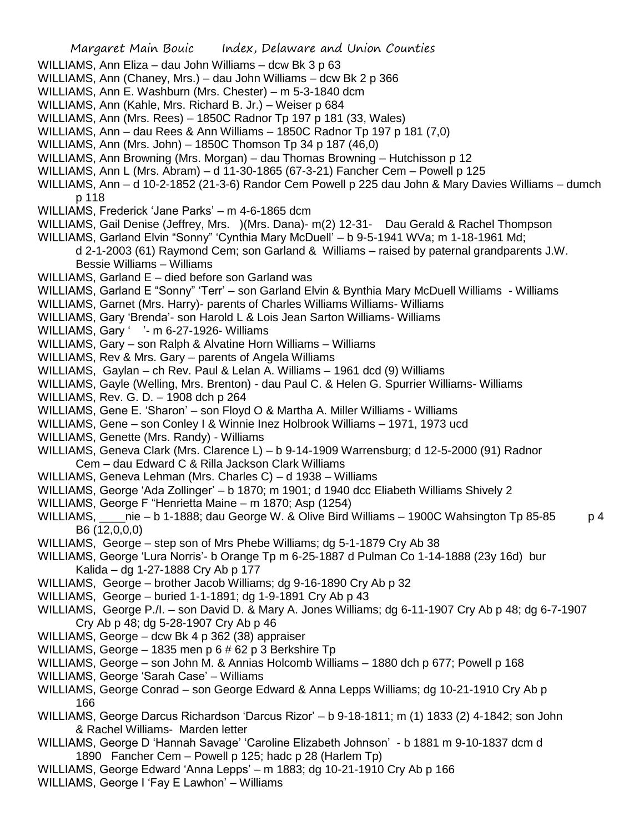Margaret Main Bouic Index, Delaware and Union Counties WILLIAMS, Ann Eliza – dau John Williams – dcw Bk 3 p 63 WILLIAMS, Ann (Chaney, Mrs.) – dau John Williams – dcw Bk 2 p 366 WILLIAMS, Ann E. Washburn (Mrs. Chester) – m 5-3-1840 dcm WILLIAMS, Ann (Kahle, Mrs. Richard B. Jr.) – Weiser p 684 WILLIAMS, Ann (Mrs. Rees) – 1850C Radnor Tp 197 p 181 (33, Wales) WILLIAMS, Ann – dau Rees & Ann Williams – 1850C Radnor Tp 197 p 181 (7,0) WILLIAMS, Ann (Mrs. John) – 1850C Thomson Tp 34 p 187 (46,0) WILLIAMS, Ann Browning (Mrs. Morgan) – dau Thomas Browning – Hutchisson p 12 WILLIAMS, Ann L (Mrs. Abram) – d 11-30-1865 (67-3-21) Fancher Cem – Powell p 125 WILLIAMS, Ann – d 10-2-1852 (21-3-6) Randor Cem Powell p 225 dau John & Mary Davies Williams – dumch p 118 WILLIAMS, Frederick 'Jane Parks' – m 4-6-1865 dcm WILLIAMS, Gail Denise (Jeffrey, Mrs. )(Mrs. Dana)- m(2) 12-31- Dau Gerald & Rachel Thompson WILLIAMS, Garland Elvin "Sonny" 'Cynthia Mary McDuell' – b 9-5-1941 WVa; m 1-18-1961 Md; d 2-1-2003 (61) Raymond Cem; son Garland & Williams – raised by paternal grandparents J.W. Bessie Williams – Williams WILLIAMS, Garland E – died before son Garland was WILLIAMS, Garland E "Sonny" 'Terr' – son Garland Elvin & Bynthia Mary McDuell Williams - Williams WILLIAMS, Garnet (Mrs. Harry)- parents of Charles Williams Williams- Williams WILLIAMS, Gary 'Brenda'- son Harold L & Lois Jean Sarton Williams- Williams WILLIAMS, Gary ' '- m 6-27-1926- Williams WILLIAMS, Gary – son Ralph & Alvatine Horn Williams – Williams WILLIAMS, Rev & Mrs. Gary – parents of Angela Williams WILLIAMS, Gaylan – ch Rev. Paul & Lelan A. Williams – 1961 dcd (9) Williams WILLIAMS, Gayle (Welling, Mrs. Brenton) - dau Paul C. & Helen G. Spurrier Williams- Williams WILLIAMS, Rev. G. D. – 1908 dch p 264 WILLIAMS, Gene E. 'Sharon' – son Floyd O & Martha A. Miller Williams - Williams WILLIAMS, Gene – son Conley I & Winnie Inez Holbrook Williams – 1971, 1973 ucd WILLIAMS, Genette (Mrs. Randy) - Williams WILLIAMS, Geneva Clark (Mrs. Clarence L) – b 9-14-1909 Warrensburg; d 12-5-2000 (91) Radnor Cem – dau Edward C & Rilla Jackson Clark Williams WILLIAMS, Geneva Lehman (Mrs. Charles C) – d 1938 – Williams WILLIAMS, George 'Ada Zollinger' – b 1870; m 1901; d 1940 dcc Eliabeth Williams Shively 2 WILLIAMS, George F "Henrietta Maine – m 1870; Asp (1254) WILLIAMS, nie – b 1-1888; dau George W. & Olive Bird Williams – 1900C Wahsington Tp 85-85 p 4 B6 (12,0,0,0) WILLIAMS, George – step son of Mrs Phebe Williams; dg 5-1-1879 Cry Ab 38 WILLIAMS, George 'Lura Norris'- b Orange Tp m 6-25-1887 d Pulman Co 1-14-1888 (23y 16d) bur Kalida – dg 1-27-1888 Cry Ab p 177 WILLIAMS, George – brother Jacob Williams; dg 9-16-1890 Cry Ab p 32 WILLIAMS, George – buried 1-1-1891; dg 1-9-1891 Cry Ab p 43 WILLIAMS, George P./I. – son David D. & Mary A. Jones Williams; dg 6-11-1907 Cry Ab p 48; dg 6-7-1907 Cry Ab p 48; dg 5-28-1907 Cry Ab p 46 WILLIAMS, George – dcw Bk 4 p 362 (38) appraiser WILLIAMS, George – 1835 men p 6 # 62 p 3 Berkshire Tp WILLIAMS, George – son John M. & Annias Holcomb Williams – 1880 dch p 677; Powell p 168 WILLIAMS, George 'Sarah Case' – Williams WILLIAMS, George Conrad – son George Edward & Anna Lepps Williams; dg 10-21-1910 Cry Ab p 166 WILLIAMS, George Darcus Richardson 'Darcus Rizor' – b 9-18-1811; m (1) 1833 (2) 4-1842; son John & Rachel Williams- Marden letter WILLIAMS, George D 'Hannah Savage' 'Caroline Elizabeth Johnson' - b 1881 m 9-10-1837 dcm d 1890 Fancher Cem – Powell p 125; hadc p 28 (Harlem Tp) WILLIAMS, George Edward 'Anna Lepps' – m 1883; dg 10-21-1910 Cry Ab p 166 WILLIAMS, George I 'Fay E Lawhon' – Williams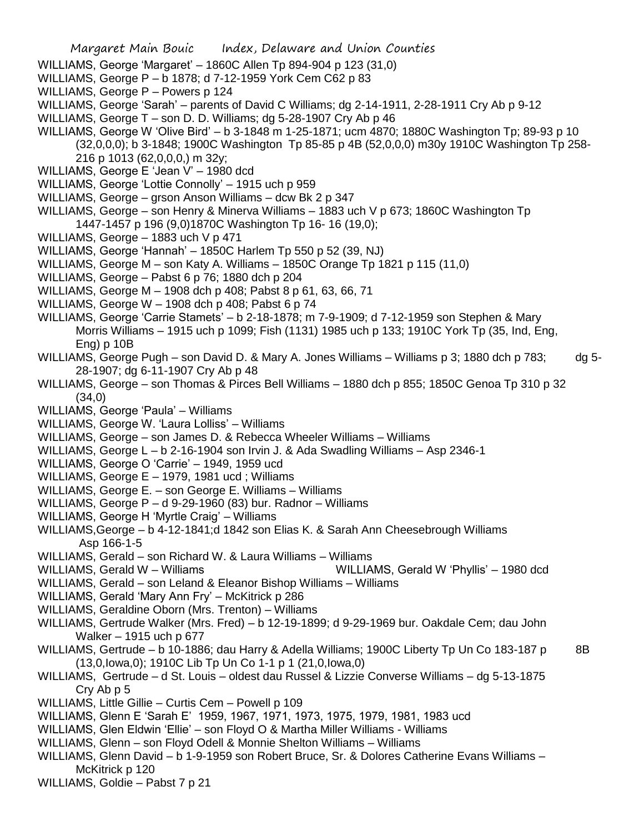Margaret Main Bouic Index, Delaware and Union Counties WILLIAMS, George 'Margaret' – 1860C Allen Tp 894-904 p 123 (31,0) WILLIAMS, George P – b 1878; d 7-12-1959 York Cem C62 p 83 WILLIAMS, George P – Powers p 124 WILLIAMS, George 'Sarah' – parents of David C Williams; dg 2-14-1911, 2-28-1911 Cry Ab p 9-12 WILLIAMS, George T – son D. D. Williams; dg 5-28-1907 Cry Ab p 46 WILLIAMS, George W 'Olive Bird' – b 3-1848 m 1-25-1871; ucm 4870; 1880C Washington Tp; 89-93 p 10 (32,0,0,0); b 3-1848; 1900C Washington Tp 85-85 p 4B (52,0,0,0) m30y 1910C Washington Tp 258- 216 p 1013 (62,0,0,0,) m 32y; WILLIAMS, George E 'Jean V' – 1980 dcd WILLIAMS, George 'Lottie Connolly' – 1915 uch p 959 WILLIAMS, George – grson Anson Williams – dcw Bk 2 p 347 WILLIAMS, George – son Henry & Minerva Williams – 1883 uch V p 673; 1860C Washington Tp 1447-1457 p 196 (9,0)1870C Washington Tp 16- 16 (19,0); WILLIAMS, George – 1883 uch V p 471 WILLIAMS, George 'Hannah' – 1850C Harlem Tp 550 p 52 (39, NJ) WILLIAMS, George M – son Katy A. Williams – 1850C Orange Tp 1821 p 115 (11,0) WILLIAMS, George – Pabst 6 p 76; 1880 dch p 204 WILLIAMS, George M – 1908 dch p 408; Pabst 8 p 61, 63, 66, 71 WILLIAMS, George W – 1908 dch p 408; Pabst 6 p 74 WILLIAMS, George 'Carrie Stamets' – b 2-18-1878; m 7-9-1909; d 7-12-1959 son Stephen & Mary Morris Williams – 1915 uch p 1099; Fish (1131) 1985 uch p 133; 1910C York Tp (35, Ind, Eng, Eng) p 10B WILLIAMS, George Pugh – son David D. & Mary A. Jones Williams – Williams p 3; 1880 dch p 783; dg 5- 28-1907; dg 6-11-1907 Cry Ab p 48 WILLIAMS, George – son Thomas & Pirces Bell Williams – 1880 dch p 855; 1850C Genoa Tp 310 p 32 (34,0) WILLIAMS, George 'Paula' – Williams WILLIAMS, George W. 'Laura Lolliss' – Williams WILLIAMS, George – son James D. & Rebecca Wheeler Williams – Williams WILLIAMS, George L – b 2-16-1904 son Irvin J. & Ada Swadling Williams – Asp 2346-1 WILLIAMS, George O 'Carrie' – 1949, 1959 ucd WILLIAMS, George E – 1979, 1981 ucd ; Williams WILLIAMS, George E. – son George E. Williams – Williams WILLIAMS, George P – d 9-29-1960 (83) bur. Radnor – Williams WILLIAMS, George H 'Myrtle Craig' – Williams WILLIAMS,George – b 4-12-1841;d 1842 son Elias K. & Sarah Ann Cheesebrough Williams Asp 166-1-5 WILLIAMS, Gerald – son Richard W. & Laura Williams – Williams WILLIAMS, Gerald W – Williams WILLIAMS, Gerald W 'Phyllis' – 1980 dcd WILLIAMS, Gerald – son Leland & Eleanor Bishop Williams – Williams WILLIAMS, Gerald 'Mary Ann Fry' – McKitrick p 286 WILLIAMS, Geraldine Oborn (Mrs. Trenton) – Williams WILLIAMS, Gertrude Walker (Mrs. Fred) – b 12-19-1899; d 9-29-1969 bur. Oakdale Cem; dau John Walker – 1915 uch p 677 WILLIAMS, Gertrude – b 10-1886; dau Harry & Adella Williams; 1900C Liberty Tp Un Co 183-187 p 8B (13,0,Iowa,0); 1910C Lib Tp Un Co 1-1 p 1 (21,0,Iowa,0) WILLIAMS, Gertrude – d St. Louis – oldest dau Russel & Lizzie Converse Williams – dg 5-13-1875 Cry Ab p 5 WILLIAMS, Little Gillie – Curtis Cem – Powell p 109 WILLIAMS, Glenn E 'Sarah E' 1959, 1967, 1971, 1973, 1975, 1979, 1981, 1983 ucd WILLIAMS, Glen Eldwin 'Ellie' – son Floyd O & Martha Miller Williams - Williams WILLIAMS, Glenn – son Floyd Odell & Monnie Shelton Williams – Williams WILLIAMS, Glenn David – b 1-9-1959 son Robert Bruce, Sr. & Dolores Catherine Evans Williams – McKitrick p 120 WILLIAMS, Goldie – Pabst 7 p 21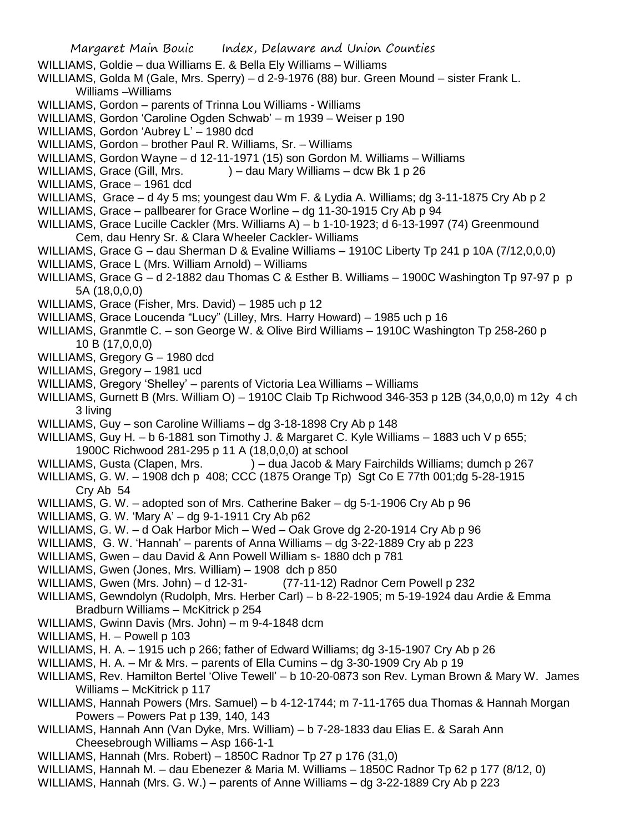- Margaret Main Bouic Index, Delaware and Union Counties WILLIAMS, Goldie – dua Williams E. & Bella Ely Williams – Williams WILLIAMS, Golda M (Gale, Mrs. Sperry) – d 2-9-1976 (88) bur. Green Mound – sister Frank L. Williams –Williams WILLIAMS, Gordon – parents of Trinna Lou Williams - Williams WILLIAMS, Gordon 'Caroline Ogden Schwab' – m 1939 – Weiser p 190 WILLIAMS, Gordon 'Aubrey L' – 1980 dcd WILLIAMS, Gordon – brother Paul R. Williams, Sr. – Williams WILLIAMS, Gordon Wayne – d 12-11-1971 (15) son Gordon M. Williams – Williams WILLIAMS, Grace (Gill, Mrs. ) – dau Mary Williams – dcw Bk 1 p 26 WILLIAMS, Grace – 1961 dcd WILLIAMS, Grace – d 4y 5 ms; youngest dau Wm F. & Lydia A. Williams; dg 3-11-1875 Cry Ab p 2 WILLIAMS, Grace – pallbearer for Grace Worline – dg 11-30-1915 Cry Ab p 94 WILLIAMS, Grace Lucille Cackler (Mrs. Williams A) – b 1-10-1923; d 6-13-1997 (74) Greenmound Cem, dau Henry Sr. & Clara Wheeler Cackler- Williams WILLIAMS, Grace G – dau Sherman D & Evaline Williams – 1910C Liberty Tp 241 p 10A (7/12,0,0,0) WILLIAMS, Grace L (Mrs. William Arnold) – Williams WILLIAMS, Grace G - d 2-1882 dau Thomas C & Esther B. Williams - 1900C Washington Tp 97-97 p p 5A (18,0,0,0) WILLIAMS, Grace (Fisher, Mrs. David) – 1985 uch p 12 WILLIAMS, Grace Loucenda "Lucy" (Lilley, Mrs. Harry Howard) – 1985 uch p 16 WILLIAMS, Granmtle C. – son George W. & Olive Bird Williams – 1910C Washington Tp 258-260 p 10 B (17,0,0,0) WILLIAMS, Gregory G – 1980 dcd WILLIAMS, Gregory – 1981 ucd WILLIAMS, Gregory 'Shelley' – parents of Victoria Lea Williams – Williams WILLIAMS, Gurnett B (Mrs. William O) – 1910C Claib Tp Richwood 346-353 p 12B (34,0,0,0) m 12y 4 ch 3 living WILLIAMS, Guy – son Caroline Williams – dg 3-18-1898 Cry Ab p 148 WILLIAMS, Guy H. – b 6-1881 son Timothy J. & Margaret C. Kyle Williams – 1883 uch V p 655; 1900C Richwood 281-295 p 11 A (18,0,0,0) at school WILLIAMS, Gusta (Clapen, Mrs. ) – dua Jacob & Mary Fairchilds Williams; dumch p 267 WILLIAMS, G. W. – 1908 dch p 408; CCC (1875 Orange Tp) Sgt Co E 77th 001;dg 5-28-1915 Cry Ab 54 WILLIAMS, G. W. – adopted son of Mrs. Catherine Baker – dg 5-1-1906 Cry Ab p 96 WILLIAMS, G. W. 'Mary A' – dg 9-1-1911 Cry Ab p62 WILLIAMS, G. W. – d Oak Harbor Mich – Wed – Oak Grove dg 2-20-1914 Cry Ab p 96 WILLIAMS, G. W. 'Hannah' – parents of Anna Williams – dg 3-22-1889 Cry ab p 223 WILLIAMS, Gwen – dau David & Ann Powell William s- 1880 dch p 781 WILLIAMS, Gwen (Jones, Mrs. William) – 1908 dch p 850 WILLIAMS, Gwen (Mrs. John) – d 12-31- (77-11-12) Radnor Cem Powell p 232 WILLIAMS, Gewndolyn (Rudolph, Mrs. Herber Carl) – b 8-22-1905; m 5-19-1924 dau Ardie & Emma Bradburn Williams – McKitrick p 254 WILLIAMS, Gwinn Davis (Mrs. John) – m 9-4-1848 dcm WILLIAMS, H. – Powell p 103 WILLIAMS, H. A. – 1915 uch p 266; father of Edward Williams; dg 3-15-1907 Cry Ab p 26 WILLIAMS, H. A. – Mr & Mrs. – parents of Ella Cumins – dg 3-30-1909 Cry Ab p 19 WILLIAMS, Rev. Hamilton Bertel 'Olive Tewell' – b 10-20-0873 son Rev. Lyman Brown & Mary W. James Williams – McKitrick p 117 WILLIAMS, Hannah Powers (Mrs. Samuel) – b 4-12-1744; m 7-11-1765 dua Thomas & Hannah Morgan Powers – Powers Pat p 139, 140, 143
	- WILLIAMS, Hannah Ann (Van Dyke, Mrs. William) b 7-28-1833 dau Elias E. & Sarah Ann Cheesebrough Williams – Asp 166-1-1
	- WILLIAMS, Hannah (Mrs. Robert) 1850C Radnor Tp 27 p 176 (31,0)
	- WILLIAMS, Hannah M. dau Ebenezer & Maria M. Williams 1850C Radnor Tp 62 p 177 (8/12, 0)
	- WILLIAMS, Hannah (Mrs. G. W.) parents of Anne Williams dg 3-22-1889 Cry Ab p 223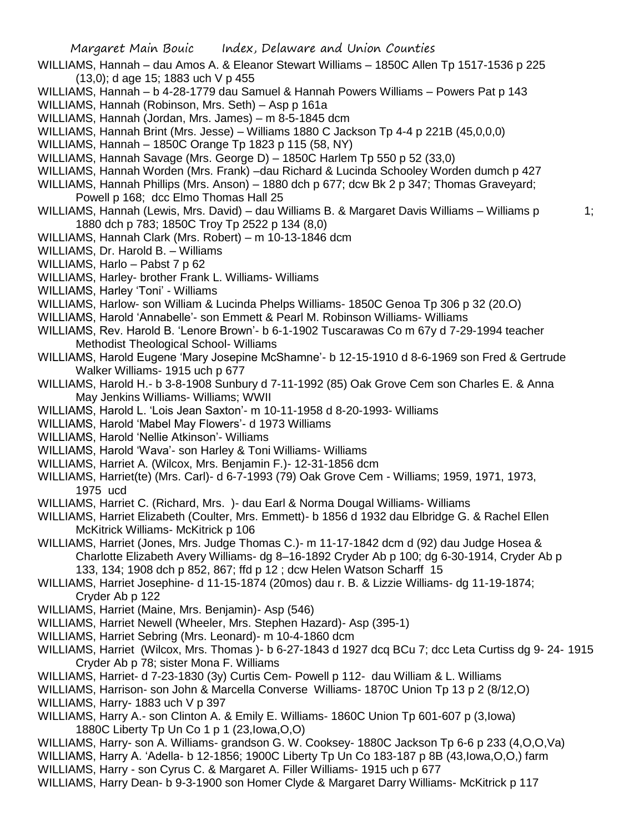- WILLIAMS, Hannah dau Amos A. & Eleanor Stewart Williams 1850C Allen Tp 1517-1536 p 225 (13,0); d age 15; 1883 uch V p 455
- WILLIAMS, Hannah b 4-28-1779 dau Samuel & Hannah Powers Williams Powers Pat p 143
- WILLIAMS, Hannah (Robinson, Mrs. Seth) Asp p 161a
- WILLIAMS, Hannah (Jordan, Mrs. James) m 8-5-1845 dcm
- WILLIAMS, Hannah Brint (Mrs. Jesse) Williams 1880 C Jackson Tp 4-4 p 221B (45,0,0,0)
- WILLIAMS, Hannah 1850C Orange Tp 1823 p 115 (58, NY)
- WILLIAMS, Hannah Savage (Mrs. George D) 1850C Harlem Tp 550 p 52 (33,0)
- WILLIAMS, Hannah Worden (Mrs. Frank) –dau Richard & Lucinda Schooley Worden dumch p 427
- WILLIAMS, Hannah Phillips (Mrs. Anson) 1880 dch p 677; dcw Bk 2 p 347; Thomas Graveyard; Powell p 168; dcc Elmo Thomas Hall 25
- WILLIAMS, Hannah (Lewis, Mrs. David) dau Williams B. & Margaret Davis Williams Williams p 1; 1880 dch p 783; 1850C Troy Tp 2522 p 134 (8,0)
- WILLIAMS, Hannah Clark (Mrs. Robert) m 10-13-1846 dcm
- WILLIAMS, Dr. Harold B. Williams
- WILLIAMS, Harlo Pabst 7 p 62
- WILLIAMS, Harley- brother Frank L. Williams- Williams
- WILLIAMS, Harley 'Toni' Williams
- WILLIAMS, Harlow- son William & Lucinda Phelps Williams- 1850C Genoa Tp 306 p 32 (20.O)
- WILLIAMS, Harold 'Annabelle'- son Emmett & Pearl M. Robinson Williams- Williams
- WILLIAMS, Rev. Harold B. 'Lenore Brown'- b 6-1-1902 Tuscarawas Co m 67y d 7-29-1994 teacher Methodist Theological School- Williams
- WILLIAMS, Harold Eugene 'Mary Josepine McShamne'- b 12-15-1910 d 8-6-1969 son Fred & Gertrude Walker Williams- 1915 uch p 677
- WILLIAMS, Harold H.- b 3-8-1908 Sunbury d 7-11-1992 (85) Oak Grove Cem son Charles E. & Anna May Jenkins Williams- Williams; WWII
- WILLIAMS, Harold L. 'Lois Jean Saxton'- m 10-11-1958 d 8-20-1993- Williams
- WILLIAMS, Harold 'Mabel May Flowers'- d 1973 Williams
- WILLIAMS, Harold 'Nellie Atkinson'- Williams
- WILLIAMS, Harold 'Wava'- son Harley & Toni Williams- Williams
- WILLIAMS, Harriet A. (Wilcox, Mrs. Benjamin F.)- 12-31-1856 dcm
- WILLIAMS, Harriet(te) (Mrs. Carl)- d 6-7-1993 (79) Oak Grove Cem Williams; 1959, 1971, 1973, 1975 ucd
- WILLIAMS, Harriet C. (Richard, Mrs. )- dau Earl & Norma Dougal Williams- Williams
- WILLIAMS, Harriet Elizabeth (Coulter, Mrs. Emmett)- b 1856 d 1932 dau Elbridge G. & Rachel Ellen McKitrick Williams- McKitrick p 106
- WILLIAMS, Harriet (Jones, Mrs. Judge Thomas C.)- m 11-17-1842 dcm d (92) dau Judge Hosea & Charlotte Elizabeth Avery Williams- dg 8–16-1892 Cryder Ab p 100; dg 6-30-1914, Cryder Ab p 133, 134; 1908 dch p 852, 867; ffd p 12 ; dcw Helen Watson Scharff 15
- WILLIAMS, Harriet Josephine- d 11-15-1874 (20mos) dau r. B. & Lizzie Williams- dg 11-19-1874; Cryder Ab p 122
- WILLIAMS, Harriet (Maine, Mrs. Benjamin)- Asp (546)
- WILLIAMS, Harriet Newell (Wheeler, Mrs. Stephen Hazard)- Asp (395-1)
- WILLIAMS, Harriet Sebring (Mrs. Leonard)- m 10-4-1860 dcm
- WILLIAMS, Harriet (Wilcox, Mrs. Thomas )- b 6-27-1843 d 1927 dcq BCu 7; dcc Leta Curtiss dg 9- 24- 1915 Cryder Ab p 78; sister Mona F. Williams
- WILLIAMS, Harriet- d 7-23-1830 (3y) Curtis Cem- Powell p 112- dau William & L. Williams
- WILLIAMS, Harrison- son John & Marcella Converse Williams- 1870C Union Tp 13 p 2 (8/12,O)
- WILLIAMS, Harry- 1883 uch V p 397
- WILLIAMS, Harry A.- son Clinton A. & Emily E. Williams- 1860C Union Tp 601-607 p (3,Iowa) 1880C Liberty Tp Un Co 1 p 1 (23,Iowa,O,O)
- WILLIAMS, Harry- son A. Williams- grandson G. W. Cooksey- 1880C Jackson Tp 6-6 p 233 (4,O,O,Va)
- WILLIAMS, Harry A. 'Adella- b 12-1856; 1900C Liberty Tp Un Co 183-187 p 8B (43,Iowa,O,O,) farm
- WILLIAMS, Harry son Cyrus C. & Margaret A. Filler Williams- 1915 uch p 677
- WILLIAMS, Harry Dean- b 9-3-1900 son Homer Clyde & Margaret Darry Williams- McKitrick p 117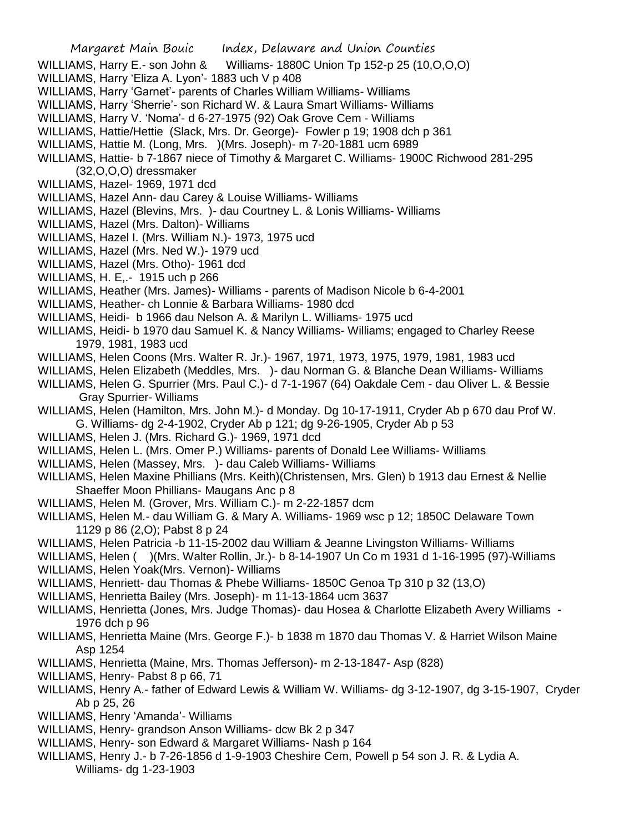- WILLIAMS, Harry E.- son John & Williams- 1880C Union Tp 152-p 25 (10, O, O, O)
- WILLIAMS, Harry 'Eliza A. Lyon'- 1883 uch V p 408
- WILLIAMS, Harry 'Garnet'- parents of Charles William Williams- Williams
- WILLIAMS, Harry 'Sherrie'- son Richard W. & Laura Smart Williams- Williams
- WILLIAMS, Harry V. 'Noma'- d 6-27-1975 (92) Oak Grove Cem Williams
- WILLIAMS, Hattie/Hettie (Slack, Mrs. Dr. George)- Fowler p 19; 1908 dch p 361
- WILLIAMS, Hattie M. (Long, Mrs. )(Mrs. Joseph)- m 7-20-1881 ucm 6989
- WILLIAMS, Hattie- b 7-1867 niece of Timothy & Margaret C. Williams- 1900C Richwood 281-295 (32,O,O,O) dressmaker
- WILLIAMS, Hazel- 1969, 1971 dcd
- WILLIAMS, Hazel Ann- dau Carey & Louise Williams- Williams
- WILLIAMS, Hazel (Blevins, Mrs. )- dau Courtney L. & Lonis Williams- Williams
- WILLIAMS, Hazel (Mrs. Dalton)- Williams
- WILLIAMS, Hazel I. (Mrs. William N.)- 1973, 1975 ucd
- WILLIAMS, Hazel (Mrs. Ned W.)- 1979 ucd
- WILLIAMS, Hazel (Mrs. Otho)- 1961 dcd
- WILLIAMS, H. E,.- 1915 uch p 266
- WILLIAMS, Heather (Mrs. James)- Williams parents of Madison Nicole b 6-4-2001
- WILLIAMS, Heather- ch Lonnie & Barbara Williams- 1980 dcd
- WILLIAMS, Heidi- b 1966 dau Nelson A. & Marilyn L. Williams- 1975 ucd
- WILLIAMS, Heidi- b 1970 dau Samuel K. & Nancy Williams- Williams; engaged to Charley Reese 1979, 1981, 1983 ucd
- WILLIAMS, Helen Coons (Mrs. Walter R. Jr.)- 1967, 1971, 1973, 1975, 1979, 1981, 1983 ucd
- WILLIAMS, Helen Elizabeth (Meddles, Mrs. )- dau Norman G. & Blanche Dean Williams- Williams
- WILLIAMS, Helen G. Spurrier (Mrs. Paul C.)- d 7-1-1967 (64) Oakdale Cem dau Oliver L. & Bessie Gray Spurrier- Williams
- WILLIAMS, Helen (Hamilton, Mrs. John M.)- d Monday. Dg 10-17-1911, Cryder Ab p 670 dau Prof W. G. Williams- dg 2-4-1902, Cryder Ab p 121; dg 9-26-1905, Cryder Ab p 53
- WILLIAMS, Helen J. (Mrs. Richard G.)- 1969, 1971 dcd
- WILLIAMS, Helen L. (Mrs. Omer P.) Williams- parents of Donald Lee Williams- Williams
- WILLIAMS, Helen (Massey, Mrs. )- dau Caleb Williams- Williams
- WILLIAMS, Helen Maxine Phillians (Mrs. Keith)(Christensen, Mrs. Glen) b 1913 dau Ernest & Nellie Shaeffer Moon Phillians- Maugans Anc p 8
- WILLIAMS, Helen M. (Grover, Mrs. William C.)- m 2-22-1857 dcm
- WILLIAMS, Helen M.- dau William G. & Mary A. Williams- 1969 wsc p 12; 1850C Delaware Town 1129 p 86 (2,O); Pabst 8 p 24
- WILLIAMS, Helen Patricia -b 11-15-2002 dau William & Jeanne Livingston Williams- Williams
- WILLIAMS, Helen ( )(Mrs. Walter Rollin, Jr.)- b 8-14-1907 Un Co m 1931 d 1-16-1995 (97)-Williams
- WILLIAMS, Helen Yoak(Mrs. Vernon)- Williams
- WILLIAMS, Henriett- dau Thomas & Phebe Williams- 1850C Genoa Tp 310 p 32 (13,O)
- WILLIAMS, Henrietta Bailey (Mrs. Joseph)- m 11-13-1864 ucm 3637
- WILLIAMS, Henrietta (Jones, Mrs. Judge Thomas)- dau Hosea & Charlotte Elizabeth Avery Williams 1976 dch p 96
- WILLIAMS, Henrietta Maine (Mrs. George F.)- b 1838 m 1870 dau Thomas V. & Harriet Wilson Maine Asp 1254
- WILLIAMS, Henrietta (Maine, Mrs. Thomas Jefferson)- m 2-13-1847- Asp (828)
- WILLIAMS, Henry- Pabst 8 p 66, 71
- WILLIAMS, Henry A.- father of Edward Lewis & William W. Williams- dg 3-12-1907, dg 3-15-1907, Cryder Ab p 25, 26
- WILLIAMS, Henry 'Amanda'- Williams
- WILLIAMS, Henry- grandson Anson Williams- dcw Bk 2 p 347
- WILLIAMS, Henry- son Edward & Margaret Williams- Nash p 164
- WILLIAMS, Henry J.- b 7-26-1856 d 1-9-1903 Cheshire Cem, Powell p 54 son J. R. & Lydia A. Williams- dg 1-23-1903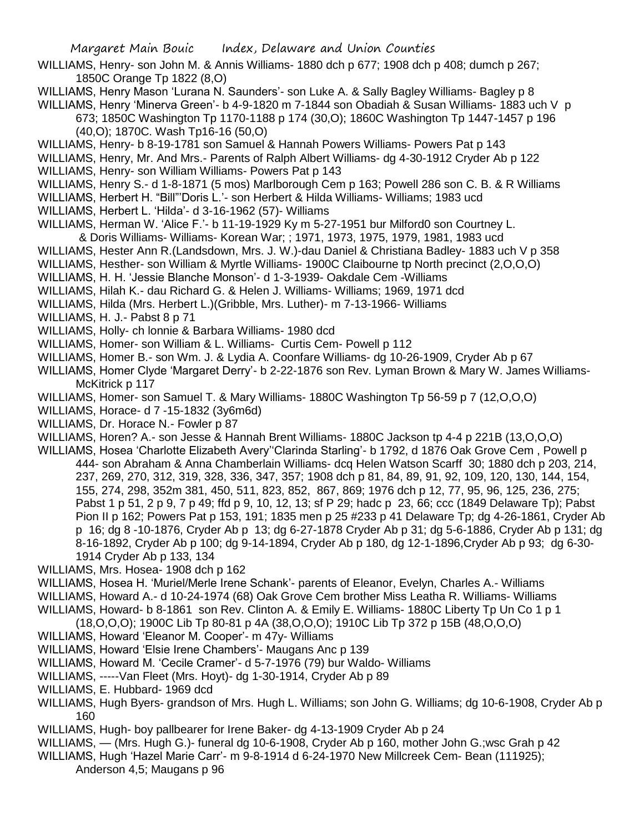- WILLIAMS, Henry- son John M. & Annis Williams- 1880 dch p 677; 1908 dch p 408; dumch p 267; 1850C Orange Tp 1822 (8,O)
- WILLIAMS, Henry Mason 'Lurana N. Saunders'- son Luke A. & Sally Bagley Williams- Bagley p 8
- WILLIAMS, Henry 'Minerva Green'- b 4-9-1820 m 7-1844 son Obadiah & Susan Williams- 1883 uch V p 673; 1850C Washington Tp 1170-1188 p 174 (30,O); 1860C Washington Tp 1447-1457 p 196 (40,O); 1870C. Wash Tp16-16 (50,O)
- WILLIAMS, Henry- b 8-19-1781 son Samuel & Hannah Powers Williams- Powers Pat p 143
- WILLIAMS, Henry, Mr. And Mrs.- Parents of Ralph Albert Williams- dg 4-30-1912 Cryder Ab p 122
- WILLIAMS, Henry- son William Williams- Powers Pat p 143
- WILLIAMS, Henry S.- d 1-8-1871 (5 mos) Marlborough Cem p 163; Powell 286 son C. B. & R Williams
- WILLIAMS, Herbert H. "Bill"'Doris L.'- son Herbert & Hilda Williams- Williams; 1983 ucd
- WILLIAMS, Herbert L. 'Hilda'- d 3-16-1962 (57)- Williams
- WILLIAMS, Herman W. 'Alice F.'- b 11-19-1929 Ky m 5-27-1951 bur Milford0 son Courtney L. & Doris Williams- Williams- Korean War; ; 1971, 1973, 1975, 1979, 1981, 1983 ucd
- WILLIAMS, Hester Ann R.(Landsdown, Mrs. J. W.)-dau Daniel & Christiana Badley- 1883 uch V p 358
- WILLIAMS, Hesther- son William & Myrtle Williams- 1900C Claibourne tp North precinct (2,O,O,O)
- WILLIAMS, H. H. 'Jessie Blanche Monson'- d 1-3-1939- Oakdale Cem -Williams
- WILLIAMS, Hilah K.- dau Richard G. & Helen J. Williams- Williams; 1969, 1971 dcd
- WILLIAMS, Hilda (Mrs. Herbert L.)(Gribble, Mrs. Luther)- m 7-13-1966- Williams
- WILLIAMS, H. J.- Pabst 8 p 71
- WILLIAMS, Holly- ch lonnie & Barbara Williams- 1980 dcd
- WILLIAMS, Homer- son William & L. Williams- Curtis Cem- Powell p 112
- WILLIAMS, Homer B.- son Wm. J. & Lydia A. Coonfare Williams- dg 10-26-1909, Cryder Ab p 67
- WILLIAMS, Homer Clyde 'Margaret Derry'- b 2-22-1876 son Rev. Lyman Brown & Mary W. James Williams-McKitrick p 117
- WILLIAMS, Homer- son Samuel T. & Mary Williams- 1880C Washington Tp 56-59 p 7 (12,O,O,O)
- WILLIAMS, Horace- d 7 -15-1832 (3y6m6d)
- WILLIAMS, Dr. Horace N.- Fowler p 87
- WILLIAMS, Horen? A.- son Jesse & Hannah Brent Williams- 1880C Jackson tp 4-4 p 221B (13,O,O,O)
- WILLIAMS, Hosea 'Charlotte Elizabeth Avery''Clarinda Starling'- b 1792, d 1876 Oak Grove Cem , Powell p 444- son Abraham & Anna Chamberlain Williams- dcq Helen Watson Scarff 30; 1880 dch p 203, 214, 237, 269, 270, 312, 319, 328, 336, 347, 357; 1908 dch p 81, 84, 89, 91, 92, 109, 120, 130, 144, 154, 155, 274, 298, 352m 381, 450, 511, 823, 852, 867, 869; 1976 dch p 12, 77, 95, 96, 125, 236, 275; Pabst 1 p 51, 2 p 9, 7 p 49; ffd p 9, 10, 12, 13; sf P 29; hadc p 23, 66; ccc (1849 Delaware Tp); Pabst Pion II p 162; Powers Pat p 153, 191; 1835 men p 25 #233 p 41 Delaware Tp; dg 4-26-1861, Cryder Ab p 16; dg 8 -10-1876, Cryder Ab p 13; dg 6-27-1878 Cryder Ab p 31; dg 5-6-1886, Cryder Ab p 131; dg 8-16-1892, Cryder Ab p 100; dg 9-14-1894, Cryder Ab p 180, dg 12-1-1896,Cryder Ab p 93; dg 6-30- 1914 Cryder Ab p 133, 134
- WILLIAMS, Mrs. Hosea- 1908 dch p 162
- WILLIAMS, Hosea H. 'Muriel/Merle Irene Schank'- parents of Eleanor, Evelyn, Charles A.- Williams
- WILLIAMS, Howard A.- d 10-24-1974 (68) Oak Grove Cem brother Miss Leatha R. Williams- Williams
- WILLIAMS, Howard- b 8-1861 son Rev. Clinton A. & Emily E. Williams- 1880C Liberty Tp Un Co 1 p 1
- (18,O,O,O); 1900C Lib Tp 80-81 p 4A (38,O,O,O); 1910C Lib Tp 372 p 15B (48,O,O,O)
- WILLIAMS, Howard 'Eleanor M. Cooper'- m 47y- Williams
- WILLIAMS, Howard 'Elsie Irene Chambers'- Maugans Anc p 139
- WILLIAMS, Howard M. 'Cecile Cramer'- d 5-7-1976 (79) bur Waldo- Williams
- WILLIAMS, -----Van Fleet (Mrs. Hoyt)- dg 1-30-1914, Cryder Ab p 89
- WILLIAMS, E. Hubbard- 1969 dcd
- WILLIAMS, Hugh Byers- grandson of Mrs. Hugh L. Williams; son John G. Williams; dg 10-6-1908, Cryder Ab p 160
- WILLIAMS, Hugh- boy pallbearer for Irene Baker- dg 4-13-1909 Cryder Ab p 24
- WILLIAMS, (Mrs. Hugh G.)- funeral dg 10-6-1908, Cryder Ab p 160, mother John G.;wsc Grah p 42
- WILLIAMS, Hugh 'Hazel Marie Carr'- m 9-8-1914 d 6-24-1970 New Millcreek Cem- Bean (111925); Anderson 4,5; Maugans p 96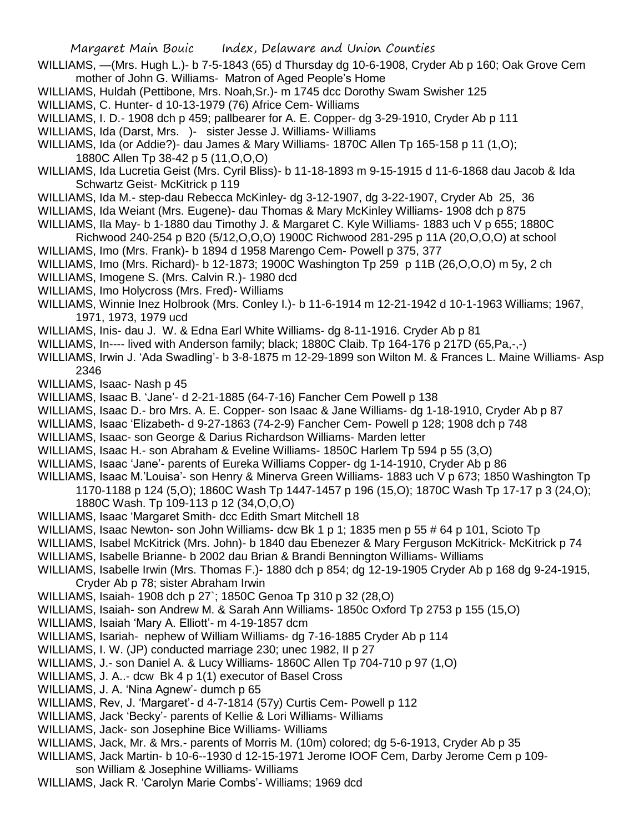Margaret Main Bouic Index, Delaware and Union Counties

- WILLIAMS, —(Mrs. Hugh L.)- b 7-5-1843 (65) d Thursday dg 10-6-1908, Cryder Ab p 160; Oak Grove Cem mother of John G. Williams- Matron of Aged People's Home
- WILLIAMS, Huldah (Pettibone, Mrs. Noah,Sr.)- m 1745 dcc Dorothy Swam Swisher 125
- WILLIAMS, C. Hunter- d 10-13-1979 (76) Africe Cem- Williams
- WILLIAMS, I. D.- 1908 dch p 459; pallbearer for A. E. Copper- dg 3-29-1910, Cryder Ab p 111
- WILLIAMS, Ida (Darst, Mrs. ) sister Jesse J. Williams Williams
- WILLIAMS, Ida (or Addie?)- dau James & Mary Williams- 1870C Allen Tp 165-158 p 11 (1,O); 1880C Allen Tp 38-42 p 5 (11,O,O,O)
- WILLIAMS, Ida Lucretia Geist (Mrs. Cyril Bliss)- b 11-18-1893 m 9-15-1915 d 11-6-1868 dau Jacob & Ida Schwartz Geist- McKitrick p 119
- WILLIAMS, Ida M.- step-dau Rebecca McKinley- dg 3-12-1907, dg 3-22-1907, Cryder Ab 25, 36
- WILLIAMS, Ida Weiant (Mrs. Eugene)- dau Thomas & Mary McKinley Williams- 1908 dch p 875
- WILLIAMS, Ila May- b 1-1880 dau Timothy J. & Margaret C. Kyle Williams- 1883 uch V p 655; 1880C Richwood 240-254 p B20 (5/12,O,O,O) 1900C Richwood 281-295 p 11A (20,O,O,O) at school
- WILLIAMS, Imo (Mrs. Frank)- b 1894 d 1958 Marengo Cem- Powell p 375, 377
- WILLIAMS, Imo (Mrs. Richard)- b 12-1873; 1900C Washington Tp 259 p 11B (26,O,O,O) m 5y, 2 ch
- WILLIAMS, Imogene S. (Mrs. Calvin R.)- 1980 dcd
- WILLIAMS, Imo Holycross (Mrs. Fred)- Williams
- WILLIAMS, Winnie Inez Holbrook (Mrs. Conley I.)- b 11-6-1914 m 12-21-1942 d 10-1-1963 Williams; 1967, 1971, 1973, 1979 ucd
- WILLIAMS, Inis- dau J. W. & Edna Earl White Williams- dg 8-11-1916. Cryder Ab p 81
- WILLIAMS, In---- lived with Anderson family; black; 1880C Claib. Tp 164-176 p 217D (65, Pa,-,-)
- WILLIAMS, Irwin J. 'Ada Swadling'- b 3-8-1875 m 12-29-1899 son Wilton M. & Frances L. Maine Williams- Asp 2346
- WILLIAMS, Isaac- Nash p 45
- WILLIAMS, Isaac B. 'Jane'- d 2-21-1885 (64-7-16) Fancher Cem Powell p 138
- WILLIAMS, Isaac D.- bro Mrs. A. E. Copper- son Isaac & Jane Williams- dg 1-18-1910, Cryder Ab p 87
- WILLIAMS, Isaac 'Elizabeth- d 9-27-1863 (74-2-9) Fancher Cem- Powell p 128; 1908 dch p 748
- WILLIAMS, Isaac- son George & Darius Richardson Williams- Marden letter
- WILLIAMS, Isaac H.- son Abraham & Eveline Williams- 1850C Harlem Tp 594 p 55 (3,O)
- WILLIAMS, Isaac 'Jane'- parents of Eureka Williams Copper- dg 1-14-1910, Cryder Ab p 86
- WILLIAMS, Isaac M.'Louisa'- son Henry & Minerva Green Williams- 1883 uch V p 673; 1850 Washington Tp 1170-1188 p 124 (5,O); 1860C Wash Tp 1447-1457 p 196 (15,O); 1870C Wash Tp 17-17 p 3 (24,O); 1880C Wash. Tp 109-113 p 12 (34,O,O,O)
- WILLIAMS, Isaac 'Margaret Smith- dcc Edith Smart Mitchell 18
- WILLIAMS, Isaac Newton- son John Williams- dcw Bk 1 p 1; 1835 men p 55 # 64 p 101, Scioto Tp
- WILLIAMS, Isabel McKitrick (Mrs. John)- b 1840 dau Ebenezer & Mary Ferguson McKitrick- McKitrick p 74
- WILLIAMS, Isabelle Brianne- b 2002 dau Brian & Brandi Bennington Williams- Williams
- WILLIAMS, Isabelle Irwin (Mrs. Thomas F.)- 1880 dch p 854; dg 12-19-1905 Cryder Ab p 168 dg 9-24-1915, Cryder Ab p 78; sister Abraham Irwin
- WILLIAMS, Isaiah- 1908 dch p 27`; 1850C Genoa Tp 310 p 32 (28,O)
- WILLIAMS, Isaiah- son Andrew M. & Sarah Ann Williams- 1850c Oxford Tp 2753 p 155 (15,O)
- WILLIAMS, Isaiah 'Mary A. Elliott'- m 4-19-1857 dcm
- WILLIAMS, Isariah- nephew of William Williams- dg 7-16-1885 Cryder Ab p 114
- WILLIAMS, I. W. (JP) conducted marriage 230; unec 1982, II p 27
- WILLIAMS, J.- son Daniel A. & Lucy Williams- 1860C Allen Tp 704-710 p 97 (1,O)
- WILLIAMS, J. A..- dcw Bk 4 p 1(1) executor of Basel Cross
- WILLIAMS, J. A. 'Nina Agnew'- dumch p 65
- WILLIAMS, Rev, J. 'Margaret'- d 4-7-1814 (57y) Curtis Cem- Powell p 112
- WILLIAMS, Jack 'Becky'- parents of Kellie & Lori Williams- Williams
- WILLIAMS, Jack- son Josephine Bice Williams- Williams
- WILLIAMS, Jack, Mr. & Mrs.- parents of Morris M. (10m) colored; dg 5-6-1913, Cryder Ab p 35
- WILLIAMS, Jack Martin- b 10-6--1930 d 12-15-1971 Jerome IOOF Cem, Darby Jerome Cem p 109 son William & Josephine Williams- Williams
- WILLIAMS, Jack R. 'Carolyn Marie Combs'- Williams; 1969 dcd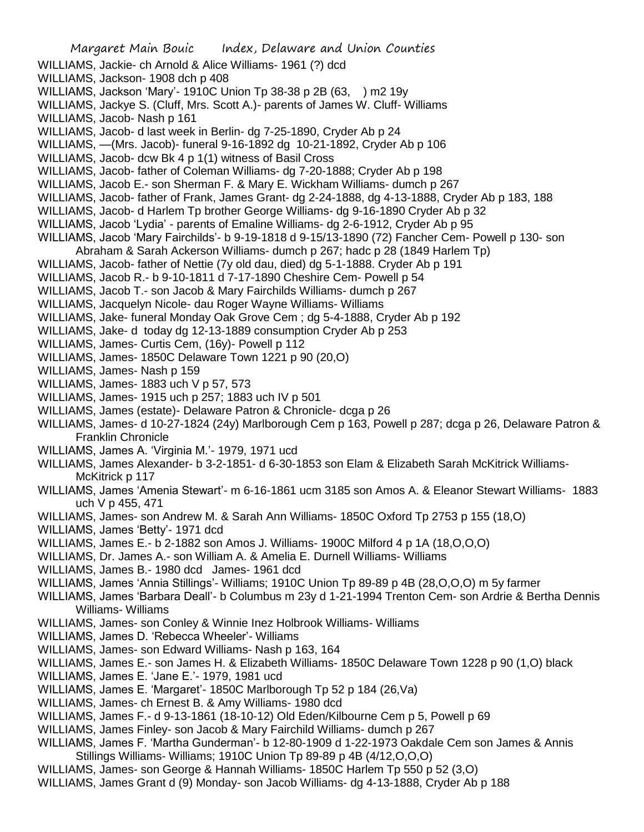WILLIAMS, Jackie- ch Arnold & Alice Williams- 1961 (?) dcd WILLIAMS, Jackson- 1908 dch p 408 WILLIAMS, Jackson 'Mary'- 1910C Union Tp 38-38 p 2B (63, ) m2 19y WILLIAMS, Jackye S. (Cluff, Mrs. Scott A.)- parents of James W. Cluff- Williams WILLIAMS, Jacob- Nash p 161 WILLIAMS, Jacob- d last week in Berlin- dg 7-25-1890, Cryder Ab p 24 WILLIAMS, —(Mrs. Jacob)- funeral 9-16-1892 dg 10-21-1892, Cryder Ab p 106 WILLIAMS, Jacob- dcw Bk 4 p 1(1) witness of Basil Cross WILLIAMS, Jacob- father of Coleman Williams- dg 7-20-1888; Cryder Ab p 198 WILLIAMS, Jacob E.- son Sherman F. & Mary E. Wickham Williams- dumch p 267 WILLIAMS, Jacob- father of Frank, James Grant- dg 2-24-1888, dg 4-13-1888, Cryder Ab p 183, 188 WILLIAMS, Jacob- d Harlem Tp brother George Williams- dg 9-16-1890 Cryder Ab p 32 WILLIAMS, Jacob 'Lydia' - parents of Emaline Williams- dg 2-6-1912, Cryder Ab p 95 WILLIAMS, Jacob 'Mary Fairchilds'- b 9-19-1818 d 9-15/13-1890 (72) Fancher Cem- Powell p 130- son Abraham & Sarah Ackerson Williams- dumch p 267; hadc p 28 (1849 Harlem Tp) WILLIAMS, Jacob- father of Nettie (7y old dau, died) dg 5-1-1888. Cryder Ab p 191 WILLIAMS, Jacob R.- b 9-10-1811 d 7-17-1890 Cheshire Cem- Powell p 54 WILLIAMS, Jacob T.- son Jacob & Mary Fairchilds Williams- dumch p 267 WILLIAMS, Jacquelyn Nicole- dau Roger Wayne Williams- Williams WILLIAMS, Jake- funeral Monday Oak Grove Cem ; dg 5-4-1888, Cryder Ab p 192 WILLIAMS, Jake- d today dg 12-13-1889 consumption Cryder Ab p 253 WILLIAMS, James- Curtis Cem, (16y)- Powell p 112 WILLIAMS, James- 1850C Delaware Town 1221 p 90 (20,O) WILLIAMS, James- Nash p 159 WILLIAMS, James- 1883 uch V p 57, 573 WILLIAMS, James- 1915 uch p 257; 1883 uch IV p 501 WILLIAMS, James (estate)- Delaware Patron & Chronicle- dcga p 26 WILLIAMS, James- d 10-27-1824 (24y) Marlborough Cem p 163, Powell p 287; dcga p 26, Delaware Patron & Franklin Chronicle WILLIAMS, James A. 'Virginia M.'- 1979, 1971 ucd WILLIAMS, James Alexander- b 3-2-1851- d 6-30-1853 son Elam & Elizabeth Sarah McKitrick Williams-McKitrick p 117 WILLIAMS, James 'Amenia Stewart'- m 6-16-1861 ucm 3185 son Amos A. & Eleanor Stewart Williams- 1883 uch V p 455, 471 WILLIAMS, James- son Andrew M. & Sarah Ann Williams- 1850C Oxford Tp 2753 p 155 (18,O) WILLIAMS, James 'Betty'- 1971 dcd WILLIAMS, James E.- b 2-1882 son Amos J. Williams- 1900C Milford 4 p 1A (18,O,O,O) WILLIAMS, Dr. James A.- son William A. & Amelia E. Durnell Williams- Williams WILLIAMS, James B.- 1980 dcd James- 1961 dcd WILLIAMS, James 'Annia Stillings'- Williams; 1910C Union Tp 89-89 p 4B (28,O,O,O) m 5y farmer WILLIAMS, James 'Barbara Deall'- b Columbus m 23y d 1-21-1994 Trenton Cem- son Ardrie & Bertha Dennis Williams- Williams WILLIAMS, James- son Conley & Winnie Inez Holbrook Williams- Williams WILLIAMS, James D. 'Rebecca Wheeler'- Williams WILLIAMS, James- son Edward Williams- Nash p 163, 164 WILLIAMS, James E.- son James H. & Elizabeth Williams- 1850C Delaware Town 1228 p 90 (1,O) black WILLIAMS, James E. 'Jane E.'- 1979, 1981 ucd WILLIAMS, James E. 'Margaret'- 1850C Marlborough Tp 52 p 184 (26,Va) WILLIAMS, James- ch Ernest B. & Amy Williams- 1980 dcd WILLIAMS, James F.- d 9-13-1861 (18-10-12) Old Eden/Kilbourne Cem p 5, Powell p 69 WILLIAMS, James Finley- son Jacob & Mary Fairchild Williams- dumch p 267 WILLIAMS, James F. 'Martha Gunderman'- b 12-80-1909 d 1-22-1973 Oakdale Cem son James & Annis Stillings Williams- Williams; 1910C Union Tp 89-89 p 4B (4/12,O,O,O) WILLIAMS, James- son George & Hannah Williams- 1850C Harlem Tp 550 p 52 (3,O) WILLIAMS, James Grant d (9) Monday- son Jacob Williams- dg 4-13-1888, Cryder Ab p 188

Margaret Main Bouic Index, Delaware and Union Counties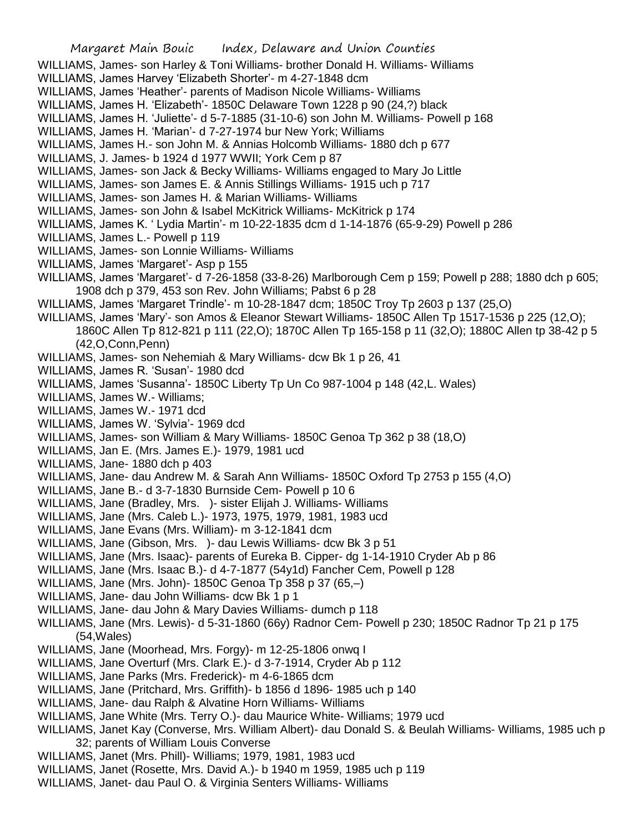- WILLIAMS, James- son Harley & Toni Williams- brother Donald H. Williams- Williams
- WILLIAMS, James Harvey 'Elizabeth Shorter'- m 4-27-1848 dcm
- WILLIAMS, James 'Heather'- parents of Madison Nicole Williams- Williams
- WILLIAMS, James H. 'Elizabeth'- 1850C Delaware Town 1228 p 90 (24,?) black
- WILLIAMS, James H. 'Juliette'- d 5-7-1885 (31-10-6) son John M. Williams- Powell p 168
- WILLIAMS, James H. 'Marian'- d 7-27-1974 bur New York; Williams
- WILLIAMS, James H.- son John M. & Annias Holcomb Williams- 1880 dch p 677
- WILLIAMS, J. James- b 1924 d 1977 WWII; York Cem p 87
- WILLIAMS, James- son Jack & Becky Williams- Williams engaged to Mary Jo Little
- WILLIAMS, James- son James E. & Annis Stillings Williams- 1915 uch p 717
- WILLIAMS, James- son James H. & Marian Williams- Williams
- WILLIAMS, James- son John & Isabel McKitrick Williams- McKitrick p 174
- WILLIAMS, James K. ' Lydia Martin'- m 10-22-1835 dcm d 1-14-1876 (65-9-29) Powell p 286
- WILLIAMS, James L.- Powell p 119
- WILLIAMS, James- son Lonnie Williams- Williams
- WILLIAMS, James 'Margaret'- Asp p 155
- WILLIAMS, James 'Margaret'- d 7-26-1858 (33-8-26) Marlborough Cem p 159; Powell p 288; 1880 dch p 605; 1908 dch p 379, 453 son Rev. John Williams; Pabst 6 p 28
- WILLIAMS, James 'Margaret Trindle'- m 10-28-1847 dcm; 1850C Troy Tp 2603 p 137 (25,O)
- WILLIAMS, James 'Mary'- son Amos & Eleanor Stewart Williams- 1850C Allen Tp 1517-1536 p 225 (12,O); 1860C Allen Tp 812-821 p 111 (22,O); 1870C Allen Tp 165-158 p 11 (32,O); 1880C Allen tp 38-42 p 5 (42,O,Conn,Penn)
- WILLIAMS, James- son Nehemiah & Mary Williams- dcw Bk 1 p 26, 41
- WILLIAMS, James R. 'Susan'- 1980 dcd
- WILLIAMS, James 'Susanna'- 1850C Liberty Tp Un Co 987-1004 p 148 (42,L. Wales)
- WILLIAMS, James W.- Williams;
- WILLIAMS, James W.- 1971 dcd
- WILLIAMS, James W. 'Sylvia'- 1969 dcd
- WILLIAMS, James- son William & Mary Williams- 1850C Genoa Tp 362 p 38 (18,O)
- WILLIAMS, Jan E. (Mrs. James E.)- 1979, 1981 ucd
- WILLIAMS, Jane- 1880 dch p 403
- WILLIAMS, Jane- dau Andrew M. & Sarah Ann Williams- 1850C Oxford Tp 2753 p 155 (4,O)
- WILLIAMS, Jane B.- d 3-7-1830 Burnside Cem- Powell p 10 6
- WILLIAMS, Jane (Bradley, Mrs. )- sister Elijah J. Williams- Williams
- WILLIAMS, Jane (Mrs. Caleb L.)- 1973, 1975, 1979, 1981, 1983 ucd
- WILLIAMS, Jane Evans (Mrs. William)- m 3-12-1841 dcm
- WILLIAMS, Jane (Gibson, Mrs. )- dau Lewis Williams- dcw Bk 3 p 51
- WILLIAMS, Jane (Mrs. Isaac)- parents of Eureka B. Cipper- dg 1-14-1910 Cryder Ab p 86
- WILLIAMS, Jane (Mrs. Isaac B.)- d 4-7-1877 (54y1d) Fancher Cem, Powell p 128
- WILLIAMS, Jane (Mrs. John)- 1850C Genoa Tp 358 p 37 (65,–)
- WILLIAMS, Jane- dau John Williams- dcw Bk 1 p 1
- WILLIAMS, Jane- dau John & Mary Davies Williams- dumch p 118
- WILLIAMS, Jane (Mrs. Lewis)- d 5-31-1860 (66y) Radnor Cem- Powell p 230; 1850C Radnor Tp 21 p 175 (54,Wales)
- WILLIAMS, Jane (Moorhead, Mrs. Forgy)- m 12-25-1806 onwq I
- WILLIAMS, Jane Overturf (Mrs. Clark E.)- d 3-7-1914, Cryder Ab p 112
- WILLIAMS, Jane Parks (Mrs. Frederick)- m 4-6-1865 dcm
- WILLIAMS, Jane (Pritchard, Mrs. Griffith)- b 1856 d 1896- 1985 uch p 140
- WILLIAMS, Jane- dau Ralph & Alvatine Horn Williams- Williams
- WILLIAMS, Jane White (Mrs. Terry O.)- dau Maurice White- Williams; 1979 ucd
- WILLIAMS, Janet Kay (Converse, Mrs. William Albert)- dau Donald S. & Beulah Williams- Williams, 1985 uch p 32; parents of William Louis Converse
- WILLIAMS, Janet (Mrs. Phill)- Williams; 1979, 1981, 1983 ucd
- WILLIAMS, Janet (Rosette, Mrs. David A.)- b 1940 m 1959, 1985 uch p 119
- WILLIAMS, Janet- dau Paul O. & Virginia Senters Williams- Williams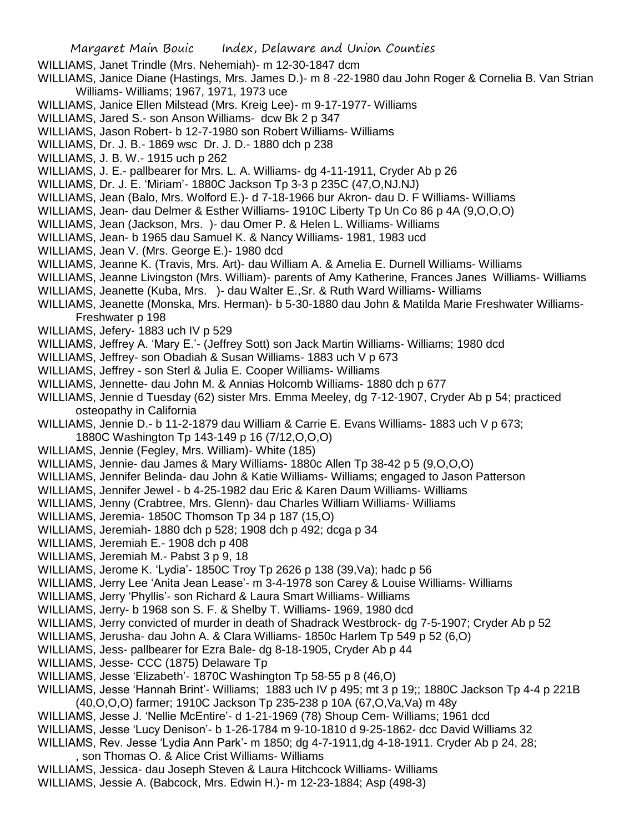- WILLIAMS, Janet Trindle (Mrs. Nehemiah)- m 12-30-1847 dcm
- WILLIAMS, Janice Diane (Hastings, Mrs. James D.)- m 8 -22-1980 dau John Roger & Cornelia B. Van Strian Williams- Williams; 1967, 1971, 1973 uce
- WILLIAMS, Janice Ellen Milstead (Mrs. Kreig Lee)- m 9-17-1977- Williams
- WILLIAMS, Jared S.- son Anson Williams- dcw Bk 2 p 347
- WILLIAMS, Jason Robert- b 12-7-1980 son Robert Williams- Williams
- WILLIAMS, Dr. J. B.- 1869 wsc Dr. J. D.- 1880 dch p 238
- WILLIAMS, J. B. W.- 1915 uch p 262
- WILLIAMS, J. E.- pallbearer for Mrs. L. A. Williams- dg 4-11-1911, Cryder Ab p 26
- WILLIAMS, Dr. J. E. 'Miriam'- 1880C Jackson Tp 3-3 p 235C (47,O,NJ.NJ)
- WILLIAMS, Jean (Balo, Mrs. Wolford E.)- d 7-18-1966 bur Akron- dau D. F Williams- Williams
- WILLIAMS, Jean- dau Delmer & Esther Williams- 1910C Liberty Tp Un Co 86 p 4A (9,O,O,O)
- WILLIAMS, Jean (Jackson, Mrs. )- dau Omer P. & Helen L. Williams- Williams
- WILLIAMS, Jean- b 1965 dau Samuel K. & Nancy Williams- 1981, 1983 ucd
- WILLIAMS, Jean V. (Mrs. George E.)- 1980 dcd
- WILLIAMS, Jeanne K. (Travis, Mrs. Art)- dau William A. & Amelia E. Durnell Williams- Williams
- WILLIAMS, Jeanne Livingston (Mrs. William)- parents of Amy Katherine, Frances Janes Williams- Williams
- WILLIAMS, Jeanette (Kuba, Mrs. )- dau Walter E.,Sr. & Ruth Ward Williams- Williams
- WILLIAMS, Jeanette (Monska, Mrs. Herman)- b 5-30-1880 dau John & Matilda Marie Freshwater Williams-Freshwater p 198
- WILLIAMS, Jefery- 1883 uch IV p 529
- WILLIAMS, Jeffrey A. 'Mary E.'- (Jeffrey Sott) son Jack Martin Williams- Williams; 1980 dcd
- WILLIAMS, Jeffrey- son Obadiah & Susan Williams- 1883 uch V p 673
- WILLIAMS, Jeffrey son Sterl & Julia E. Cooper Williams- Williams
- WILLIAMS, Jennette- dau John M. & Annias Holcomb Williams- 1880 dch p 677
- WILLIAMS, Jennie d Tuesday (62) sister Mrs. Emma Meeley, dg 7-12-1907, Cryder Ab p 54; practiced osteopathy in California
- WILLIAMS, Jennie D.- b 11-2-1879 dau William & Carrie E. Evans Williams- 1883 uch V p 673; 1880C Washington Tp 143-149 p 16 (7/12,O,O,O)
- WILLIAMS, Jennie (Fegley, Mrs. William)- White (185)
- WILLIAMS, Jennie- dau James & Mary Williams- 1880c Allen Tp 38-42 p 5 (9,O,O,O)
- WILLIAMS, Jennifer Belinda- dau John & Katie Williams- Williams; engaged to Jason Patterson
- WILLIAMS, Jennifer Jewel b 4-25-1982 dau Eric & Karen Daum Williams- Williams
- WILLIAMS, Jenny (Crabtree, Mrs. Glenn)- dau Charles William Williams- Williams
- WILLIAMS, Jeremia- 1850C Thomson Tp 34 p 187 (15,O)
- WILLIAMS, Jeremiah- 1880 dch p 528; 1908 dch p 492; dcga p 34
- WILLIAMS, Jeremiah E.- 1908 dch p 408
- WILLIAMS, Jeremiah M.- Pabst 3 p 9, 18
- WILLIAMS, Jerome K. 'Lydia'- 1850C Troy Tp 2626 p 138 (39,Va); hadc p 56
- WILLIAMS, Jerry Lee 'Anita Jean Lease'- m 3-4-1978 son Carey & Louise Williams- Williams
- WILLIAMS, Jerry 'Phyllis'- son Richard & Laura Smart Williams- Williams
- WILLIAMS, Jerry- b 1968 son S. F. & Shelby T. Williams- 1969, 1980 dcd
- WILLIAMS, Jerry convicted of murder in death of Shadrack Westbrock- dg 7-5-1907; Cryder Ab p 52
- WILLIAMS, Jerusha- dau John A. & Clara Williams- 1850c Harlem Tp 549 p 52 (6,O)
- WILLIAMS, Jess- pallbearer for Ezra Bale- dg 8-18-1905, Cryder Ab p 44
- WILLIAMS, Jesse- CCC (1875) Delaware Tp
- WILLIAMS, Jesse 'Elizabeth'- 1870C Washington Tp 58-55 p 8 (46,O)
- WILLIAMS, Jesse 'Hannah Brint'- Williams; 1883 uch IV p 495; mt 3 p 19;; 1880C Jackson Tp 4-4 p 221B
- (40,O,O,O) farmer; 1910C Jackson Tp 235-238 p 10A (67,O,Va,Va) m 48y
- WILLIAMS, Jesse J. 'Nellie McEntire'- d 1-21-1969 (78) Shoup Cem- Williams; 1961 dcd
- WILLIAMS, Jesse 'Lucy Denison'- b 1-26-1784 m 9-10-1810 d 9-25-1862- dcc David Williams 32
- WILLIAMS, Rev. Jesse 'Lydia Ann Park'- m 1850; dg 4-7-1911,dg 4-18-1911. Cryder Ab p 24, 28;
- , son Thomas O. & Alice Crist Williams- Williams
- WILLIAMS, Jessica- dau Joseph Steven & Laura Hitchcock Williams- Williams
- WILLIAMS, Jessie A. (Babcock, Mrs. Edwin H.)- m 12-23-1884; Asp (498-3)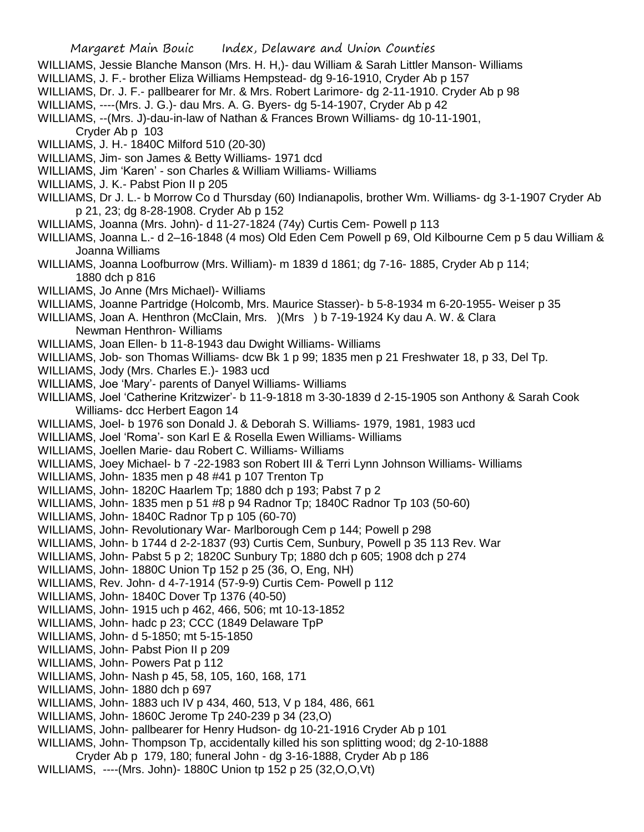- WILLIAMS, Jessie Blanche Manson (Mrs. H. H,)- dau William & Sarah Littler Manson- Williams
- WILLIAMS, J. F.- brother Eliza Williams Hempstead- dg 9-16-1910, Cryder Ab p 157
- WILLIAMS, Dr. J. F.- pallbearer for Mr. & Mrs. Robert Larimore- dg 2-11-1910. Cryder Ab p 98
- WILLIAMS, ----(Mrs. J. G.)- dau Mrs. A. G. Byers- dg 5-14-1907, Cryder Ab p 42
- WILLIAMS, --(Mrs. J)-dau-in-law of Nathan & Frances Brown Williams- dg 10-11-1901,
	- Cryder Ab p 103
- WILLIAMS, J. H.- 1840C Milford 510 (20-30)
- WILLIAMS, Jim- son James & Betty Williams- 1971 dcd
- WILLIAMS, Jim 'Karen' son Charles & William Williams- Williams
- WILLIAMS, J. K.- Pabst Pion II p 205
- WILLIAMS, Dr J. L.- b Morrow Co d Thursday (60) Indianapolis, brother Wm. Williams- dg 3-1-1907 Cryder Ab p 21, 23; dg 8-28-1908. Cryder Ab p 152
- WILLIAMS, Joanna (Mrs. John)- d 11-27-1824 (74y) Curtis Cem- Powell p 113
- WILLIAMS, Joanna L.- d 2–16-1848 (4 mos) Old Eden Cem Powell p 69, Old Kilbourne Cem p 5 dau William & Joanna Williams
- WILLIAMS, Joanna Loofburrow (Mrs. William)- m 1839 d 1861; dg 7-16- 1885, Cryder Ab p 114; 1880 dch p 816
- WILLIAMS, Jo Anne (Mrs Michael)- Williams
- WILLIAMS, Joanne Partridge (Holcomb, Mrs. Maurice Stasser)- b 5-8-1934 m 6-20-1955- Weiser p 35
- WILLIAMS, Joan A. Henthron (McClain, Mrs. )(Mrs ) b 7-19-1924 Ky dau A. W. & Clara Newman Henthron- Williams
- WILLIAMS, Joan Ellen- b 11-8-1943 dau Dwight Williams- Williams
- WILLIAMS, Job- son Thomas Williams- dcw Bk 1 p 99; 1835 men p 21 Freshwater 18, p 33, Del Tp.
- WILLIAMS, Jody (Mrs. Charles E.)- 1983 ucd
- WILLIAMS, Joe 'Mary'- parents of Danyel Williams- Williams
- WILLIAMS, Joel 'Catherine Kritzwizer'- b 11-9-1818 m 3-30-1839 d 2-15-1905 son Anthony & Sarah Cook Williams- dcc Herbert Eagon 14
- WILLIAMS, Joel- b 1976 son Donald J. & Deborah S. Williams- 1979, 1981, 1983 ucd
- WILLIAMS, Joel 'Roma'- son Karl E & Rosella Ewen Williams- Williams
- WILLIAMS, Joellen Marie- dau Robert C. Williams- Williams
- WILLIAMS, Joey Michael- b 7 -22-1983 son Robert III & Terri Lynn Johnson Williams- Williams
- WILLIAMS, John- 1835 men p 48 #41 p 107 Trenton Tp
- WILLIAMS, John- 1820C Haarlem Tp; 1880 dch p 193; Pabst 7 p 2
- WILLIAMS, John- 1835 men p 51 #8 p 94 Radnor Tp; 1840C Radnor Tp 103 (50-60)
- WILLIAMS, John- 1840C Radnor Tp p 105 (60-70)
- WILLIAMS, John- Revolutionary War- Marlborough Cem p 144; Powell p 298
- WILLIAMS, John- b 1744 d 2-2-1837 (93) Curtis Cem, Sunbury, Powell p 35 113 Rev. War
- WILLIAMS, John- Pabst 5 p 2; 1820C Sunbury Tp; 1880 dch p 605; 1908 dch p 274
- WILLIAMS, John- 1880C Union Tp 152 p 25 (36, O, Eng, NH)
- WILLIAMS, Rev. John- d 4-7-1914 (57-9-9) Curtis Cem- Powell p 112
- WILLIAMS, John- 1840C Dover Tp 1376 (40-50)
- WILLIAMS, John- 1915 uch p 462, 466, 506; mt 10-13-1852
- WILLIAMS, John- hadc p 23; CCC (1849 Delaware TpP
- WILLIAMS, John- d 5-1850; mt 5-15-1850
- WILLIAMS, John- Pabst Pion II p 209
- WILLIAMS, John- Powers Pat p 112
- WILLIAMS, John- Nash p 45, 58, 105, 160, 168, 171
- WILLIAMS, John- 1880 dch p 697
- WILLIAMS, John- 1883 uch IV p 434, 460, 513, V p 184, 486, 661
- WILLIAMS, John- 1860C Jerome Tp 240-239 p 34 (23,O)
- WILLIAMS, John- pallbearer for Henry Hudson- dg 10-21-1916 Cryder Ab p 101
- WILLIAMS, John- Thompson Tp, accidentally killed his son splitting wood; dg 2-10-1888
- Cryder Ab p 179, 180; funeral John dg 3-16-1888, Cryder Ab p 186
- WILLIAMS, ----(Mrs. John)- 1880C Union tp 152 p 25 (32,O,O,Vt)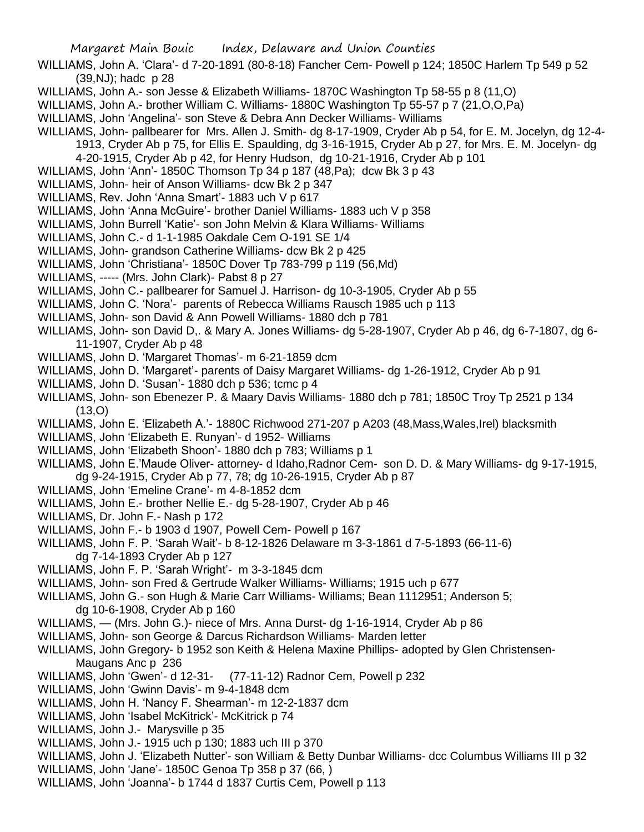WILLIAMS, John A. 'Clara'- d 7-20-1891 (80-8-18) Fancher Cem- Powell p 124; 1850C Harlem Tp 549 p 52 (39,NJ); hadc p 28

- WILLIAMS, John A.- son Jesse & Elizabeth Williams- 1870C Washington Tp 58-55 p 8 (11,O)
- WILLIAMS, John A.- brother William C. Williams- 1880C Washington Tp 55-57 p 7 (21,O,O,Pa)
- WILLIAMS, John 'Angelina'- son Steve & Debra Ann Decker Williams- Williams
- WILLIAMS, John- pallbearer for Mrs. Allen J. Smith- dg 8-17-1909, Cryder Ab p 54, for E. M. Jocelyn, dg 12-4-
	- 1913, Cryder Ab p 75, for Ellis E. Spaulding, dg 3-16-1915, Cryder Ab p 27, for Mrs. E. M. Jocelyn- dg 4-20-1915, Cryder Ab p 42, for Henry Hudson, dg 10-21-1916, Cryder Ab p 101
- WILLIAMS, John 'Ann'- 1850C Thomson Tp 34 p 187 (48,Pa); dcw Bk 3 p 43
- WILLIAMS, John- heir of Anson Williams- dcw Bk 2 p 347
- WILLIAMS, Rev. John 'Anna Smart'- 1883 uch V p 617
- WILLIAMS, John 'Anna McGuire'- brother Daniel Williams- 1883 uch V p 358
- WILLIAMS, John Burrell 'Katie'- son John Melvin & Klara Williams- Williams
- WILLIAMS, John C.- d 1-1-1985 Oakdale Cem O-191 SE 1/4
- WILLIAMS, John- grandson Catherine Williams- dcw Bk 2 p 425
- WILLIAMS, John 'Christiana'- 1850C Dover Tp 783-799 p 119 (56,Md)
- WILLIAMS, ----- (Mrs. John Clark)- Pabst 8 p 27
- WILLIAMS, John C.- pallbearer for Samuel J. Harrison- dg 10-3-1905, Cryder Ab p 55
- WILLIAMS, John C. 'Nora'- parents of Rebecca Williams Rausch 1985 uch p 113
- WILLIAMS, John- son David & Ann Powell Williams- 1880 dch p 781
- WILLIAMS, John- son David D,. & Mary A. Jones Williams- dg 5-28-1907, Cryder Ab p 46, dg 6-7-1807, dg 6- 11-1907, Cryder Ab p 48
- WILLIAMS, John D. 'Margaret Thomas'- m 6-21-1859 dcm
- WILLIAMS, John D. 'Margaret'- parents of Daisy Margaret Williams- dg 1-26-1912, Cryder Ab p 91
- WILLIAMS, John D. 'Susan'- 1880 dch p 536; tcmc p 4
- WILLIAMS, John- son Ebenezer P. & Maary Davis Williams- 1880 dch p 781; 1850C Troy Tp 2521 p 134  $(13,0)$
- WILLIAMS, John E. 'Elizabeth A.'- 1880C Richwood 271-207 p A203 (48,Mass,Wales,Irel) blacksmith
- WILLIAMS, John 'Elizabeth E. Runyan'- d 1952- Williams
- WILLIAMS, John 'Elizabeth Shoon'- 1880 dch p 783; Williams p 1
- WILLIAMS, John E.'Maude Oliver- attorney- d Idaho,Radnor Cem- son D. D. & Mary Williams- dg 9-17-1915, dg 9-24-1915, Cryder Ab p 77, 78; dg 10-26-1915, Cryder Ab p 87
- WILLIAMS, John 'Emeline Crane'- m 4-8-1852 dcm
- WILLIAMS, John E.- brother Nellie E.- dg 5-28-1907, Cryder Ab p 46
- WILLIAMS, Dr. John F.- Nash p 172
- WILLIAMS, John F.- b 1903 d 1907, Powell Cem- Powell p 167
- WILLIAMS, John F. P. 'Sarah Wait'- b 8-12-1826 Delaware m 3-3-1861 d 7-5-1893 (66-11-6) dg 7-14-1893 Cryder Ab p 127
- WILLIAMS, John F. P. 'Sarah Wright'- m 3-3-1845 dcm
- WILLIAMS, John- son Fred & Gertrude Walker Williams- Williams; 1915 uch p 677
- WILLIAMS, John G.- son Hugh & Marie Carr Williams- Williams; Bean 1112951; Anderson 5; dg 10-6-1908, Cryder Ab p 160
- WILLIAMS, (Mrs. John G.)- niece of Mrs. Anna Durst- dg 1-16-1914, Cryder Ab p 86
- WILLIAMS, John- son George & Darcus Richardson Williams- Marden letter
- WILLIAMS, John Gregory- b 1952 son Keith & Helena Maxine Phillips- adopted by Glen Christensen-Maugans Anc p 236
- WILLIAMS, John 'Gwen'- d 12-31- (77-11-12) Radnor Cem, Powell p 232
- WILLIAMS, John 'Gwinn Davis'- m 9-4-1848 dcm
- WILLIAMS, John H. 'Nancy F. Shearman'- m 12-2-1837 dcm
- WILLIAMS, John 'Isabel McKitrick'- McKitrick p 74
- WILLIAMS, John J.- Marysville p 35
- WILLIAMS, John J.- 1915 uch p 130; 1883 uch III p 370
- WILLIAMS, John J. 'Elizabeth Nutter'- son William & Betty Dunbar Williams- dcc Columbus Williams III p 32
- WILLIAMS, John 'Jane'- 1850C Genoa Tp 358 p 37 (66, )
- WILLIAMS, John 'Joanna'- b 1744 d 1837 Curtis Cem, Powell p 113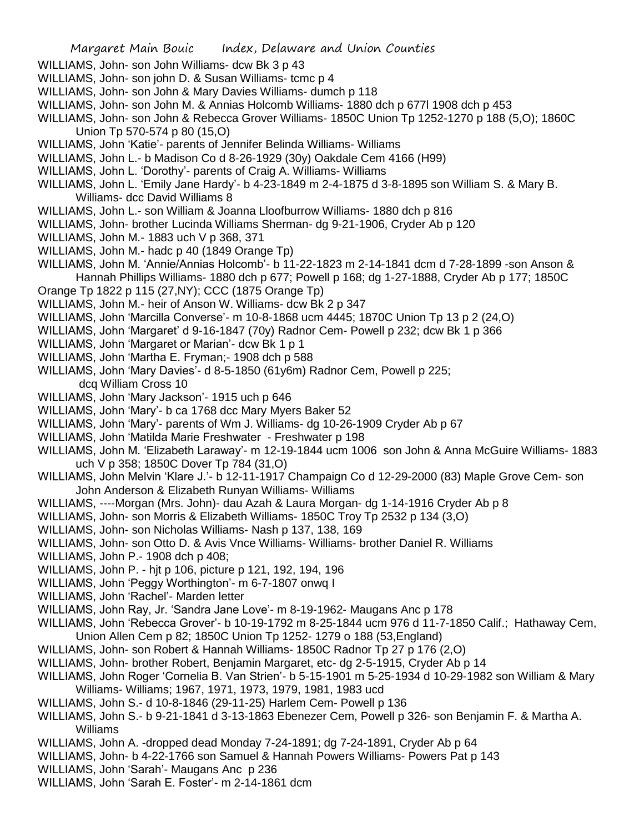- WILLIAMS, John- son John Williams- dcw Bk 3 p 43
- WILLIAMS, John- son john D. & Susan Williams- tcmc p 4
- WILLIAMS, John- son John & Mary Davies Williams- dumch p 118
- WILLIAMS, John- son John M. & Annias Holcomb Williams- 1880 dch p 677l 1908 dch p 453
- WILLIAMS, John- son John & Rebecca Grover Williams- 1850C Union Tp 1252-1270 p 188 (5,O); 1860C Union Tp 570-574 p 80 (15,O)
- WILLIAMS, John 'Katie'- parents of Jennifer Belinda Williams- Williams
- WILLIAMS, John L.- b Madison Co d 8-26-1929 (30y) Oakdale Cem 4166 (H99)
- WILLIAMS, John L. 'Dorothy'- parents of Craig A. Williams- Williams
- WILLIAMS, John L. 'Emily Jane Hardy'- b 4-23-1849 m 2-4-1875 d 3-8-1895 son William S. & Mary B. Williams- dcc David Williams 8
- WILLIAMS, John L.- son William & Joanna Lloofburrow Williams- 1880 dch p 816
- WILLIAMS, John- brother Lucinda Williams Sherman- dg 9-21-1906, Cryder Ab p 120
- WILLIAMS, John M.- 1883 uch V p 368, 371
- WILLIAMS, John M.- hadc p 40 (1849 Orange Tp)
- WILLIAMS, John M. 'Annie/Annias Holcomb'- b 11-22-1823 m 2-14-1841 dcm d 7-28-1899 -son Anson & Hannah Phillips Williams- 1880 dch p 677; Powell p 168; dg 1-27-1888, Cryder Ab p 177; 1850C
- Orange Tp 1822 p 115 (27,NY); CCC (1875 Orange Tp)
- WILLIAMS, John M.- heir of Anson W. Williams- dcw Bk 2 p 347
- WILLIAMS, John 'Marcilla Converse'- m 10-8-1868 ucm 4445; 1870C Union Tp 13 p 2 (24,O)
- WILLIAMS, John 'Margaret' d 9-16-1847 (70y) Radnor Cem- Powell p 232; dcw Bk 1 p 366
- WILLIAMS, John 'Margaret or Marian'- dcw Bk 1 p 1
- WILLIAMS, John 'Martha E. Fryman;- 1908 dch p 588
- WILLIAMS, John 'Mary Davies'- d 8-5-1850 (61y6m) Radnor Cem, Powell p 225; dcq William Cross 10
- WILLIAMS, John 'Mary Jackson'- 1915 uch p 646
- WILLIAMS, John 'Mary'- b ca 1768 dcc Mary Myers Baker 52
- WILLIAMS, John 'Mary'- parents of Wm J. Williams- dg 10-26-1909 Cryder Ab p 67
- WILLIAMS, John 'Matilda Marie Freshwater Freshwater p 198
- WILLIAMS, John M. 'Elizabeth Laraway'- m 12-19-1844 ucm 1006 son John & Anna McGuire Williams- 1883 uch V p 358; 1850C Dover Tp 784 (31,O)
- WILLIAMS, John Melvin 'Klare J.'- b 12-11-1917 Champaign Co d 12-29-2000 (83) Maple Grove Cem- son John Anderson & Elizabeth Runyan Williams- Williams
- WILLIAMS, ----Morgan (Mrs. John)- dau Azah & Laura Morgan- dg 1-14-1916 Cryder Ab p 8
- WILLIAMS, John- son Morris & Elizabeth Williams- 1850C Troy Tp 2532 p 134 (3,O)
- WILLIAMS, John- son Nicholas Williams- Nash p 137, 138, 169
- WILLIAMS, John- son Otto D. & Avis Vnce Williams- Williams- brother Daniel R. Williams
- WILLIAMS, John P.- 1908 dch p 408;
- WILLIAMS, John P. hjt p 106, picture p 121, 192, 194, 196
- WILLIAMS, John 'Peggy Worthington'- m 6-7-1807 onwq I
- WILLIAMS, John 'Rachel'- Marden letter
- WILLIAMS, John Ray, Jr. 'Sandra Jane Love'- m 8-19-1962- Maugans Anc p 178
- WILLIAMS, John 'Rebecca Grover'- b 10-19-1792 m 8-25-1844 ucm 976 d 11-7-1850 Calif.; Hathaway Cem, Union Allen Cem p 82; 1850C Union Tp 1252- 1279 o 188 (53,England)
- WILLIAMS, John- son Robert & Hannah Williams- 1850C Radnor Tp 27 p 176 (2,O)
- WILLIAMS, John- brother Robert, Benjamin Margaret, etc- dg 2-5-1915, Cryder Ab p 14
- WILLIAMS, John Roger 'Cornelia B. Van Strien'- b 5-15-1901 m 5-25-1934 d 10-29-1982 son William & Mary Williams- Williams; 1967, 1971, 1973, 1979, 1981, 1983 ucd
- WILLIAMS, John S.- d 10-8-1846 (29-11-25) Harlem Cem- Powell p 136
- WILLIAMS, John S.- b 9-21-1841 d 3-13-1863 Ebenezer Cem, Powell p 326- son Benjamin F. & Martha A. Williams
- WILLIAMS, John A. -dropped dead Monday 7-24-1891; dg 7-24-1891, Cryder Ab p 64
- WILLIAMS, John- b 4-22-1766 son Samuel & Hannah Powers Williams- Powers Pat p 143
- WILLIAMS, John 'Sarah'- Maugans Anc p 236
- WILLIAMS, John 'Sarah E. Foster'- m 2-14-1861 dcm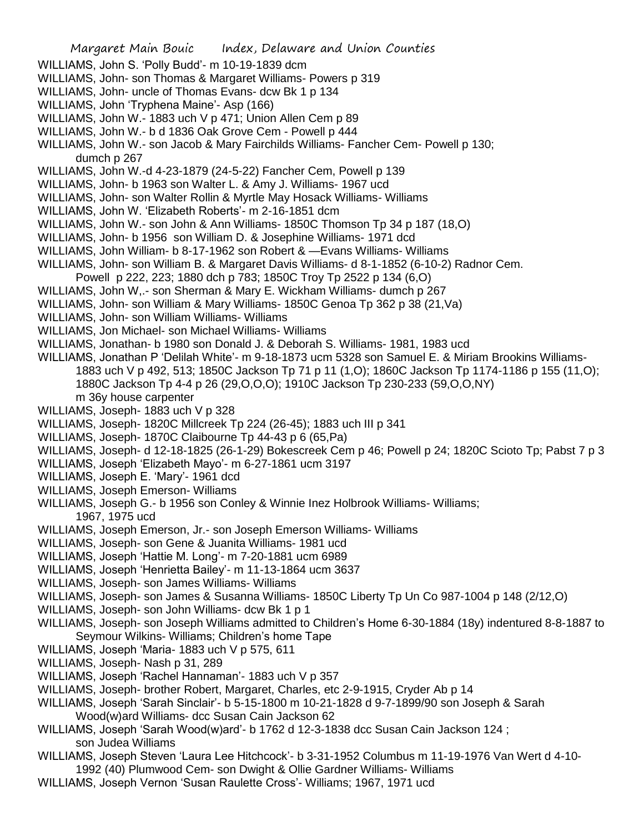- WILLIAMS, John S. 'Polly Budd'- m 10-19-1839 dcm
- WILLIAMS, John- son Thomas & Margaret Williams- Powers p 319
- WILLIAMS, John- uncle of Thomas Evans- dcw Bk 1 p 134
- WILLIAMS, John 'Tryphena Maine'- Asp (166)
- WILLIAMS, John W.- 1883 uch V p 471; Union Allen Cem p 89
- WILLIAMS, John W.- b d 1836 Oak Grove Cem Powell p 444
- WILLIAMS, John W.- son Jacob & Mary Fairchilds Williams- Fancher Cem- Powell p 130; dumch p 267
- WILLIAMS, John W.-d 4-23-1879 (24-5-22) Fancher Cem, Powell p 139
- WILLIAMS, John- b 1963 son Walter L. & Amy J. Williams- 1967 ucd
- WILLIAMS, John- son Walter Rollin & Myrtle May Hosack Williams- Williams
- WILLIAMS, John W. 'Elizabeth Roberts'- m 2-16-1851 dcm
- WILLIAMS, John W.- son John & Ann Williams- 1850C Thomson Tp 34 p 187 (18,O)
- WILLIAMS, John- b 1956 son William D. & Josephine Williams- 1971 dcd
- WILLIAMS, John William- b 8-17-1962 son Robert & —Evans Williams- Williams
- WILLIAMS, John- son William B. & Margaret Davis Williams- d 8-1-1852 (6-10-2) Radnor Cem. Powell p 222, 223; 1880 dch p 783; 1850C Troy Tp 2522 p 134 (6,O)
- WILLIAMS, John W,.- son Sherman & Mary E. Wickham Williams- dumch p 267
- WILLIAMS, John- son William & Mary Williams- 1850C Genoa Tp 362 p 38 (21,Va)
- WILLIAMS, John- son William Williams- Williams
- WILLIAMS, Jon Michael- son Michael Williams- Williams
- WILLIAMS, Jonathan- b 1980 son Donald J. & Deborah S. Williams- 1981, 1983 ucd
- WILLIAMS, Jonathan P 'Delilah White'- m 9-18-1873 ucm 5328 son Samuel E. & Miriam Brookins Williams-1883 uch V p 492, 513; 1850C Jackson Tp 71 p 11 (1,O); 1860C Jackson Tp 1174-1186 p 155 (11,O); 1880C Jackson Tp 4-4 p 26 (29,O,O,O); 1910C Jackson Tp 230-233 (59,O,O,NY) m 36y house carpenter
- WILLIAMS, Joseph- 1883 uch V p 328
- WILLIAMS, Joseph- 1820C Millcreek Tp 224 (26-45); 1883 uch III p 341
- WILLIAMS, Joseph- 1870C Claibourne Tp 44-43 p 6 (65,Pa)
- WILLIAMS, Joseph- d 12-18-1825 (26-1-29) Bokescreek Cem p 46; Powell p 24; 1820C Scioto Tp; Pabst 7 p 3
- WILLIAMS, Joseph 'Elizabeth Mayo'- m 6-27-1861 ucm 3197
- WILLIAMS, Joseph E. 'Mary'- 1961 dcd
- WILLIAMS, Joseph Emerson- Williams
- WILLIAMS, Joseph G.- b 1956 son Conley & Winnie Inez Holbrook Williams- Williams; 1967, 1975 ucd
- WILLIAMS, Joseph Emerson, Jr.- son Joseph Emerson Williams- Williams
- WILLIAMS, Joseph- son Gene & Juanita Williams- 1981 ucd
- WILLIAMS, Joseph 'Hattie M. Long'- m 7-20-1881 ucm 6989
- WILLIAMS, Joseph 'Henrietta Bailey'- m 11-13-1864 ucm 3637
- WILLIAMS, Joseph- son James Williams- Williams
- WILLIAMS, Joseph- son James & Susanna Williams- 1850C Liberty Tp Un Co 987-1004 p 148 (2/12,O)
- WILLIAMS, Joseph- son John Williams- dcw Bk 1 p 1
- WILLIAMS, Joseph- son Joseph Williams admitted to Children's Home 6-30-1884 (18y) indentured 8-8-1887 to Seymour Wilkins- Williams; Children's home Tape
- WILLIAMS, Joseph 'Maria- 1883 uch V p 575, 611
- WILLIAMS, Joseph- Nash p 31, 289
- WILLIAMS, Joseph 'Rachel Hannaman'- 1883 uch V p 357
- WILLIAMS, Joseph- brother Robert, Margaret, Charles, etc 2-9-1915, Cryder Ab p 14
- WILLIAMS, Joseph 'Sarah Sinclair'- b 5-15-1800 m 10-21-1828 d 9-7-1899/90 son Joseph & Sarah Wood(w)ard Williams- dcc Susan Cain Jackson 62
- WILLIAMS, Joseph 'Sarah Wood(w)ard'- b 1762 d 12-3-1838 dcc Susan Cain Jackson 124 ; son Judea Williams
- WILLIAMS, Joseph Steven 'Laura Lee Hitchcock'- b 3-31-1952 Columbus m 11-19-1976 Van Wert d 4-10- 1992 (40) Plumwood Cem- son Dwight & Ollie Gardner Williams- Williams
- WILLIAMS, Joseph Vernon 'Susan Raulette Cross'- Williams; 1967, 1971 ucd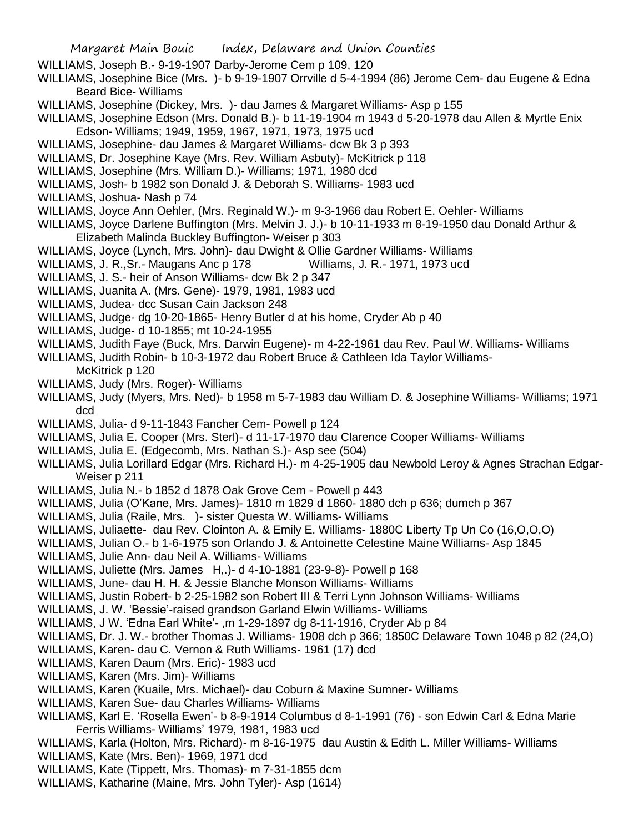- WILLIAMS, Joseph B.- 9-19-1907 Darby-Jerome Cem p 109, 120
- WILLIAMS, Josephine Bice (Mrs. )- b 9-19-1907 Orrville d 5-4-1994 (86) Jerome Cem- dau Eugene & Edna Beard Bice- Williams
- WILLIAMS, Josephine (Dickey, Mrs. )- dau James & Margaret Williams- Asp p 155
- WILLIAMS, Josephine Edson (Mrs. Donald B.)- b 11-19-1904 m 1943 d 5-20-1978 dau Allen & Myrtle Enix Edson- Williams; 1949, 1959, 1967, 1971, 1973, 1975 ucd
- WILLIAMS, Josephine- dau James & Margaret Williams- dcw Bk 3 p 393
- WILLIAMS, Dr. Josephine Kaye (Mrs. Rev. William Asbuty)- McKitrick p 118
- WILLIAMS, Josephine (Mrs. William D.)- Williams; 1971, 1980 dcd
- WILLIAMS, Josh- b 1982 son Donald J. & Deborah S. Williams- 1983 ucd
- WILLIAMS, Joshua- Nash p 74
- WILLIAMS, Joyce Ann Oehler, (Mrs. Reginald W.)- m 9-3-1966 dau Robert E. Oehler- Williams
- WILLIAMS, Joyce Darlene Buffington (Mrs. Melvin J. J.)- b 10-11-1933 m 8-19-1950 dau Donald Arthur & Elizabeth Malinda Buckley Buffington- Weiser p 303
- WILLIAMS, Joyce (Lynch, Mrs. John)- dau Dwight & Ollie Gardner Williams- Williams
- WILLIAMS, J. R., Sr. Maugans Anc p 178 Williams, J. R. 1971, 1973 ucd
- WILLIAMS, J. S.- heir of Anson Williams- dcw Bk 2 p 347
- WILLIAMS, Juanita A. (Mrs. Gene)- 1979, 1981, 1983 ucd
- WILLIAMS, Judea- dcc Susan Cain Jackson 248
- WILLIAMS, Judge- dg 10-20-1865- Henry Butler d at his home, Cryder Ab p 40
- WILLIAMS, Judge- d 10-1855; mt 10-24-1955
- WILLIAMS, Judith Faye (Buck, Mrs. Darwin Eugene)- m 4-22-1961 dau Rev. Paul W. Williams- Williams
- WILLIAMS, Judith Robin- b 10-3-1972 dau Robert Bruce & Cathleen Ida Taylor Williams-

McKitrick p 120

- WILLIAMS, Judy (Mrs. Roger)- Williams
- WILLIAMS, Judy (Myers, Mrs. Ned)- b 1958 m 5-7-1983 dau William D. & Josephine Williams- Williams; 1971 dcd
- WILLIAMS, Julia- d 9-11-1843 Fancher Cem- Powell p 124
- WILLIAMS, Julia E. Cooper (Mrs. Sterl)- d 11-17-1970 dau Clarence Cooper Williams- Williams
- WILLIAMS, Julia E. (Edgecomb, Mrs. Nathan S.)- Asp see (504)
- WILLIAMS, Julia Lorillard Edgar (Mrs. Richard H.)- m 4-25-1905 dau Newbold Leroy & Agnes Strachan Edgar-Weiser p 211
- WILLIAMS, Julia N.- b 1852 d 1878 Oak Grove Cem Powell p 443
- WILLIAMS, Julia (O'Kane, Mrs. James)- 1810 m 1829 d 1860- 1880 dch p 636; dumch p 367
- WILLIAMS, Julia (Raile, Mrs. )- sister Questa W. Williams- Williams
- WILLIAMS, Juliaette- dau Rev. Clointon A. & Emily E. Williams- 1880C Liberty Tp Un Co (16,O,O,O)
- WILLIAMS, Julian O.- b 1-6-1975 son Orlando J. & Antoinette Celestine Maine Williams- Asp 1845
- WILLIAMS, Julie Ann- dau Neil A. Williams- Williams
- WILLIAMS, Juliette (Mrs. James H,.)- d 4-10-1881 (23-9-8)- Powell p 168
- WILLIAMS, June- dau H. H. & Jessie Blanche Monson Williams- Williams
- WILLIAMS, Justin Robert- b 2-25-1982 son Robert III & Terri Lynn Johnson Williams- Williams
- WILLIAMS, J. W. 'Bessie'-raised grandson Garland Elwin Williams- Williams
- WILLIAMS, J W. 'Edna Earl White'- ,m 1-29-1897 dg 8-11-1916, Cryder Ab p 84
- WILLIAMS, Dr. J. W.- brother Thomas J. Williams- 1908 dch p 366; 1850C Delaware Town 1048 p 82 (24,O)
- WILLIAMS, Karen- dau C. Vernon & Ruth Williams- 1961 (17) dcd
- WILLIAMS, Karen Daum (Mrs. Eric)- 1983 ucd
- WILLIAMS, Karen (Mrs. Jim)- Williams
- WILLIAMS, Karen (Kuaile, Mrs. Michael)- dau Coburn & Maxine Sumner- Williams
- WILLIAMS, Karen Sue- dau Charles Williams- Williams
- WILLIAMS, Karl E. 'Rosella Ewen'- b 8-9-1914 Columbus d 8-1-1991 (76) son Edwin Carl & Edna Marie Ferris Williams- Williams' 1979, 1981, 1983 ucd
- WILLIAMS, Karla (Holton, Mrs. Richard)- m 8-16-1975 dau Austin & Edith L. Miller Williams- Williams
- WILLIAMS, Kate (Mrs. Ben)- 1969, 1971 dcd
- WILLIAMS, Kate (Tippett, Mrs. Thomas)- m 7-31-1855 dcm
- WILLIAMS, Katharine (Maine, Mrs. John Tyler)- Asp (1614)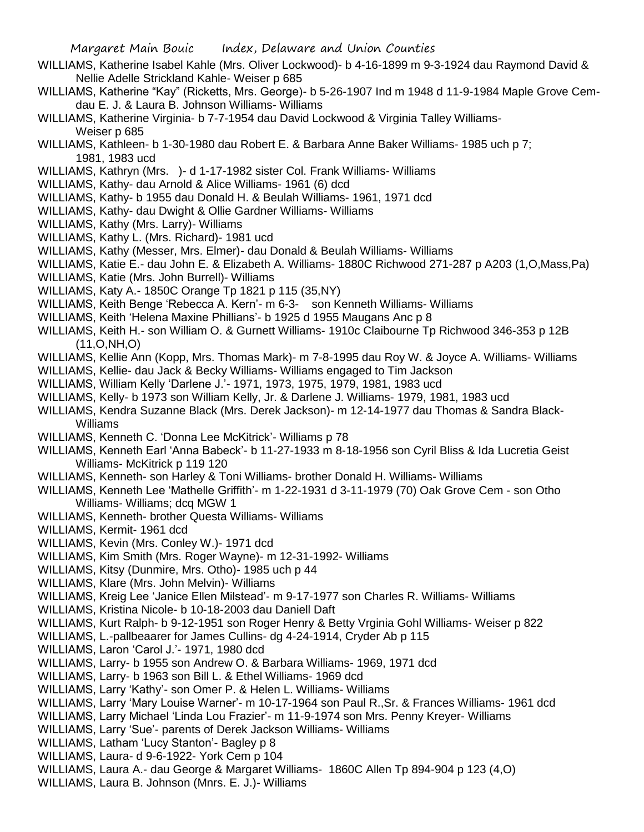- WILLIAMS, Katherine Isabel Kahle (Mrs. Oliver Lockwood)- b 4-16-1899 m 9-3-1924 dau Raymond David & Nellie Adelle Strickland Kahle- Weiser p 685
- WILLIAMS, Katherine "Kay" (Ricketts, Mrs. George)- b 5-26-1907 Ind m 1948 d 11-9-1984 Maple Grove Cemdau E. J. & Laura B. Johnson Williams- Williams
- WILLIAMS, Katherine Virginia- b 7-7-1954 dau David Lockwood & Virginia Talley Williams-Weiser p 685
- WILLIAMS, Kathleen- b 1-30-1980 dau Robert E. & Barbara Anne Baker Williams- 1985 uch p 7; 1981, 1983 ucd
- WILLIAMS, Kathryn (Mrs. )- d 1-17-1982 sister Col. Frank Williams- Williams
- WILLIAMS, Kathy- dau Arnold & Alice Williams- 1961 (6) dcd
- WILLIAMS, Kathy- b 1955 dau Donald H. & Beulah Williams- 1961, 1971 dcd
- WILLIAMS, Kathy- dau Dwight & Ollie Gardner Williams- Williams
- WILLIAMS, Kathy (Mrs. Larry)- Williams
- WILLIAMS, Kathy L. (Mrs. Richard)- 1981 ucd
- WILLIAMS, Kathy (Messer, Mrs. Elmer)- dau Donald & Beulah Williams- Williams
- WILLIAMS, Katie E.- dau John E. & Elizabeth A. Williams- 1880C Richwood 271-287 p A203 (1,O,Mass,Pa)
- WILLIAMS, Katie (Mrs. John Burrell)- Williams
- WILLIAMS, Katy A.- 1850C Orange Tp 1821 p 115 (35,NY)
- WILLIAMS, Keith Benge 'Rebecca A. Kern'- m 6-3- son Kenneth Williams- Williams
- WILLIAMS, Keith 'Helena Maxine Phillians'- b 1925 d 1955 Maugans Anc p 8
- WILLIAMS, Keith H.- son William O. & Gurnett Williams- 1910c Claibourne Tp Richwood 346-353 p 12B (11,O,NH,O)
- WILLIAMS, Kellie Ann (Kopp, Mrs. Thomas Mark)- m 7-8-1995 dau Roy W. & Joyce A. Williams- Williams
- WILLIAMS, Kellie- dau Jack & Becky Williams- Williams engaged to Tim Jackson
- WILLIAMS, William Kelly 'Darlene J.'- 1971, 1973, 1975, 1979, 1981, 1983 ucd
- WILLIAMS, Kelly- b 1973 son William Kelly, Jr. & Darlene J. Williams- 1979, 1981, 1983 ucd
- WILLIAMS, Kendra Suzanne Black (Mrs. Derek Jackson)- m 12-14-1977 dau Thomas & Sandra Black-Williams
- WILLIAMS, Kenneth C. 'Donna Lee McKitrick'- Williams p 78
- WILLIAMS, Kenneth Earl 'Anna Babeck'- b 11-27-1933 m 8-18-1956 son Cyril Bliss & Ida Lucretia Geist Williams- McKitrick p 119 120
- WILLIAMS, Kenneth- son Harley & Toni Williams- brother Donald H. Williams- Williams
- WILLIAMS, Kenneth Lee 'Mathelle Griffith'- m 1-22-1931 d 3-11-1979 (70) Oak Grove Cem son Otho Williams- Williams; dcq MGW 1
- WILLIAMS, Kenneth- brother Questa Williams- Williams
- WILLIAMS, Kermit- 1961 dcd
- WILLIAMS, Kevin (Mrs. Conley W.)- 1971 dcd
- WILLIAMS, Kim Smith (Mrs. Roger Wayne)- m 12-31-1992- Williams
- WILLIAMS, Kitsy (Dunmire, Mrs. Otho)- 1985 uch p 44
- WILLIAMS, Klare (Mrs. John Melvin)- Williams
- WILLIAMS, Kreig Lee 'Janice Ellen Milstead'- m 9-17-1977 son Charles R. Williams- Williams
- WILLIAMS, Kristina Nicole- b 10-18-2003 dau Daniell Daft
- WILLIAMS, Kurt Ralph- b 9-12-1951 son Roger Henry & Betty Vrginia Gohl Williams- Weiser p 822
- WILLIAMS, L.-pallbeaarer for James Cullins- dg 4-24-1914, Cryder Ab p 115
- WILLIAMS, Laron 'Carol J.'- 1971, 1980 dcd
- WILLIAMS, Larry- b 1955 son Andrew O. & Barbara Williams- 1969, 1971 dcd
- WILLIAMS, Larry- b 1963 son Bill L. & Ethel Williams- 1969 dcd
- WILLIAMS, Larry 'Kathy'- son Omer P. & Helen L. Williams- Williams
- WILLIAMS, Larry 'Mary Louise Warner'- m 10-17-1964 son Paul R.,Sr. & Frances Williams- 1961 dcd
- WILLIAMS, Larry Michael 'Linda Lou Frazier'- m 11-9-1974 son Mrs. Penny Kreyer- Williams
- WILLIAMS, Larry 'Sue'- parents of Derek Jackson Williams- Williams
- WILLIAMS, Latham 'Lucy Stanton'- Bagley p 8
- WILLIAMS, Laura- d 9-6-1922- York Cem p 104
- WILLIAMS, Laura A.- dau George & Margaret Williams- 1860C Allen Tp 894-904 p 123 (4,O)
- WILLIAMS, Laura B. Johnson (Mnrs. E. J.)- Williams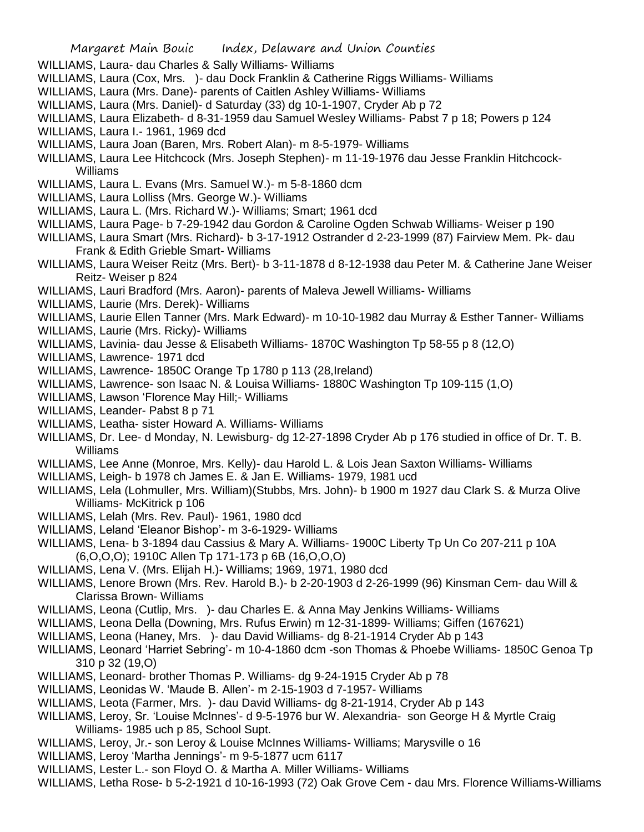- WILLIAMS, Laura- dau Charles & Sally Williams- Williams
- WILLIAMS, Laura (Cox, Mrs. )- dau Dock Franklin & Catherine Riggs Williams- Williams
- WILLIAMS, Laura (Mrs. Dane)- parents of Caitlen Ashley Williams- Williams
- WILLIAMS, Laura (Mrs. Daniel)- d Saturday (33) dg 10-1-1907, Cryder Ab p 72
- WILLIAMS, Laura Elizabeth- d 8-31-1959 dau Samuel Wesley Williams- Pabst 7 p 18; Powers p 124
- WILLIAMS, Laura I.- 1961, 1969 dcd
- WILLIAMS, Laura Joan (Baren, Mrs. Robert Alan)- m 8-5-1979- Williams
- WILLIAMS, Laura Lee Hitchcock (Mrs. Joseph Stephen)- m 11-19-1976 dau Jesse Franklin Hitchcock-Williams
- WILLIAMS, Laura L. Evans (Mrs. Samuel W.)- m 5-8-1860 dcm
- WILLIAMS, Laura Lolliss (Mrs. George W.)- Williams
- WILLIAMS, Laura L. (Mrs. Richard W.)- Williams; Smart; 1961 dcd
- WILLIAMS, Laura Page- b 7-29-1942 dau Gordon & Caroline Ogden Schwab Williams- Weiser p 190
- WILLIAMS, Laura Smart (Mrs. Richard)- b 3-17-1912 Ostrander d 2-23-1999 (87) Fairview Mem. Pk- dau Frank & Edith Grieble Smart- Williams
- WILLIAMS, Laura Weiser Reitz (Mrs. Bert)- b 3-11-1878 d 8-12-1938 dau Peter M. & Catherine Jane Weiser Reitz- Weiser p 824
- WILLIAMS, Lauri Bradford (Mrs. Aaron)- parents of Maleva Jewell Williams- Williams
- WILLIAMS, Laurie (Mrs. Derek)- Williams
- WILLIAMS, Laurie Ellen Tanner (Mrs. Mark Edward)- m 10-10-1982 dau Murray & Esther Tanner- Williams
- WILLIAMS, Laurie (Mrs. Ricky)- Williams
- WILLIAMS, Lavinia- dau Jesse & Elisabeth Williams- 1870C Washington Tp 58-55 p 8 (12,O)
- WILLIAMS, Lawrence- 1971 dcd
- WILLIAMS, Lawrence- 1850C Orange Tp 1780 p 113 (28,Ireland)
- WILLIAMS, Lawrence- son Isaac N. & Louisa Williams- 1880C Washington Tp 109-115 (1,O)
- WILLIAMS, Lawson 'Florence May Hill;- Williams
- WILLIAMS, Leander- Pabst 8 p 71
- WILLIAMS, Leatha- sister Howard A. Williams- Williams
- WILLIAMS, Dr. Lee- d Monday, N. Lewisburg- dg 12-27-1898 Cryder Ab p 176 studied in office of Dr. T. B. Williams
- WILLIAMS, Lee Anne (Monroe, Mrs. Kelly)- dau Harold L. & Lois Jean Saxton Williams- Williams
- WILLIAMS, Leigh- b 1978 ch James E. & Jan E. Williams- 1979, 1981 ucd
- WILLIAMS, Lela (Lohmuller, Mrs. William)(Stubbs, Mrs. John)- b 1900 m 1927 dau Clark S. & Murza Olive Williams- McKitrick p 106
- WILLIAMS, Lelah (Mrs. Rev. Paul)- 1961, 1980 dcd
- WILLIAMS, Leland 'Eleanor Bishop'- m 3-6-1929- Williams
- WILLIAMS, Lena- b 3-1894 dau Cassius & Mary A. Williams- 1900C Liberty Tp Un Co 207-211 p 10A (6,O,O,O); 1910C Allen Tp 171-173 p 6B (16,O,O,O)
- WILLIAMS, Lena V. (Mrs. Elijah H.)- Williams; 1969, 1971, 1980 dcd
- WILLIAMS, Lenore Brown (Mrs. Rev. Harold B.)- b 2-20-1903 d 2-26-1999 (96) Kinsman Cem- dau Will & Clarissa Brown- Williams
- WILLIAMS, Leona (Cutlip, Mrs. )- dau Charles E. & Anna May Jenkins Williams- Williams
- WILLIAMS, Leona Della (Downing, Mrs. Rufus Erwin) m 12-31-1899- Williams; Giffen (167621)
- WILLIAMS, Leona (Haney, Mrs. )- dau David Williams- dg 8-21-1914 Cryder Ab p 143
- WILLIAMS, Leonard 'Harriet Sebring'- m 10-4-1860 dcm -son Thomas & Phoebe Williams- 1850C Genoa Tp 310 p 32 (19,O)
- WILLIAMS, Leonard- brother Thomas P. Williams- dg 9-24-1915 Cryder Ab p 78
- WILLIAMS, Leonidas W. 'Maude B. Allen'- m 2-15-1903 d 7-1957- Williams
- WILLIAMS, Leota (Farmer, Mrs. )- dau David Williams- dg 8-21-1914, Cryder Ab p 143
- WILLIAMS, Leroy, Sr. 'Louise McInnes'- d 9-5-1976 bur W. Alexandria- son George H & Myrtle Craig Williams- 1985 uch p 85, School Supt.
- WILLIAMS, Leroy, Jr.- son Leroy & Louise McInnes Williams- Williams; Marysville o 16
- WILLIAMS, Leroy 'Martha Jennings'- m 9-5-1877 ucm 6117
- WILLIAMS, Lester L.- son Floyd O. & Martha A. Miller Williams- Williams
- WILLIAMS, Letha Rose- b 5-2-1921 d 10-16-1993 (72) Oak Grove Cem dau Mrs. Florence Williams-Williams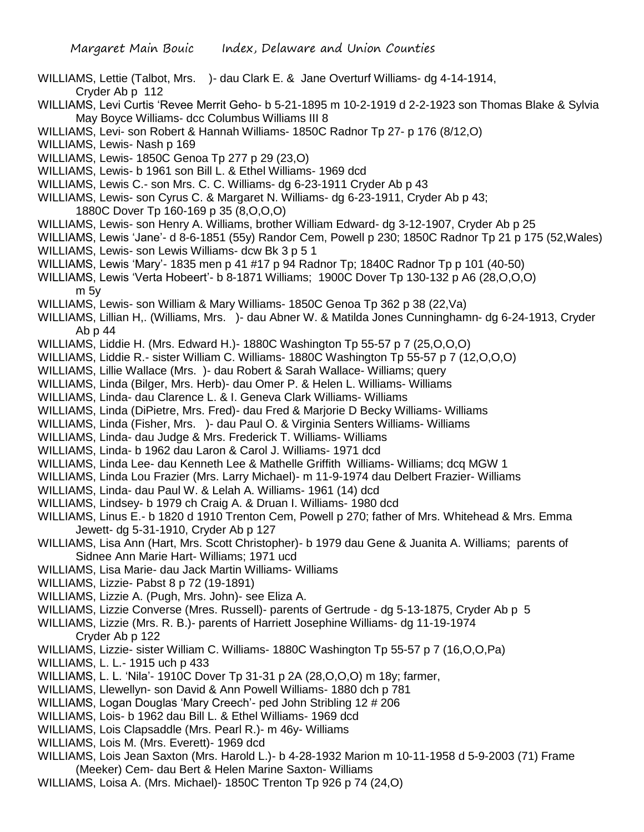- WILLIAMS, Lettie (Talbot, Mrs. )- dau Clark E. & Jane Overturf Williams- dg 4-14-1914, Cryder Ab p 112
- WILLIAMS, Levi Curtis 'Revee Merrit Geho- b 5-21-1895 m 10-2-1919 d 2-2-1923 son Thomas Blake & Sylvia May Boyce Williams- dcc Columbus Williams III 8
- WILLIAMS, Levi- son Robert & Hannah Williams- 1850C Radnor Tp 27- p 176 (8/12,O)
- WILLIAMS, Lewis- Nash p 169
- WILLIAMS, Lewis- 1850C Genoa Tp 277 p 29 (23,O)
- WILLIAMS, Lewis- b 1961 son Bill L. & Ethel Williams- 1969 dcd
- WILLIAMS, Lewis C.- son Mrs. C. C. Williams- dg 6-23-1911 Cryder Ab p 43
- WILLIAMS, Lewis- son Cyrus C. & Margaret N. Williams- dg 6-23-1911, Cryder Ab p 43;
	- 1880C Dover Tp 160-169 p 35 (8,O,O,O)
- WILLIAMS, Lewis- son Henry A. Williams, brother William Edward- dg 3-12-1907, Cryder Ab p 25
- WILLIAMS, Lewis 'Jane'- d 8-6-1851 (55y) Randor Cem, Powell p 230; 1850C Radnor Tp 21 p 175 (52,Wales) WILLIAMS, Lewis- son Lewis Williams- dcw Bk 3 p 5 1
- WILLIAMS, Lewis 'Mary'- 1835 men p 41 #17 p 94 Radnor Tp; 1840C Radnor Tp p 101 (40-50)
- WILLIAMS, Lewis 'Verta Hobeert'- b 8-1871 Williams; 1900C Dover Tp 130-132 p A6 (28,O,O,O) m 5y
- WILLIAMS, Lewis- son William & Mary Williams- 1850C Genoa Tp 362 p 38 (22,Va)
- WILLIAMS, Lillian H,. (Williams, Mrs. )- dau Abner W. & Matilda Jones Cunninghamn- dg 6-24-1913, Cryder Ab p 44
- WILLIAMS, Liddie H. (Mrs. Edward H.)- 1880C Washington Tp 55-57 p 7 (25,O,O,O)
- WILLIAMS, Liddie R.- sister William C. Williams- 1880C Washington Tp 55-57 p 7 (12,O,O,O)
- WILLIAMS, Lillie Wallace (Mrs. )- dau Robert & Sarah Wallace- Williams; query
- WILLIAMS, Linda (Bilger, Mrs. Herb)- dau Omer P. & Helen L. Williams- Williams
- WILLIAMS, Linda- dau Clarence L. & I. Geneva Clark Williams- Williams
- WILLIAMS, Linda (DiPietre, Mrs. Fred)- dau Fred & Marjorie D Becky Williams- Williams
- WILLIAMS, Linda (Fisher, Mrs. )- dau Paul O. & Virginia Senters Williams- Williams
- WILLIAMS, Linda- dau Judge & Mrs. Frederick T. Williams- Williams
- WILLIAMS, Linda- b 1962 dau Laron & Carol J. Williams- 1971 dcd
- WILLIAMS, Linda Lee- dau Kenneth Lee & Mathelle Griffith Williams- Williams; dcq MGW 1
- WILLIAMS, Linda Lou Frazier (Mrs. Larry Michael)- m 11-9-1974 dau Delbert Frazier- Williams
- WILLIAMS, Linda- dau Paul W. & Lelah A. Williams- 1961 (14) dcd
- WILLIAMS, Lindsey- b 1979 ch Craig A. & Druan I. Williams- 1980 dcd
- WILLIAMS, Linus E.- b 1820 d 1910 Trenton Cem, Powell p 270; father of Mrs. Whitehead & Mrs. Emma Jewett- dg 5-31-1910, Cryder Ab p 127
- WILLIAMS, Lisa Ann (Hart, Mrs. Scott Christopher)- b 1979 dau Gene & Juanita A. Williams; parents of Sidnee Ann Marie Hart- Williams; 1971 ucd
- WILLIAMS, Lisa Marie- dau Jack Martin Williams- Williams
- WILLIAMS, Lizzie- Pabst 8 p 72 (19-1891)
- WILLIAMS, Lizzie A. (Pugh, Mrs. John)- see Eliza A.
- WILLIAMS, Lizzie Converse (Mres. Russell)- parents of Gertrude dg 5-13-1875, Cryder Ab p 5
- WILLIAMS, Lizzie (Mrs. R. B.)- parents of Harriett Josephine Williams- dg 11-19-1974 Cryder Ab p 122
- WILLIAMS, Lizzie- sister William C. Williams- 1880C Washington Tp 55-57 p 7 (16,O,O,Pa)
- WILLIAMS, L. L.- 1915 uch p 433
- WILLIAMS, L. L. 'Nila'- 1910C Dover Tp 31-31 p 2A (28,O,O,O) m 18y; farmer,
- WILLIAMS, Llewellyn- son David & Ann Powell Williams- 1880 dch p 781
- WILLIAMS, Logan Douglas 'Mary Creech'- ped John Stribling 12 # 206
- WILLIAMS, Lois- b 1962 dau Bill L. & Ethel Williams- 1969 dcd
- WILLIAMS, Lois Clapsaddle (Mrs. Pearl R.)- m 46y- Williams
- WILLIAMS, Lois M. (Mrs. Everett)- 1969 dcd
- WILLIAMS, Lois Jean Saxton (Mrs. Harold L.)- b 4-28-1932 Marion m 10-11-1958 d 5-9-2003 (71) Frame (Meeker) Cem- dau Bert & Helen Marine Saxton- Williams
- WILLIAMS, Loisa A. (Mrs. Michael)- 1850C Trenton Tp 926 p 74 (24,O)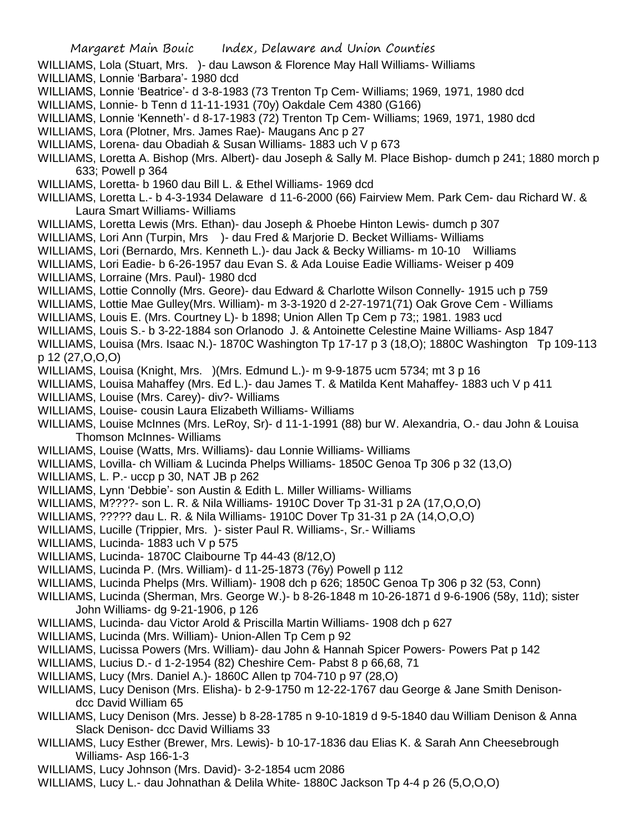- WILLIAMS, Lola (Stuart, Mrs. )- dau Lawson & Florence May Hall Williams- Williams
- WILLIAMS, Lonnie 'Barbara'- 1980 dcd
- WILLIAMS, Lonnie 'Beatrice'- d 3-8-1983 (73 Trenton Tp Cem- Williams; 1969, 1971, 1980 dcd
- WILLIAMS, Lonnie- b Tenn d 11-11-1931 (70y) Oakdale Cem 4380 (G166)
- WILLIAMS, Lonnie 'Kenneth'- d 8-17-1983 (72) Trenton Tp Cem- Williams; 1969, 1971, 1980 dcd
- WILLIAMS, Lora (Plotner, Mrs. James Rae)- Maugans Anc p 27
- WILLIAMS, Lorena- dau Obadiah & Susan Williams- 1883 uch V p 673
- WILLIAMS, Loretta A. Bishop (Mrs. Albert)- dau Joseph & Sally M. Place Bishop- dumch p 241; 1880 morch p 633; Powell p 364
- WILLIAMS, Loretta- b 1960 dau Bill L. & Ethel Williams- 1969 dcd
- WILLIAMS, Loretta L.- b 4-3-1934 Delaware d 11-6-2000 (66) Fairview Mem. Park Cem- dau Richard W. & Laura Smart Williams- Williams
- WILLIAMS, Loretta Lewis (Mrs. Ethan)- dau Joseph & Phoebe Hinton Lewis- dumch p 307
- WILLIAMS, Lori Ann (Turpin, Mrs )- dau Fred & Marjorie D. Becket Williams- Williams
- WILLIAMS, Lori (Bernardo, Mrs. Kenneth L.)- dau Jack & Becky Williams- m 10-10 Williams
- WILLIAMS, Lori Eadie- b 6-26-1957 dau Evan S. & Ada Louise Eadie Williams- Weiser p 409
- WILLIAMS, Lorraine (Mrs. Paul)- 1980 dcd
- WILLIAMS, Lottie Connolly (Mrs. Geore)- dau Edward & Charlotte Wilson Connelly- 1915 uch p 759
- WILLIAMS, Lottie Mae Gulley(Mrs. William)- m 3-3-1920 d 2-27-1971(71) Oak Grove Cem Williams
- WILLIAMS, Louis E. (Mrs. Courtney L)- b 1898; Union Allen Tp Cem p 73;; 1981. 1983 ucd
- WILLIAMS, Louis S.- b 3-22-1884 son Orlanodo J. & Antoinette Celestine Maine Williams- Asp 1847
- WILLIAMS, Louisa (Mrs. Isaac N.)- 1870C Washington Tp 17-17 p 3 (18,O); 1880C Washington Tp 109-113 p 12 (27,O,O,O)
- WILLIAMS, Louisa (Knight, Mrs. )(Mrs. Edmund L.)- m 9-9-1875 ucm 5734; mt 3 p 16
- WILLIAMS, Louisa Mahaffey (Mrs. Ed L.)- dau James T. & Matilda Kent Mahaffey- 1883 uch V p 411
- WILLIAMS, Louise (Mrs. Carey)- div?- Williams
- WILLIAMS, Louise- cousin Laura Elizabeth Williams- Williams
- WILLIAMS, Louise McInnes (Mrs. LeRoy, Sr)- d 11-1-1991 (88) bur W. Alexandria, O.- dau John & Louisa Thomson McInnes- Williams
- WILLIAMS, Louise (Watts, Mrs. Williams)- dau Lonnie Williams- Williams
- WILLIAMS, Lovilla- ch William & Lucinda Phelps Williams- 1850C Genoa Tp 306 p 32 (13,O)
- WILLIAMS, L. P.- uccp p 30, NAT JB p 262
- WILLIAMS, Lynn 'Debbie'- son Austin & Edith L. Miller Williams- Williams
- WILLIAMS, M????- son L. R. & Nila Williams- 1910C Dover Tp 31-31 p 2A (17,O,O,O)
- WILLIAMS, ????? dau L. R. & Nila Williams- 1910C Dover Tp 31-31 p 2A (14,O,O,O)
- WILLIAMS, Lucille (Trippier, Mrs. )- sister Paul R. Williams-, Sr.- Williams
- WILLIAMS, Lucinda- 1883 uch V p 575
- WILLIAMS, Lucinda- 1870C Claibourne Tp 44-43 (8/12,O)
- WILLIAMS, Lucinda P. (Mrs. William)- d 11-25-1873 (76y) Powell p 112
- WILLIAMS, Lucinda Phelps (Mrs. William)- 1908 dch p 626; 1850C Genoa Tp 306 p 32 (53, Conn)
- WILLIAMS, Lucinda (Sherman, Mrs. George W.)- b 8-26-1848 m 10-26-1871 d 9-6-1906 (58y, 11d); sister John Williams- dg 9-21-1906, p 126
- WILLIAMS, Lucinda- dau Victor Arold & Priscilla Martin Williams- 1908 dch p 627
- WILLIAMS, Lucinda (Mrs. William)- Union-Allen Tp Cem p 92
- WILLIAMS, Lucissa Powers (Mrs. William)- dau John & Hannah Spicer Powers- Powers Pat p 142
- WILLIAMS, Lucius D.- d 1-2-1954 (82) Cheshire Cem- Pabst 8 p 66,68, 71
- WILLIAMS, Lucy (Mrs. Daniel A.)- 1860C Allen tp 704-710 p 97 (28,O)
- WILLIAMS, Lucy Denison (Mrs. Elisha)- b 2-9-1750 m 12-22-1767 dau George & Jane Smith Denisondcc David William 65
- WILLIAMS, Lucy Denison (Mrs. Jesse) b 8-28-1785 n 9-10-1819 d 9-5-1840 dau William Denison & Anna Slack Denison- dcc David Williams 33
- WILLIAMS, Lucy Esther (Brewer, Mrs. Lewis)- b 10-17-1836 dau Elias K. & Sarah Ann Cheesebrough Williams- Asp 166-1-3
- WILLIAMS, Lucy Johnson (Mrs. David)- 3-2-1854 ucm 2086
- WILLIAMS, Lucy L.- dau Johnathan & Delila White- 1880C Jackson Tp 4-4 p 26 (5,O,O,O)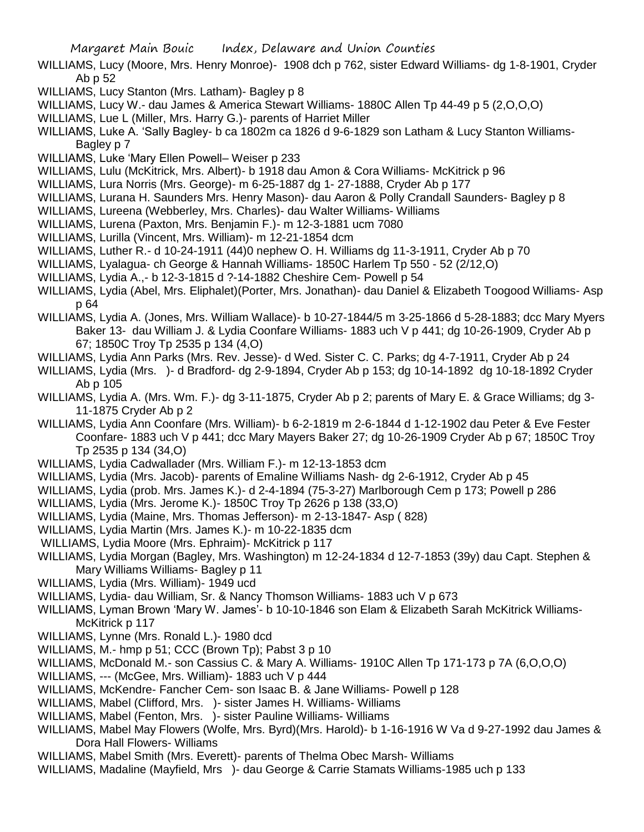- WILLIAMS, Lucy (Moore, Mrs. Henry Monroe)- 1908 dch p 762, sister Edward Williams- dg 1-8-1901, Cryder Ab p 52
- WILLIAMS, Lucy Stanton (Mrs. Latham)- Bagley p 8
- WILLIAMS, Lucy W.- dau James & America Stewart Williams- 1880C Allen Tp 44-49 p 5 (2,O,O,O)
- WILLIAMS, Lue L (Miller, Mrs. Harry G.)- parents of Harriet Miller
- WILLIAMS, Luke A. 'Sally Bagley- b ca 1802m ca 1826 d 9-6-1829 son Latham & Lucy Stanton Williams-Bagley p 7
- WILLIAMS, Luke 'Mary Ellen Powell– Weiser p 233
- WILLIAMS, Lulu (McKitrick, Mrs. Albert)- b 1918 dau Amon & Cora Williams- McKitrick p 96
- WILLIAMS, Lura Norris (Mrs. George)- m 6-25-1887 dg 1- 27-1888, Cryder Ab p 177
- WILLIAMS, Lurana H. Saunders Mrs. Henry Mason)- dau Aaron & Polly Crandall Saunders- Bagley p 8
- WILLIAMS, Lureena (Webberley, Mrs. Charles)- dau Walter Williams- Williams
- WILLIAMS, Lurena (Paxton, Mrs. Benjamin F.)- m 12-3-1881 ucm 7080
- WILLIAMS, Lurilla (Vincent, Mrs. William)- m 12-21-1854 dcm
- WILLIAMS, Luther R.- d 10-24-1911 (44)0 nephew O. H. Williams dg 11-3-1911, Cryder Ab p 70
- WILLIAMS, Lyalagua- ch George & Hannah Williams- 1850C Harlem Tp 550 52 (2/12,O)
- WILLIAMS, Lydia A.,- b 12-3-1815 d ?-14-1882 Cheshire Cem- Powell p 54
- WILLIAMS, Lydia (Abel, Mrs. Eliphalet)(Porter, Mrs. Jonathan)- dau Daniel & Elizabeth Toogood Williams- Asp p 64
- WILLIAMS, Lydia A. (Jones, Mrs. William Wallace)- b 10-27-1844/5 m 3-25-1866 d 5-28-1883; dcc Mary Myers Baker 13- dau William J. & Lydia Coonfare Williams- 1883 uch V p 441; dg 10-26-1909, Cryder Ab p 67; 1850C Troy Tp 2535 p 134 (4,O)
- WILLIAMS, Lydia Ann Parks (Mrs. Rev. Jesse)- d Wed. Sister C. C. Parks; dg 4-7-1911, Cryder Ab p 24
- WILLIAMS, Lydia (Mrs. )- d Bradford- dg 2-9-1894, Cryder Ab p 153; dg 10-14-1892 dg 10-18-1892 Cryder Ab p 105
- WILLIAMS, Lydia A. (Mrs. Wm. F.)- dg 3-11-1875, Cryder Ab p 2; parents of Mary E. & Grace Williams; dg 3- 11-1875 Cryder Ab p 2
- WILLIAMS, Lydia Ann Coonfare (Mrs. William)- b 6-2-1819 m 2-6-1844 d 1-12-1902 dau Peter & Eve Fester Coonfare- 1883 uch V p 441; dcc Mary Mayers Baker 27; dg 10-26-1909 Cryder Ab p 67; 1850C Troy Tp 2535 p 134 (34,O)
- WILLIAMS, Lydia Cadwallader (Mrs. William F.)- m 12-13-1853 dcm
- WILLIAMS, Lydia (Mrs. Jacob)- parents of Emaline Williams Nash- dg 2-6-1912, Cryder Ab p 45
- WILLIAMS, Lydia (prob. Mrs. James K.)- d 2-4-1894 (75-3-27) Marlborough Cem p 173; Powell p 286
- WILLIAMS, Lydia (Mrs. Jerome K.)- 1850C Troy Tp 2626 p 138 (33,O)
- WILLIAMS, Lydia (Maine, Mrs. Thomas Jefferson)- m 2-13-1847- Asp ( 828)
- WILLIAMS, Lydia Martin (Mrs. James K.)- m 10-22-1835 dcm
- WILLIAMS, Lydia Moore (Mrs. Ephraim)- McKitrick p 117
- WILLIAMS, Lydia Morgan (Bagley, Mrs. Washington) m 12-24-1834 d 12-7-1853 (39y) dau Capt. Stephen & Mary Williams Williams- Bagley p 11
- WILLIAMS, Lydia (Mrs. William)- 1949 ucd
- WILLIAMS, Lydia- dau William, Sr. & Nancy Thomson Williams- 1883 uch V p 673
- WILLIAMS, Lyman Brown 'Mary W. James'- b 10-10-1846 son Elam & Elizabeth Sarah McKitrick Williams-McKitrick p 117
- WILLIAMS, Lynne (Mrs. Ronald L.)- 1980 dcd
- WILLIAMS, M.- hmp p 51; CCC (Brown Tp); Pabst 3 p 10
- WILLIAMS, McDonald M.- son Cassius C. & Mary A. Williams- 1910C Allen Tp 171-173 p 7A (6,O,O,O)
- WILLIAMS, --- (McGee, Mrs. William)- 1883 uch V p 444
- WILLIAMS, McKendre- Fancher Cem- son Isaac B. & Jane Williams- Powell p 128
- WILLIAMS, Mabel (Clifford, Mrs. )- sister James H. Williams- Williams
- WILLIAMS, Mabel (Fenton, Mrs. )- sister Pauline Williams- Williams
- WILLIAMS, Mabel May Flowers (Wolfe, Mrs. Byrd)(Mrs. Harold)- b 1-16-1916 W Va d 9-27-1992 dau James & Dora Hall Flowers- Williams
- WILLIAMS, Mabel Smith (Mrs. Everett)- parents of Thelma Obec Marsh- Williams
- WILLIAMS, Madaline (Mayfield, Mrs )- dau George & Carrie Stamats Williams-1985 uch p 133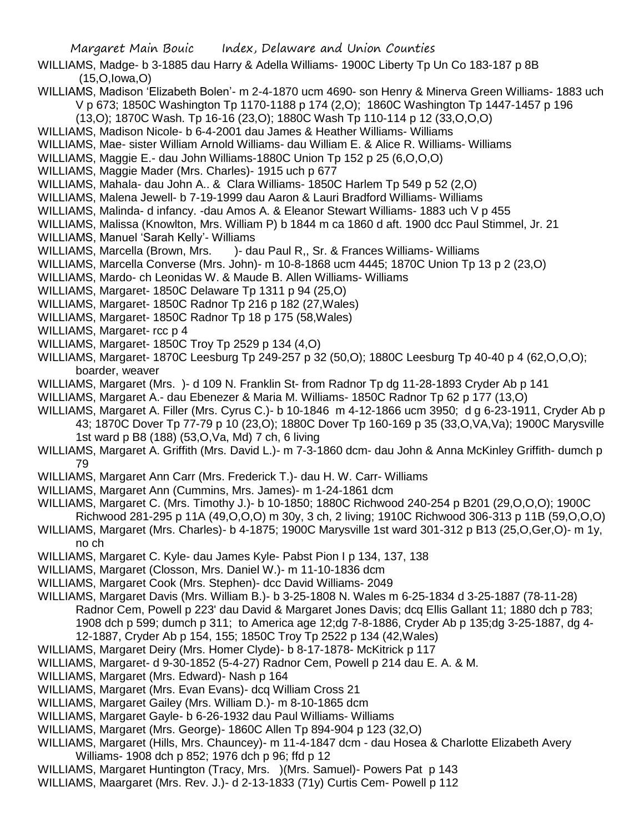- WILLIAMS, Madge- b 3-1885 dau Harry & Adella Williams- 1900C Liberty Tp Un Co 183-187 p 8B (15,O,Iowa,O)
- WILLIAMS, Madison 'Elizabeth Bolen'- m 2-4-1870 ucm 4690- son Henry & Minerva Green Williams- 1883 uch V p 673; 1850C Washington Tp 1170-1188 p 174 (2,O); 1860C Washington Tp 1447-1457 p 196
- (13,O); 1870C Wash. Tp 16-16 (23,O); 1880C Wash Tp 110-114 p 12 (33,O,O,O)
- WILLIAMS, Madison Nicole- b 6-4-2001 dau James & Heather Williams- Williams
- WILLIAMS, Mae- sister William Arnold Williams- dau William E. & Alice R. Williams- Williams
- WILLIAMS, Maggie E.- dau John Williams-1880C Union Tp 152 p 25 (6,O,O,O)
- WILLIAMS, Maggie Mader (Mrs. Charles)- 1915 uch p 677
- WILLIAMS, Mahala- dau John A.. & Clara Williams- 1850C Harlem Tp 549 p 52 (2,O)
- WILLIAMS, Malena Jewell- b 7-19-1999 dau Aaron & Lauri Bradford Williams- Williams
- WILLIAMS, Malinda- d infancy. -dau Amos A. & Eleanor Stewart Williams- 1883 uch V p 455
- WILLIAMS, Malissa (Knowlton, Mrs. William P) b 1844 m ca 1860 d aft. 1900 dcc Paul Stimmel, Jr. 21
- WILLIAMS, Manuel 'Sarah Kelly'- Williams
- WILLIAMS, Marcella (Brown, Mrs. )- dau Paul R,, Sr. & Frances Williams- Williams
- WILLIAMS, Marcella Converse (Mrs. John)- m 10-8-1868 ucm 4445; 1870C Union Tp 13 p 2 (23,O)
- WILLIAMS, Mardo- ch Leonidas W. & Maude B. Allen Williams- Williams
- WILLIAMS, Margaret- 1850C Delaware Tp 1311 p 94 (25,O)
- WILLIAMS, Margaret- 1850C Radnor Tp 216 p 182 (27,Wales)
- WILLIAMS, Margaret- 1850C Radnor Tp 18 p 175 (58,Wales)
- WILLIAMS, Margaret- rcc p 4
- WILLIAMS, Margaret- 1850C Troy Tp 2529 p 134 (4,O)
- WILLIAMS, Margaret- 1870C Leesburg Tp 249-257 p 32 (50,O); 1880C Leesburg Tp 40-40 p 4 (62,O,O,O); boarder, weaver
- WILLIAMS, Margaret (Mrs. )- d 109 N. Franklin St- from Radnor Tp dg 11-28-1893 Cryder Ab p 141
- WILLIAMS, Margaret A.- dau Ebenezer & Maria M. Williams- 1850C Radnor Tp 62 p 177 (13,O)
- WILLIAMS, Margaret A. Filler (Mrs. Cyrus C.)- b 10-1846 m 4-12-1866 ucm 3950; d g 6-23-1911, Cryder Ab p 43; 1870C Dover Tp 77-79 p 10 (23,O); 1880C Dover Tp 160-169 p 35 (33,O,VA,Va); 1900C Marysville 1st ward p B8 (188) (53,O,Va, Md) 7 ch, 6 living
- WILLIAMS, Margaret A. Griffith (Mrs. David L.)- m 7-3-1860 dcm- dau John & Anna McKinley Griffith- dumch p 79
- WILLIAMS, Margaret Ann Carr (Mrs. Frederick T.)- dau H. W. Carr- Williams
- WILLIAMS, Margaret Ann (Cummins, Mrs. James)- m 1-24-1861 dcm
- WILLIAMS, Margaret C. (Mrs. Timothy J.)- b 10-1850; 1880C Richwood 240-254 p B201 (29,O,O,O); 1900C Richwood 281-295 p 11A (49,O,O,O) m 30y, 3 ch, 2 living; 1910C Richwood 306-313 p 11B (59,O,O,O)
- WILLIAMS, Margaret (Mrs. Charles)- b 4-1875; 1900C Marysville 1st ward 301-312 p B13 (25,O,Ger,O)- m 1y, no ch
- WILLIAMS, Margaret C. Kyle- dau James Kyle- Pabst Pion I p 134, 137, 138
- WILLIAMS, Margaret (Closson, Mrs. Daniel W.)- m 11-10-1836 dcm
- WILLIAMS, Margaret Cook (Mrs. Stephen)- dcc David Williams- 2049
- WILLIAMS, Margaret Davis (Mrs. William B.)- b 3-25-1808 N. Wales m 6-25-1834 d 3-25-1887 (78-11-28) Radnor Cem, Powell p 223' dau David & Margaret Jones Davis; dcq Ellis Gallant 11; 1880 dch p 783; 1908 dch p 599; dumch p 311; to America age 12;dg 7-8-1886, Cryder Ab p 135;dg 3-25-1887, dg 4- 12-1887, Cryder Ab p 154, 155; 1850C Troy Tp 2522 p 134 (42,Wales)
- WILLIAMS, Margaret Deiry (Mrs. Homer Clyde)- b 8-17-1878- McKitrick p 117
- WILLIAMS, Margaret- d 9-30-1852 (5-4-27) Radnor Cem, Powell p 214 dau E. A. & M.
- WILLIAMS, Margaret (Mrs. Edward)- Nash p 164
- WILLIAMS, Margaret (Mrs. Evan Evans)- dcq William Cross 21
- WILLIAMS, Margaret Gailey (Mrs. William D.)- m 8-10-1865 dcm
- WILLIAMS, Margaret Gayle- b 6-26-1932 dau Paul Williams- Williams
- WILLIAMS, Margaret (Mrs. George)- 1860C Allen Tp 894-904 p 123 (32,O)
- WILLIAMS, Margaret (Hills, Mrs. Chauncey)- m 11-4-1847 dcm dau Hosea & Charlotte Elizabeth Avery Williams- 1908 dch p 852; 1976 dch p 96; ffd p 12
- WILLIAMS, Margaret Huntington (Tracy, Mrs. )(Mrs. Samuel) Powers Pat p 143
- WILLIAMS, Maargaret (Mrs. Rev. J.)- d 2-13-1833 (71y) Curtis Cem- Powell p 112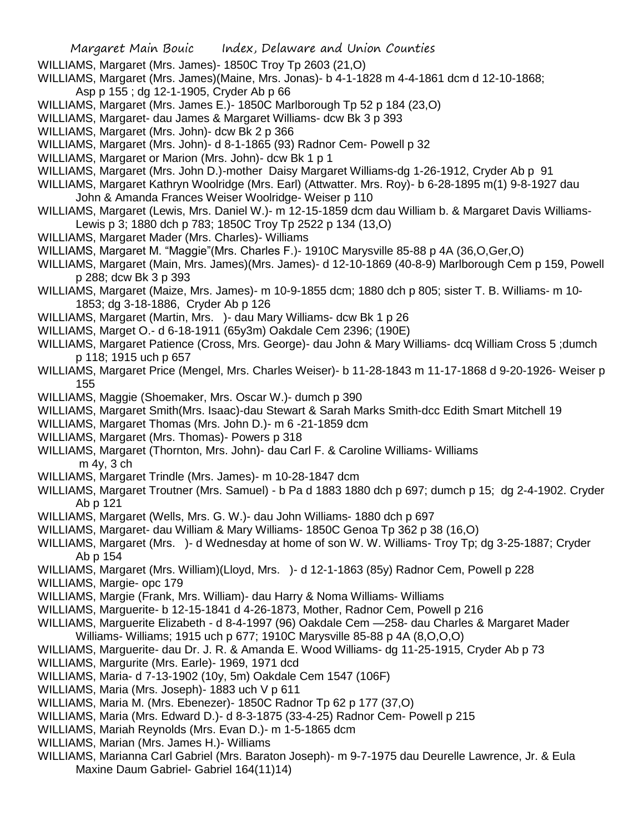- WILLIAMS, Margaret (Mrs. James)- 1850C Troy Tp 2603 (21,O)
- WILLIAMS, Margaret (Mrs. James)(Maine, Mrs. Jonas)- b 4-1-1828 m 4-4-1861 dcm d 12-10-1868; Asp p 155 ; dg 12-1-1905, Cryder Ab p 66
- WILLIAMS, Margaret (Mrs. James E.)- 1850C Marlborough Tp 52 p 184 (23,O)
- WILLIAMS, Margaret- dau James & Margaret Williams- dcw Bk 3 p 393
- WILLIAMS, Margaret (Mrs. John)- dcw Bk 2 p 366
- WILLIAMS, Margaret (Mrs. John)- d 8-1-1865 (93) Radnor Cem- Powell p 32
- WILLIAMS, Margaret or Marion (Mrs. John)- dcw Bk 1 p 1
- WILLIAMS, Margaret (Mrs. John D.)-mother Daisy Margaret Williams-dg 1-26-1912, Cryder Ab p 91
- WILLIAMS, Margaret Kathryn Woolridge (Mrs. Earl) (Attwatter. Mrs. Roy)- b 6-28-1895 m(1) 9-8-1927 dau John & Amanda Frances Weiser Woolridge- Weiser p 110
- WILLIAMS, Margaret (Lewis, Mrs. Daniel W.)- m 12-15-1859 dcm dau William b. & Margaret Davis Williams-Lewis p 3; 1880 dch p 783; 1850C Troy Tp 2522 p 134 (13,O)
- WILLIAMS, Margaret Mader (Mrs. Charles)- Williams
- WILLIAMS, Margaret M. "Maggie"(Mrs. Charles F.)- 1910C Marysville 85-88 p 4A (36,O,Ger,O)
- WILLIAMS, Margaret (Main, Mrs. James)(Mrs. James)- d 12-10-1869 (40-8-9) Marlborough Cem p 159, Powell p 288; dcw Bk 3 p 393
- WILLIAMS, Margaret (Maize, Mrs. James)- m 10-9-1855 dcm; 1880 dch p 805; sister T. B. Williams- m 10- 1853; dg 3-18-1886, Cryder Ab p 126
- WILLIAMS, Margaret (Martin, Mrs. )- dau Mary Williams- dcw Bk 1 p 26
- WILLIAMS, Marget O.- d 6-18-1911 (65y3m) Oakdale Cem 2396; (190E)
- WILLIAMS, Margaret Patience (Cross, Mrs. George)- dau John & Mary Williams- dcq William Cross 5 ;dumch p 118; 1915 uch p 657
- WILLIAMS, Margaret Price (Mengel, Mrs. Charles Weiser)- b 11-28-1843 m 11-17-1868 d 9-20-1926- Weiser p 155
- WILLIAMS, Maggie (Shoemaker, Mrs. Oscar W.)- dumch p 390
- WILLIAMS, Margaret Smith(Mrs. Isaac)-dau Stewart & Sarah Marks Smith-dcc Edith Smart Mitchell 19
- WILLIAMS, Margaret Thomas (Mrs. John D.)- m 6 -21-1859 dcm
- WILLIAMS, Margaret (Mrs. Thomas)- Powers p 318
- WILLIAMS, Margaret (Thornton, Mrs. John)- dau Carl F. & Caroline Williams- Williams m 4y, 3 ch
- WILLIAMS, Margaret Trindle (Mrs. James)- m 10-28-1847 dcm
- WILLIAMS, Margaret Troutner (Mrs. Samuel) b Pa d 1883 1880 dch p 697; dumch p 15; dg 2-4-1902. Cryder Ab p 121
- WILLIAMS, Margaret (Wells, Mrs. G. W.)- dau John Williams- 1880 dch p 697
- WILLIAMS, Margaret- dau William & Mary Williams- 1850C Genoa Tp 362 p 38 (16,O)
- WILLIAMS, Margaret (Mrs. )- d Wednesday at home of son W. W. Williams- Troy Tp; dg 3-25-1887; Cryder Ab p 154
- WILLIAMS, Margaret (Mrs. William)(Lloyd, Mrs. )- d 12-1-1863 (85y) Radnor Cem, Powell p 228
- WILLIAMS, Margie- opc 179
- WILLIAMS, Margie (Frank, Mrs. William)- dau Harry & Noma Williams- Williams
- WILLIAMS, Marguerite- b 12-15-1841 d 4-26-1873, Mother, Radnor Cem, Powell p 216
- WILLIAMS, Marguerite Elizabeth d 8-4-1997 (96) Oakdale Cem —258- dau Charles & Margaret Mader
- Williams- Williams; 1915 uch p 677; 1910C Marysville 85-88 p 4A (8,O,O,O)
- WILLIAMS, Marguerite- dau Dr. J. R. & Amanda E. Wood Williams- dg 11-25-1915, Cryder Ab p 73
- WILLIAMS, Margurite (Mrs. Earle)- 1969, 1971 dcd
- WILLIAMS, Maria- d 7-13-1902 (10y, 5m) Oakdale Cem 1547 (106F)
- WILLIAMS, Maria (Mrs. Joseph)- 1883 uch V p 611
- WILLIAMS, Maria M. (Mrs. Ebenezer)- 1850C Radnor Tp 62 p 177 (37,O)
- WILLIAMS, Maria (Mrs. Edward D.)- d 8-3-1875 (33-4-25) Radnor Cem- Powell p 215
- WILLIAMS, Mariah Reynolds (Mrs. Evan D.)- m 1-5-1865 dcm
- WILLIAMS, Marian (Mrs. James H.)- Williams
- WILLIAMS, Marianna Carl Gabriel (Mrs. Baraton Joseph)- m 9-7-1975 dau Deurelle Lawrence, Jr. & Eula Maxine Daum Gabriel- Gabriel 164(11)14)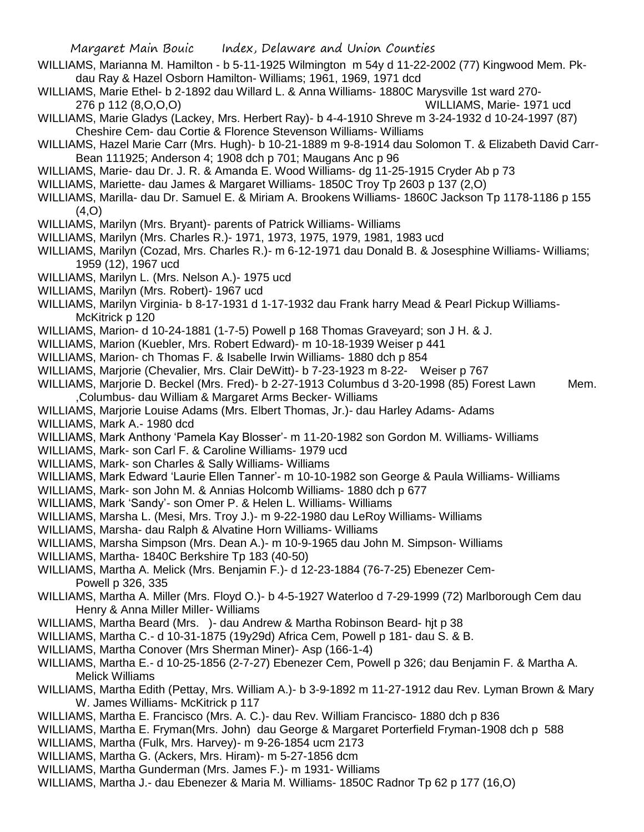- WILLIAMS, Marianna M. Hamilton b 5-11-1925 Wilmington m 54y d 11-22-2002 (77) Kingwood Mem. Pkdau Ray & Hazel Osborn Hamilton- Williams; 1961, 1969, 1971 dcd
- WILLIAMS, Marie Ethel- b 2-1892 dau Willard L. & Anna Williams- 1880C Marysville 1st ward 270- 276 p 112 (8,O,O,O) WILLIAMS, Marie- 1971 ucd
- WILLIAMS, Marie Gladys (Lackey, Mrs. Herbert Ray)- b 4-4-1910 Shreve m 3-24-1932 d 10-24-1997 (87) Cheshire Cem- dau Cortie & Florence Stevenson Williams- Williams
- WILLIAMS, Hazel Marie Carr (Mrs. Hugh)- b 10-21-1889 m 9-8-1914 dau Solomon T. & Elizabeth David Carr-Bean 111925; Anderson 4; 1908 dch p 701; Maugans Anc p 96
- WILLIAMS, Marie- dau Dr. J. R. & Amanda E. Wood Williams- dg 11-25-1915 Cryder Ab p 73
- WILLIAMS, Mariette- dau James & Margaret Williams- 1850C Troy Tp 2603 p 137 (2,O)
- WILLIAMS, Marilla- dau Dr. Samuel E. & Miriam A. Brookens Williams- 1860C Jackson Tp 1178-1186 p 155  $(4.0)$
- WILLIAMS, Marilyn (Mrs. Bryant)- parents of Patrick Williams- Williams
- WILLIAMS, Marilyn (Mrs. Charles R.)- 1971, 1973, 1975, 1979, 1981, 1983 ucd
- WILLIAMS, Marilyn (Cozad, Mrs. Charles R.)- m 6-12-1971 dau Donald B. & Josesphine Williams- Williams; 1959 (12), 1967 ucd
- WILLIAMS, Marilyn L. (Mrs. Nelson A.)- 1975 ucd
- WILLIAMS, Marilyn (Mrs. Robert)- 1967 ucd

WILLIAMS, Marilyn Virginia- b 8-17-1931 d 1-17-1932 dau Frank harry Mead & Pearl Pickup Williams-McKitrick p 120

- WILLIAMS, Marion- d 10-24-1881 (1-7-5) Powell p 168 Thomas Graveyard; son J H. & J.
- WILLIAMS, Marion (Kuebler, Mrs. Robert Edward)- m 10-18-1939 Weiser p 441
- WILLIAMS, Marion- ch Thomas F. & Isabelle Irwin Williams- 1880 dch p 854
- WILLIAMS, Marjorie (Chevalier, Mrs. Clair DeWitt)- b 7-23-1923 m 8-22- Weiser p 767
- WILLIAMS, Marjorie D. Beckel (Mrs. Fred)- b 2-27-1913 Columbus d 3-20-1998 (85) Forest Lawn Mem. ,Columbus- dau William & Margaret Arms Becker- Williams
- WILLIAMS, Marjorie Louise Adams (Mrs. Elbert Thomas, Jr.)- dau Harley Adams- Adams
- WILLIAMS, Mark A.- 1980 dcd
- WILLIAMS, Mark Anthony 'Pamela Kay Blosser'- m 11-20-1982 son Gordon M. Williams- Williams
- WILLIAMS, Mark- son Carl F. & Caroline Williams- 1979 ucd
- WILLIAMS, Mark- son Charles & Sally Williams- Williams
- WILLIAMS, Mark Edward 'Laurie Ellen Tanner'- m 10-10-1982 son George & Paula Williams- Williams
- WILLIAMS, Mark- son John M. & Annias Holcomb Williams- 1880 dch p 677
- WILLIAMS, Mark 'Sandy'- son Omer P. & Helen L. Williams- Williams
- WILLIAMS, Marsha L. (Mesi, Mrs. Troy J.)- m 9-22-1980 dau LeRoy Williams- Williams
- WILLIAMS, Marsha- dau Ralph & Alvatine Horn Williams- Williams
- WILLIAMS, Marsha Simpson (Mrs. Dean A.)- m 10-9-1965 dau John M. Simpson- Williams
- WILLIAMS, Martha- 1840C Berkshire Tp 183 (40-50)
- WILLIAMS, Martha A. Melick (Mrs. Benjamin F.)- d 12-23-1884 (76-7-25) Ebenezer Cem-Powell p 326, 335
- WILLIAMS, Martha A. Miller (Mrs. Floyd O.)- b 4-5-1927 Waterloo d 7-29-1999 (72) Marlborough Cem dau Henry & Anna Miller Miller- Williams
- WILLIAMS, Martha Beard (Mrs. )- dau Andrew & Martha Robinson Beard- hit p 38
- WILLIAMS, Martha C.- d 10-31-1875 (19y29d) Africa Cem, Powell p 181- dau S. & B.
- WILLIAMS, Martha Conover (Mrs Sherman Miner)- Asp (166-1-4)
- WILLIAMS, Martha E.- d 10-25-1856 (2-7-27) Ebenezer Cem, Powell p 326; dau Benjamin F. & Martha A. Melick Williams
- WILLIAMS, Martha Edith (Pettay, Mrs. William A.)- b 3-9-1892 m 11-27-1912 dau Rev. Lyman Brown & Mary W. James Williams- McKitrick p 117
- WILLIAMS, Martha E. Francisco (Mrs. A. C.)- dau Rev. William Francisco- 1880 dch p 836
- WILLIAMS, Martha E. Fryman(Mrs. John) dau George & Margaret Porterfield Fryman-1908 dch p 588
- WILLIAMS, Martha (Fulk, Mrs. Harvey)- m 9-26-1854 ucm 2173
- WILLIAMS, Martha G. (Ackers, Mrs. Hiram)- m 5-27-1856 dcm
- WILLIAMS, Martha Gunderman (Mrs. James F.)- m 1931- Williams
- WILLIAMS, Martha J.- dau Ebenezer & Maria M. Williams- 1850C Radnor Tp 62 p 177 (16,O)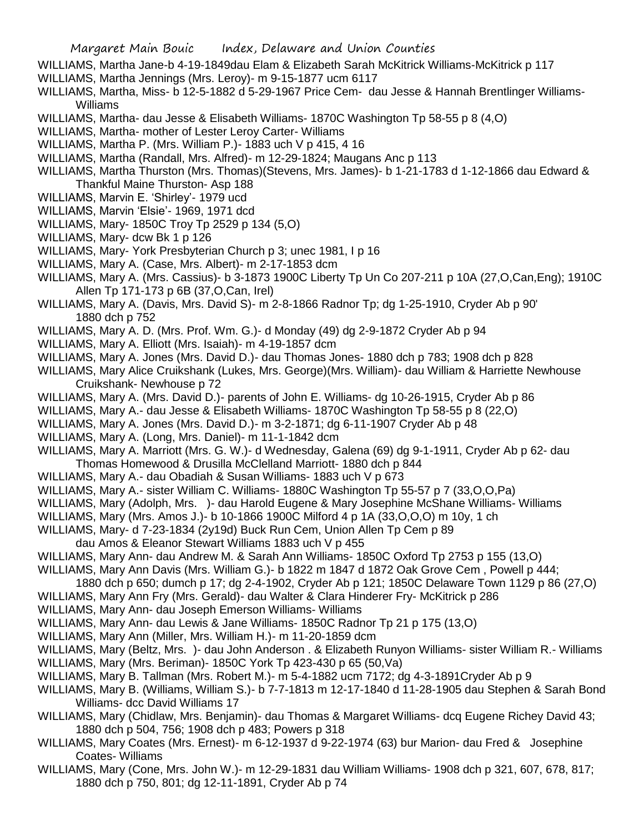- WILLIAMS, Martha Jane-b 4-19-1849dau Elam & Elizabeth Sarah McKitrick Williams-McKitrick p 117
- WILLIAMS, Martha Jennings (Mrs. Leroy)- m 9-15-1877 ucm 6117
- WILLIAMS, Martha, Miss- b 12-5-1882 d 5-29-1967 Price Cem- dau Jesse & Hannah Brentlinger Williams-Williams
- WILLIAMS, Martha- dau Jesse & Elisabeth Williams- 1870C Washington Tp 58-55 p 8 (4,O)
- WILLIAMS, Martha- mother of Lester Leroy Carter- Williams
- WILLIAMS, Martha P. (Mrs. William P.)- 1883 uch V p 415, 4 16
- WILLIAMS, Martha (Randall, Mrs. Alfred)- m 12-29-1824; Maugans Anc p 113
- WILLIAMS, Martha Thurston (Mrs. Thomas)(Stevens, Mrs. James)- b 1-21-1783 d 1-12-1866 dau Edward & Thankful Maine Thurston- Asp 188
- WILLIAMS, Marvin E. 'Shirley'- 1979 ucd
- WILLIAMS, Marvin 'Elsie'- 1969, 1971 dcd
- WILLIAMS, Mary- 1850C Troy Tp 2529 p 134 (5,O)
- WILLIAMS, Mary- dcw Bk 1 p 126
- WILLIAMS, Mary- York Presbyterian Church p 3; unec 1981, I p 16
- WILLIAMS, Mary A. (Case, Mrs. Albert)- m 2-17-1853 dcm
- WILLIAMS, Mary A. (Mrs. Cassius)- b 3-1873 1900C Liberty Tp Un Co 207-211 p 10A (27,O,Can,Eng); 1910C Allen Tp 171-173 p 6B (37,O,Can, Irel)
- WILLIAMS, Mary A. (Davis, Mrs. David S)- m 2-8-1866 Radnor Tp; dg 1-25-1910, Cryder Ab p 90' 1880 dch p 752
- WILLIAMS, Mary A. D. (Mrs. Prof. Wm. G.)- d Monday (49) dg 2-9-1872 Cryder Ab p 94
- WILLIAMS, Mary A. Elliott (Mrs. Isaiah)- m 4-19-1857 dcm
- WILLIAMS, Mary A. Jones (Mrs. David D.)- dau Thomas Jones- 1880 dch p 783; 1908 dch p 828
- WILLIAMS, Mary Alice Cruikshank (Lukes, Mrs. George)(Mrs. William)- dau William & Harriette Newhouse Cruikshank- Newhouse p 72
- WILLIAMS, Mary A. (Mrs. David D.)- parents of John E. Williams- dg 10-26-1915, Cryder Ab p 86
- WILLIAMS, Mary A.- dau Jesse & Elisabeth Williams- 1870C Washington Tp 58-55 p 8 (22,O)
- WILLIAMS, Mary A. Jones (Mrs. David D.)- m 3-2-1871; dg 6-11-1907 Cryder Ab p 48
- WILLIAMS, Mary A. (Long, Mrs. Daniel)- m 11-1-1842 dcm
- WILLIAMS, Mary A. Marriott (Mrs. G. W.)- d Wednesday, Galena (69) dg 9-1-1911, Cryder Ab p 62- dau Thomas Homewood & Drusilla McClelland Marriott- 1880 dch p 844
- WILLIAMS, Mary A.- dau Obadiah & Susan Williams- 1883 uch V p 673
- WILLIAMS, Mary A.- sister William C. Williams- 1880C Washington Tp 55-57 p 7 (33,O,O,Pa)
- WILLIAMS, Mary (Adolph, Mrs. )- dau Harold Eugene & Mary Josephine McShane Williams- Williams
- WILLIAMS, Mary (Mrs. Amos J.)- b 10-1866 1900C Milford 4 p 1A (33,O,O,O) m 10y, 1 ch
- WILLIAMS, Mary- d 7-23-1834 (2y19d) Buck Run Cem, Union Allen Tp Cem p 89
- dau Amos & Eleanor Stewart Williams 1883 uch V p 455
- WILLIAMS, Mary Ann- dau Andrew M. & Sarah Ann Williams- 1850C Oxford Tp 2753 p 155 (13,O)
- WILLIAMS, Mary Ann Davis (Mrs. William G.)- b 1822 m 1847 d 1872 Oak Grove Cem , Powell p 444;
- 1880 dch p 650; dumch p 17; dg 2-4-1902, Cryder Ab p 121; 1850C Delaware Town 1129 p 86 (27,O)
- WILLIAMS, Mary Ann Fry (Mrs. Gerald)- dau Walter & Clara Hinderer Fry- McKitrick p 286
- WILLIAMS, Mary Ann- dau Joseph Emerson Williams- Williams
- WILLIAMS, Mary Ann- dau Lewis & Jane Williams- 1850C Radnor Tp 21 p 175 (13,O)
- WILLIAMS, Mary Ann (Miller, Mrs. William H.)- m 11-20-1859 dcm
- WILLIAMS, Mary (Beltz, Mrs. )- dau John Anderson . & Elizabeth Runyon Williams- sister William R.- Williams
- WILLIAMS, Mary (Mrs. Beriman)- 1850C York Tp 423-430 p 65 (50,Va)
- WILLIAMS, Mary B. Tallman (Mrs. Robert M.)- m 5-4-1882 ucm 7172; dg 4-3-1891Cryder Ab p 9
- WILLIAMS, Mary B. (Williams, William S.)- b 7-7-1813 m 12-17-1840 d 11-28-1905 dau Stephen & Sarah Bond Williams- dcc David Williams 17
- WILLIAMS, Mary (Chidlaw, Mrs. Benjamin)- dau Thomas & Margaret Williams- dcq Eugene Richey David 43; 1880 dch p 504, 756; 1908 dch p 483; Powers p 318
- WILLIAMS, Mary Coates (Mrs. Ernest)- m 6-12-1937 d 9-22-1974 (63) bur Marion- dau Fred & Josephine Coates- Williams
- WILLIAMS, Mary (Cone, Mrs. John W.)- m 12-29-1831 dau William Williams- 1908 dch p 321, 607, 678, 817; 1880 dch p 750, 801; dg 12-11-1891, Cryder Ab p 74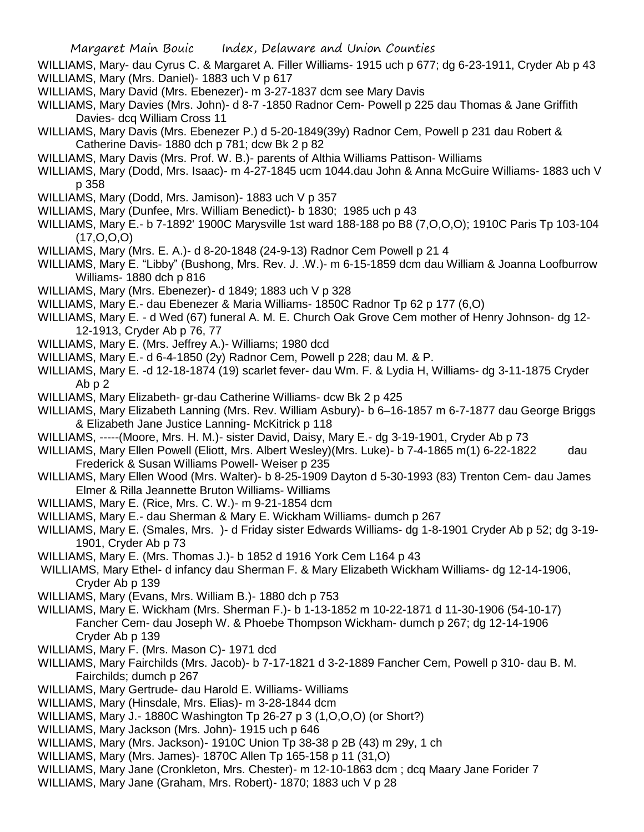WILLIAMS, Mary- dau Cyrus C. & Margaret A. Filler Williams- 1915 uch p 677; dg 6-23-1911, Cryder Ab p 43 WILLIAMS, Mary (Mrs. Daniel)- 1883 uch V p 617

- WILLIAMS, Mary David (Mrs. Ebenezer)- m 3-27-1837 dcm see Mary Davis
- WILLIAMS, Mary Davies (Mrs. John)- d 8-7 -1850 Radnor Cem- Powell p 225 dau Thomas & Jane Griffith Davies- dcq William Cross 11
- WILLIAMS, Mary Davis (Mrs. Ebenezer P.) d 5-20-1849(39y) Radnor Cem, Powell p 231 dau Robert & Catherine Davis- 1880 dch p 781; dcw Bk 2 p 82
- WILLIAMS, Mary Davis (Mrs. Prof. W. B.)- parents of Althia Williams Pattison- Williams
- WILLIAMS, Mary (Dodd, Mrs. Isaac)- m 4-27-1845 ucm 1044.dau John & Anna McGuire Williams- 1883 uch V p 358
- WILLIAMS, Mary (Dodd, Mrs. Jamison)- 1883 uch V p 357
- WILLIAMS, Mary (Dunfee, Mrs. William Benedict)- b 1830; 1985 uch p 43
- WILLIAMS, Mary E.- b 7-1892' 1900C Marysville 1st ward 188-188 po B8 (7,O,O,O); 1910C Paris Tp 103-104 (17,O,O,O)
- WILLIAMS, Mary (Mrs. E. A.)- d 8-20-1848 (24-9-13) Radnor Cem Powell p 21 4
- WILLIAMS, Mary E. "Libby" (Bushong, Mrs. Rev. J. .W.)- m 6-15-1859 dcm dau William & Joanna Loofburrow Williams- 1880 dch p 816
- WILLIAMS, Mary (Mrs. Ebenezer)- d 1849; 1883 uch V p 328
- WILLIAMS, Mary E.- dau Ebenezer & Maria Williams- 1850C Radnor Tp 62 p 177 (6,O)
- WILLIAMS, Mary E. d Wed (67) funeral A. M. E. Church Oak Grove Cem mother of Henry Johnson- dg 12- 12-1913, Cryder Ab p 76, 77
- WILLIAMS, Mary E. (Mrs. Jeffrey A.)- Williams; 1980 dcd
- WILLIAMS, Mary E.- d 6-4-1850 (2y) Radnor Cem, Powell p 228; dau M. & P.
- WILLIAMS, Mary E. -d 12-18-1874 (19) scarlet fever- dau Wm. F. & Lydia H, Williams- dg 3-11-1875 Cryder Ab p 2
- WILLIAMS, Mary Elizabeth- gr-dau Catherine Williams- dcw Bk 2 p 425
- WILLIAMS, Mary Elizabeth Lanning (Mrs. Rev. William Asbury)- b 6–16-1857 m 6-7-1877 dau George Briggs & Elizabeth Jane Justice Lanning- McKitrick p 118
- WILLIAMS, -----(Moore, Mrs. H. M.)- sister David, Daisy, Mary E.- dg 3-19-1901, Cryder Ab p 73
- WILLIAMS, Mary Ellen Powell (Eliott, Mrs. Albert Wesley)(Mrs. Luke)- b 7-4-1865 m(1) 6-22-1822 dau Frederick & Susan Williams Powell- Weiser p 235
- WILLIAMS, Mary Ellen Wood (Mrs. Walter)- b 8-25-1909 Dayton d 5-30-1993 (83) Trenton Cem- dau James Elmer & Rilla Jeannette Bruton Williams- Williams
- WILLIAMS, Mary E. (Rice, Mrs. C. W.)- m 9-21-1854 dcm
- WILLIAMS, Mary E.- dau Sherman & Mary E. Wickham Williams- dumch p 267
- WILLIAMS, Mary E. (Smales, Mrs. )- d Friday sister Edwards Williams- dg 1-8-1901 Cryder Ab p 52; dg 3-19- 1901, Cryder Ab p 73
- WILLIAMS, Mary E. (Mrs. Thomas J.)- b 1852 d 1916 York Cem L164 p 43
- WILLIAMS, Mary Ethel- d infancy dau Sherman F. & Mary Elizabeth Wickham Williams- dg 12-14-1906, Cryder Ab p 139
- WILLIAMS, Mary (Evans, Mrs. William B.)- 1880 dch p 753
- WILLIAMS, Mary E. Wickham (Mrs. Sherman F.)- b 1-13-1852 m 10-22-1871 d 11-30-1906 (54-10-17) Fancher Cem- dau Joseph W. & Phoebe Thompson Wickham- dumch p 267; dg 12-14-1906 Cryder Ab p 139
- WILLIAMS, Mary F. (Mrs. Mason C)- 1971 dcd
- WILLIAMS, Mary Fairchilds (Mrs. Jacob)- b 7-17-1821 d 3-2-1889 Fancher Cem, Powell p 310- dau B. M. Fairchilds; dumch p 267
- WILLIAMS, Mary Gertrude- dau Harold E. Williams- Williams
- WILLIAMS, Mary (Hinsdale, Mrs. Elias)- m 3-28-1844 dcm
- WILLIAMS, Mary J.- 1880C Washington Tp 26-27 p 3 (1,O,O,O) (or Short?)
- WILLIAMS, Mary Jackson (Mrs. John)- 1915 uch p 646
- WILLIAMS, Mary (Mrs. Jackson)- 1910C Union Tp 38-38 p 2B (43) m 29y, 1 ch
- WILLIAMS, Mary (Mrs. James)- 1870C Allen Tp 165-158 p 11 (31,O)
- WILLIAMS, Mary Jane (Cronkleton, Mrs. Chester)- m 12-10-1863 dcm ; dcq Maary Jane Forider 7
- WILLIAMS, Mary Jane (Graham, Mrs. Robert)- 1870; 1883 uch V p 28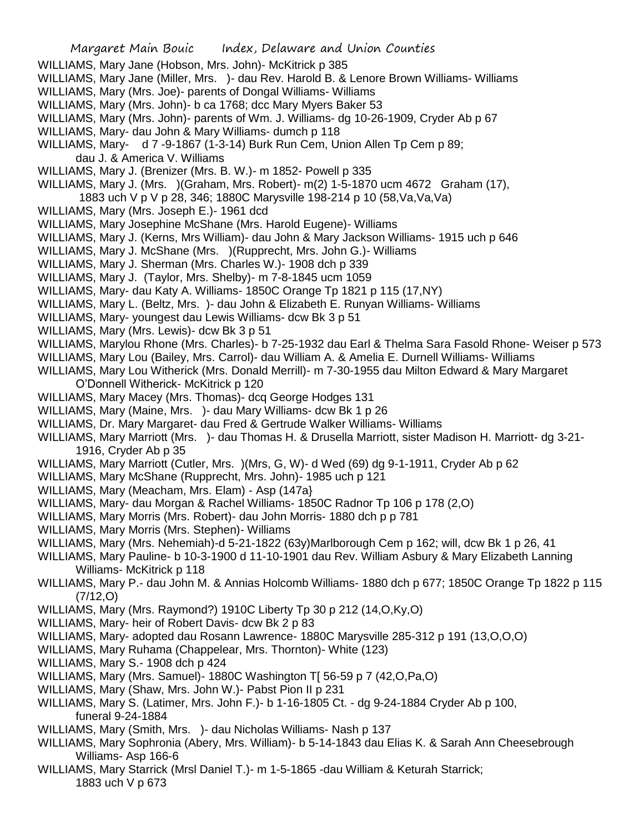- WILLIAMS, Mary Jane (Hobson, Mrs. John)- McKitrick p 385
- WILLIAMS, Mary Jane (Miller, Mrs. )- dau Rev. Harold B. & Lenore Brown Williams- Williams
- WILLIAMS, Mary (Mrs. Joe)- parents of Dongal Williams- Williams
- WILLIAMS, Mary (Mrs. John)- b ca 1768; dcc Mary Myers Baker 53
- WILLIAMS, Mary (Mrs. John)- parents of Wm. J. Williams- dg 10-26-1909, Cryder Ab p 67
- WILLIAMS, Mary- dau John & Mary Williams- dumch p 118
- WILLIAMS, Mary- d 7 -9-1867 (1-3-14) Burk Run Cem, Union Allen Tp Cem p 89;
	- dau J. & America V. Williams
- WILLIAMS, Mary J. (Brenizer (Mrs. B. W.)- m 1852- Powell p 335
- WILLIAMS, Mary J. (Mrs. )(Graham, Mrs. Robert)- m(2) 1-5-1870 ucm 4672 Graham (17),
- 1883 uch V p V p 28, 346; 1880C Marysville 198-214 p 10 (58,Va,Va,Va)
- WILLIAMS, Mary (Mrs. Joseph E.)- 1961 dcd
- WILLIAMS, Mary Josephine McShane (Mrs. Harold Eugene)- Williams
- WILLIAMS, Mary J. (Kerns, Mrs William)- dau John & Mary Jackson Williams- 1915 uch p 646
- WILLIAMS, Mary J. McShane (Mrs. )(Rupprecht, Mrs. John G.)- Williams
- WILLIAMS, Mary J. Sherman (Mrs. Charles W.)- 1908 dch p 339
- WILLIAMS, Mary J. (Taylor, Mrs. Shelby)- m 7-8-1845 ucm 1059
- WILLIAMS, Mary- dau Katy A. Williams- 1850C Orange Tp 1821 p 115 (17,NY)
- WILLIAMS, Mary L. (Beltz, Mrs. )- dau John & Elizabeth E. Runyan Williams- Williams
- WILLIAMS, Mary- youngest dau Lewis Williams- dcw Bk 3 p 51
- WILLIAMS, Mary (Mrs. Lewis)- dcw Bk 3 p 51
- WILLIAMS, Marylou Rhone (Mrs. Charles)- b 7-25-1932 dau Earl & Thelma Sara Fasold Rhone- Weiser p 573
- WILLIAMS, Mary Lou (Bailey, Mrs. Carrol)- dau William A. & Amelia E. Durnell Williams- Williams
- WILLIAMS, Mary Lou Witherick (Mrs. Donald Merrill)- m 7-30-1955 dau Milton Edward & Mary Margaret O'Donnell Witherick- McKitrick p 120
- WILLIAMS, Mary Macey (Mrs. Thomas)- dcq George Hodges 131
- WILLIAMS, Mary (Maine, Mrs. )- dau Mary Williams- dcw Bk 1 p 26
- WILLIAMS, Dr. Mary Margaret- dau Fred & Gertrude Walker Williams- Williams
- WILLIAMS, Mary Marriott (Mrs. )- dau Thomas H. & Drusella Marriott, sister Madison H. Marriott- dg 3-21- 1916, Cryder Ab p 35
- WILLIAMS, Mary Marriott (Cutler, Mrs. )(Mrs, G, W)- d Wed (69) dg 9-1-1911, Cryder Ab p 62
- WILLIAMS, Mary McShane (Rupprecht, Mrs. John)- 1985 uch p 121
- WILLIAMS, Mary (Meacham, Mrs. Elam) Asp (147a}
- WILLIAMS, Mary- dau Morgan & Rachel Williams- 1850C Radnor Tp 106 p 178 (2,O)
- WILLIAMS, Mary Morris (Mrs. Robert)- dau John Morris- 1880 dch p p 781
- WILLIAMS, Mary Morris (Mrs. Stephen)- Williams
- WILLIAMS, Mary (Mrs. Nehemiah)-d 5-21-1822 (63y)Marlborough Cem p 162; will, dcw Bk 1 p 26, 41
- WILLIAMS, Mary Pauline- b 10-3-1900 d 11-10-1901 dau Rev. William Asbury & Mary Elizabeth Lanning Williams- McKitrick p 118
- WILLIAMS, Mary P.- dau John M. & Annias Holcomb Williams- 1880 dch p 677; 1850C Orange Tp 1822 p 115 (7/12,O)
- WILLIAMS, Mary (Mrs. Raymond?) 1910C Liberty Tp 30 p 212 (14,O,Ky,O)
- WILLIAMS, Mary- heir of Robert Davis- dcw Bk 2 p 83
- WILLIAMS, Mary- adopted dau Rosann Lawrence- 1880C Marysville 285-312 p 191 (13,O,O,O)
- WILLIAMS, Mary Ruhama (Chappelear, Mrs. Thornton)- White (123)
- WILLIAMS, Mary S.- 1908 dch p 424
- WILLIAMS, Mary (Mrs. Samuel)- 1880C Washington T[ 56-59 p 7 (42,O,Pa,O)
- WILLIAMS, Mary (Shaw, Mrs. John W.)- Pabst Pion II p 231
- WILLIAMS, Mary S. (Latimer, Mrs. John F.)- b 1-16-1805 Ct. dg 9-24-1884 Cryder Ab p 100, funeral 9-24-1884
- WILLIAMS, Mary (Smith, Mrs. )- dau Nicholas Williams- Nash p 137
- WILLIAMS, Mary Sophronia (Abery, Mrs. William)- b 5-14-1843 dau Elias K. & Sarah Ann Cheesebrough Williams- Asp 166-6
- WILLIAMS, Mary Starrick (Mrsl Daniel T.)- m 1-5-1865 -dau William & Keturah Starrick; 1883 uch V p 673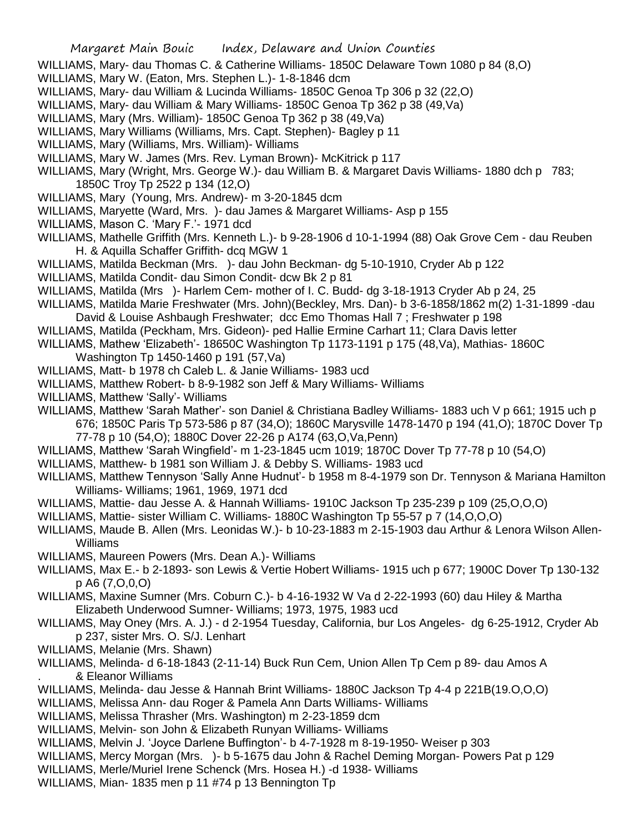- WILLIAMS, Mary- dau Thomas C. & Catherine Williams- 1850C Delaware Town 1080 p 84 (8,O)
- WILLIAMS, Mary W. (Eaton, Mrs. Stephen L.)- 1-8-1846 dcm
- WILLIAMS, Mary- dau William & Lucinda Williams- 1850C Genoa Tp 306 p 32 (22,O)
- WILLIAMS, Mary- dau William & Mary Williams- 1850C Genoa Tp 362 p 38 (49,Va)
- WILLIAMS, Mary (Mrs. William)- 1850C Genoa Tp 362 p 38 (49,Va)
- WILLIAMS, Mary Williams (Williams, Mrs. Capt. Stephen)- Bagley p 11
- WILLIAMS, Mary (Williams, Mrs. William)- Williams
- WILLIAMS, Mary W. James (Mrs. Rev. Lyman Brown)- McKitrick p 117
- WILLIAMS, Mary (Wright, Mrs. George W.)- dau William B. & Margaret Davis Williams- 1880 dch p 783; 1850C Troy Tp 2522 p 134 (12,O)
- WILLIAMS, Mary (Young, Mrs. Andrew)- m 3-20-1845 dcm
- WILLIAMS, Maryette (Ward, Mrs. )- dau James & Margaret Williams- Asp p 155
- WILLIAMS, Mason C. 'Mary F.'- 1971 dcd
- WILLIAMS, Mathelle Griffith (Mrs. Kenneth L.)- b 9-28-1906 d 10-1-1994 (88) Oak Grove Cem dau Reuben H. & Aquilla Schaffer Griffith- dcq MGW 1
- WILLIAMS, Matilda Beckman (Mrs. )- dau John Beckman- dg 5-10-1910, Cryder Ab p 122
- WILLIAMS, Matilda Condit- dau Simon Condit- dcw Bk 2 p 81
- WILLIAMS, Matilda (Mrs )- Harlem Cem- mother of I. C. Budd- dg 3-18-1913 Cryder Ab p 24, 25
- WILLIAMS, Matilda Marie Freshwater (Mrs. John)(Beckley, Mrs. Dan)- b 3-6-1858/1862 m(2) 1-31-1899 -dau David & Louise Ashbaugh Freshwater; dcc Emo Thomas Hall 7 ; Freshwater p 198
- WILLIAMS, Matilda (Peckham, Mrs. Gideon)- ped Hallie Ermine Carhart 11; Clara Davis letter
- WILLIAMS, Mathew 'Elizabeth'- 18650C Washington Tp 1173-1191 p 175 (48,Va), Mathias- 1860C Washington Tp 1450-1460 p 191 (57,Va)
- WILLIAMS, Matt- b 1978 ch Caleb L. & Janie Williams- 1983 ucd
- WILLIAMS, Matthew Robert- b 8-9-1982 son Jeff & Mary Williams- Williams
- WILLIAMS, Matthew 'Sally'- Williams
- WILLIAMS, Matthew 'Sarah Mather'- son Daniel & Christiana Badley Williams- 1883 uch V p 661; 1915 uch p 676; 1850C Paris Tp 573-586 p 87 (34,O); 1860C Marysville 1478-1470 p 194 (41,O); 1870C Dover Tp 77-78 p 10 (54,O); 1880C Dover 22-26 p A174 (63,O,Va,Penn)
- WILLIAMS, Matthew 'Sarah Wingfield'- m 1-23-1845 ucm 1019; 1870C Dover Tp 77-78 p 10 (54,O)
- WILLIAMS, Matthew- b 1981 son William J. & Debby S. Williams- 1983 ucd
- WILLIAMS, Matthew Tennyson 'Sally Anne Hudnut'- b 1958 m 8-4-1979 son Dr. Tennyson & Mariana Hamilton Williams- Williams; 1961, 1969, 1971 dcd
- WILLIAMS, Mattie- dau Jesse A. & Hannah Williams- 1910C Jackson Tp 235-239 p 109 (25,O,O,O)
- WILLIAMS, Mattie- sister William C. Williams- 1880C Washington Tp 55-57 p 7 (14,O,O,O)
- WILLIAMS, Maude B. Allen (Mrs. Leonidas W.)- b 10-23-1883 m 2-15-1903 dau Arthur & Lenora Wilson Allen-Williams
- WILLIAMS, Maureen Powers (Mrs. Dean A.)- Williams
- WILLIAMS, Max E.- b 2-1893- son Lewis & Vertie Hobert Williams- 1915 uch p 677; 1900C Dover Tp 130-132 p A6 (7,O,0,O)
- WILLIAMS, Maxine Sumner (Mrs. Coburn C.)- b 4-16-1932 W Va d 2-22-1993 (60) dau Hiley & Martha Elizabeth Underwood Sumner- Williams; 1973, 1975, 1983 ucd
- WILLIAMS, May Oney (Mrs. A. J.) d 2-1954 Tuesday, California, bur Los Angeles- dg 6-25-1912, Cryder Ab p 237, sister Mrs. O. S/J. Lenhart
- WILLIAMS, Melanie (Mrs. Shawn)
- WILLIAMS, Melinda- d 6-18-1843 (2-11-14) Buck Run Cem, Union Allen Tp Cem p 89- dau Amos A . & Eleanor Williams
- WILLIAMS, Melinda- dau Jesse & Hannah Brint Williams- 1880C Jackson Tp 4-4 p 221B(19.O,O,O)
- WILLIAMS, Melissa Ann- dau Roger & Pamela Ann Darts Williams- Williams
- WILLIAMS, Melissa Thrasher (Mrs. Washington) m 2-23-1859 dcm
- WILLIAMS, Melvin- son John & Elizabeth Runyan Williams- Williams
- WILLIAMS, Melvin J. 'Joyce Darlene Buffington'- b 4-7-1928 m 8-19-1950- Weiser p 303
- WILLIAMS, Mercy Morgan (Mrs. )- b 5-1675 dau John & Rachel Deming Morgan- Powers Pat p 129
- WILLIAMS, Merle/Muriel Irene Schenck (Mrs. Hosea H.) -d 1938- Williams
- WILLIAMS, Mian- 1835 men p 11 #74 p 13 Bennington Tp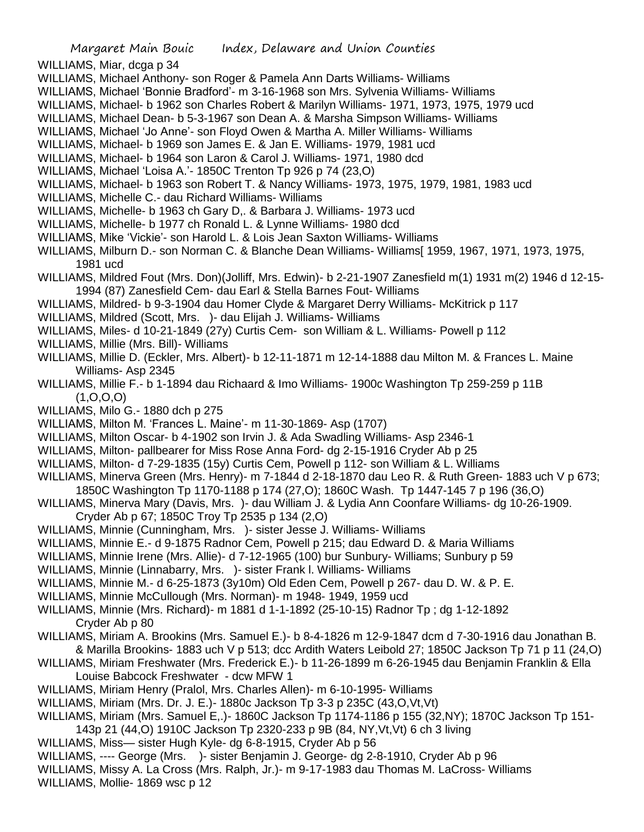WILLIAMS, Miar, dcga p 34

- WILLIAMS, Michael Anthony- son Roger & Pamela Ann Darts Williams- Williams
- WILLIAMS, Michael 'Bonnie Bradford'- m 3-16-1968 son Mrs. Sylvenia Williams- Williams
- WILLIAMS, Michael- b 1962 son Charles Robert & Marilyn Williams- 1971, 1973, 1975, 1979 ucd
- WILLIAMS, Michael Dean- b 5-3-1967 son Dean A. & Marsha Simpson Williams- Williams
- WILLIAMS, Michael 'Jo Anne'- son Floyd Owen & Martha A. Miller Williams- Williams
- WILLIAMS, Michael- b 1969 son James E. & Jan E. Williams- 1979, 1981 ucd
- WILLIAMS, Michael- b 1964 son Laron & Carol J. Williams- 1971, 1980 dcd
- WILLIAMS, Michael 'Loisa A.'- 1850C Trenton Tp 926 p 74 (23,O)
- WILLIAMS, Michael- b 1963 son Robert T. & Nancy Williams- 1973, 1975, 1979, 1981, 1983 ucd
- WILLIAMS, Michelle C.- dau Richard Williams- Williams
- WILLIAMS, Michelle- b 1963 ch Gary D,. & Barbara J. Williams- 1973 ucd
- WILLIAMS, Michelle- b 1977 ch Ronald L. & Lynne Williams- 1980 dcd
- WILLIAMS, Mike 'Vickie'- son Harold L. & Lois Jean Saxton Williams- Williams
- WILLIAMS, Milburn D.- son Norman C. & Blanche Dean Williams- Williams[ 1959, 1967, 1971, 1973, 1975, 1981 ucd
- WILLIAMS, Mildred Fout (Mrs. Don)(Jolliff, Mrs. Edwin)- b 2-21-1907 Zanesfield m(1) 1931 m(2) 1946 d 12-15- 1994 (87) Zanesfield Cem- dau Earl & Stella Barnes Fout- Williams
- WILLIAMS, Mildred- b 9-3-1904 dau Homer Clyde & Margaret Derry Williams- McKitrick p 117
- WILLIAMS, Mildred (Scott, Mrs. )- dau Elijah J. Williams- Williams
- WILLIAMS, Miles- d 10-21-1849 (27y) Curtis Cem- son William & L. Williams- Powell p 112
- WILLIAMS, Millie (Mrs. Bill)- Williams
- WILLIAMS, Millie D. (Eckler, Mrs. Albert)- b 12-11-1871 m 12-14-1888 dau Milton M. & Frances L. Maine Williams- Asp 2345
- WILLIAMS, Millie F.- b 1-1894 dau Richaard & Imo Williams- 1900c Washington Tp 259-259 p 11B  $(1, 0, 0, 0)$
- WILLIAMS, Milo G.- 1880 dch p 275
- WILLIAMS, Milton M. 'Frances L. Maine'- m 11-30-1869- Asp (1707)
- WILLIAMS, Milton Oscar- b 4-1902 son Irvin J. & Ada Swadling Williams- Asp 2346-1
- WILLIAMS, Milton- pallbearer for Miss Rose Anna Ford- dg 2-15-1916 Cryder Ab p 25
- WILLIAMS, Milton- d 7-29-1835 (15y) Curtis Cem, Powell p 112- son William & L. Williams
- WILLIAMS, Minerva Green (Mrs. Henry)- m 7-1844 d 2-18-1870 dau Leo R. & Ruth Green- 1883 uch V p 673; 1850C Washington Tp 1170-1188 p 174 (27,O); 1860C Wash. Tp 1447-145 7 p 196 (36,O)
- WILLIAMS, Minerva Mary (Davis, Mrs. )- dau William J. & Lydia Ann Coonfare Williams- dg 10-26-1909.
	- Cryder Ab p 67; 1850C Troy Tp 2535 p 134 (2,O)
- WILLIAMS, Minnie (Cunningham, Mrs. )- sister Jesse J. Williams- Williams
- WILLIAMS, Minnie E.- d 9-1875 Radnor Cem, Powell p 215; dau Edward D. & Maria Williams
- WILLIAMS, Minnie Irene (Mrs. Allie)- d 7-12-1965 (100) bur Sunbury- Williams; Sunbury p 59
- WILLIAMS, Minnie (Linnabarry, Mrs. )- sister Frank l. Williams- Williams
- WILLIAMS, Minnie M.- d 6-25-1873 (3y10m) Old Eden Cem, Powell p 267- dau D. W. & P. E.
- WILLIAMS, Minnie McCullough (Mrs. Norman)- m 1948- 1949, 1959 ucd
- WILLIAMS, Minnie (Mrs. Richard)- m 1881 d 1-1-1892 (25-10-15) Radnor Tp ; dg 1-12-1892 Cryder Ab p 80
- WILLIAMS, Miriam A. Brookins (Mrs. Samuel E.)- b 8-4-1826 m 12-9-1847 dcm d 7-30-1916 dau Jonathan B. & Marilla Brookins- 1883 uch V p 513; dcc Ardith Waters Leibold 27; 1850C Jackson Tp 71 p 11 (24,O)
- WILLIAMS, Miriam Freshwater (Mrs. Frederick E.)- b 11-26-1899 m 6-26-1945 dau Benjamin Franklin & Ella Louise Babcock Freshwater - dcw MFW 1
- WILLIAMS, Miriam Henry (Pralol, Mrs. Charles Allen)- m 6-10-1995- Williams
- WILLIAMS, Miriam (Mrs. Dr. J. E.)- 1880c Jackson Tp 3-3 p 235C (43,O,Vt,Vt)
- WILLIAMS, Miriam (Mrs. Samuel E,.)- 1860C Jackson Tp 1174-1186 p 155 (32,NY); 1870C Jackson Tp 151- 143p 21 (44,O) 1910C Jackson Tp 2320-233 p 9B (84, NY,Vt,Vt) 6 ch 3 living
- WILLIAMS, Miss— sister Hugh Kyle- dg 6-8-1915, Cryder Ab p 56
- WILLIAMS, ---- George (Mrs. )- sister Benjamin J. George- dg 2-8-1910, Cryder Ab p 96
- WILLIAMS, Missy A. La Cross (Mrs. Ralph, Jr.)- m 9-17-1983 dau Thomas M. LaCross- Williams
- WILLIAMS, Mollie- 1869 wsc p 12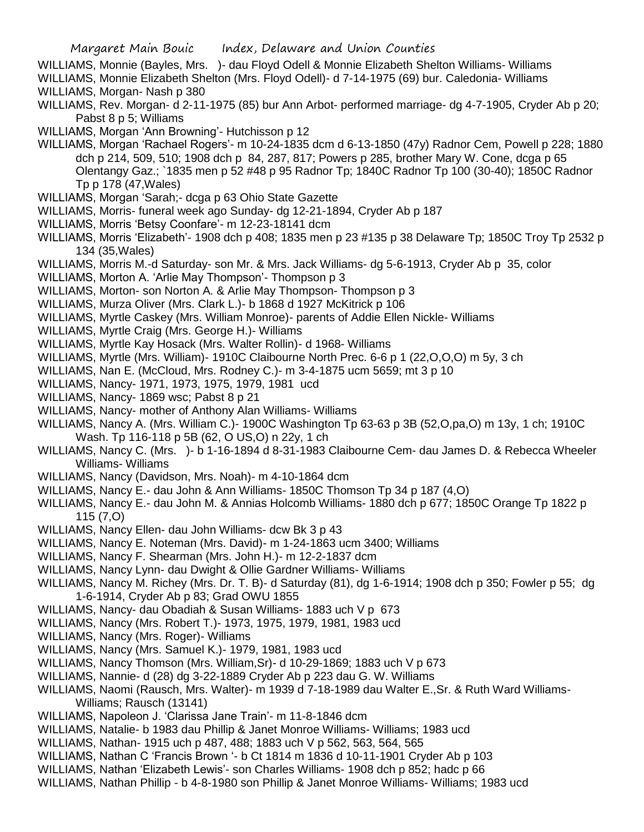- WILLIAMS, Monnie (Bayles, Mrs. )- dau Floyd Odell & Monnie Elizabeth Shelton Williams- Williams WILLIAMS, Monnie Elizabeth Shelton (Mrs. Floyd Odell)- d 7-14-1975 (69) bur. Caledonia- Williams
- WILLIAMS, Morgan- Nash p 380
- WILLIAMS, Rev. Morgan- d 2-11-1975 (85) bur Ann Arbot- performed marriage- dg 4-7-1905, Cryder Ab p 20; Pabst 8 p 5; Williams
- WILLIAMS, Morgan 'Ann Browning'- Hutchisson p 12
- WILLIAMS, Morgan 'Rachael Rogers'- m 10-24-1835 dcm d 6-13-1850 (47y) Radnor Cem, Powell p 228; 1880 dch p 214, 509, 510; 1908 dch p 84, 287, 817; Powers p 285, brother Mary W. Cone, dcga p 65 Olentangy Gaz.; `1835 men p 52 #48 p 95 Radnor Tp; 1840C Radnor Tp 100 (30-40); 1850C Radnor Tp p 178 (47,Wales)
- WILLIAMS, Morgan 'Sarah;- dcga p 63 Ohio State Gazette
- WILLIAMS, Morris- funeral week ago Sunday- dg 12-21-1894, Cryder Ab p 187
- WILLIAMS, Morris 'Betsy Coonfare'- m 12-23-18141 dcm
- WILLIAMS, Morris 'Elizabeth'- 1908 dch p 408; 1835 men p 23 #135 p 38 Delaware Tp; 1850C Troy Tp 2532 p 134 (35,Wales)
- WILLIAMS, Morris M.-d Saturday- son Mr. & Mrs. Jack Williams- dg 5-6-1913, Cryder Ab p 35, color
- WILLIAMS, Morton A. 'Arlie May Thompson'- Thompson p 3
- WILLIAMS, Morton- son Norton A. & Arlie May Thompson- Thompson p 3
- WILLIAMS, Murza Oliver (Mrs. Clark L.)- b 1868 d 1927 McKitrick p 106
- WILLIAMS, Myrtle Caskey (Mrs. William Monroe)- parents of Addie Ellen Nickle- Williams
- WILLIAMS, Myrtle Craig (Mrs. George H.)- Williams
- WILLIAMS, Myrtle Kay Hosack (Mrs. Walter Rollin)- d 1968- Williams
- WILLIAMS, Myrtle (Mrs. William)- 1910C Claibourne North Prec. 6-6 p 1 (22,O,O,O) m 5y, 3 ch
- WILLIAMS, Nan E. (McCloud, Mrs. Rodney C.)- m 3-4-1875 ucm 5659; mt 3 p 10
- WILLIAMS, Nancy- 1971, 1973, 1975, 1979, 1981 ucd
- WILLIAMS, Nancy- 1869 wsc; Pabst 8 p 21
- WILLIAMS, Nancy- mother of Anthony Alan Williams- Williams
- WILLIAMS, Nancy A. (Mrs. William C.)- 1900C Washington Tp 63-63 p 3B (52,O,pa,O) m 13y, 1 ch; 1910C Wash. Tp 116-118 p 5B (62, O US,O) n 22y, 1 ch
- WILLIAMS, Nancy C. (Mrs. )- b 1-16-1894 d 8-31-1983 Claibourne Cem- dau James D. & Rebecca Wheeler Williams- Williams
- WILLIAMS, Nancy (Davidson, Mrs. Noah)- m 4-10-1864 dcm
- WILLIAMS, Nancy E.- dau John & Ann Williams- 1850C Thomson Tp 34 p 187 (4,O)
- WILLIAMS, Nancy E.- dau John M. & Annias Holcomb Williams- 1880 dch p 677; 1850C Orange Tp 1822 p 115 (7,O)
- WILLIAMS, Nancy Ellen- dau John Williams- dcw Bk 3 p 43
- WILLIAMS, Nancy E. Noteman (Mrs. David)- m 1-24-1863 ucm 3400; Williams
- WILLIAMS, Nancy F. Shearman (Mrs. John H.)- m 12-2-1837 dcm
- WILLIAMS, Nancy Lynn- dau Dwight & Ollie Gardner Williams- Williams
- WILLIAMS, Nancy M. Richey (Mrs. Dr. T. B)- d Saturday (81), dg 1-6-1914; 1908 dch p 350; Fowler p 55; dg 1-6-1914, Cryder Ab p 83; Grad OWU 1855
- WILLIAMS, Nancy- dau Obadiah & Susan Williams- 1883 uch V p 673
- WILLIAMS, Nancy (Mrs. Robert T.)- 1973, 1975, 1979, 1981, 1983 ucd
- WILLIAMS, Nancy (Mrs. Roger)- Williams
- WILLIAMS, Nancy (Mrs. Samuel K.)- 1979, 1981, 1983 ucd
- WILLIAMS, Nancy Thomson (Mrs. William,Sr)- d 10-29-1869; 1883 uch V p 673
- WILLIAMS, Nannie- d (28) dg 3-22-1889 Cryder Ab p 223 dau G. W. Williams
- WILLIAMS, Naomi (Rausch, Mrs. Walter)- m 1939 d 7-18-1989 dau Walter E.,Sr. & Ruth Ward Williams-Williams; Rausch (13141)
- WILLIAMS, Napoleon J. 'Clarissa Jane Train'- m 11-8-1846 dcm
- WILLIAMS, Natalie- b 1983 dau Phillip & Janet Monroe Williams- Williams; 1983 ucd
- WILLIAMS, Nathan- 1915 uch p 487, 488; 1883 uch V p 562, 563, 564, 565
- WILLIAMS, Nathan C 'Francis Brown '- b Ct 1814 m 1836 d 10-11-1901 Cryder Ab p 103
- WILLIAMS, Nathan 'Elizabeth Lewis'- son Charles Williams- 1908 dch p 852; hadc p 66
- WILLIAMS, Nathan Phillip b 4-8-1980 son Phillip & Janet Monroe Williams- Williams; 1983 ucd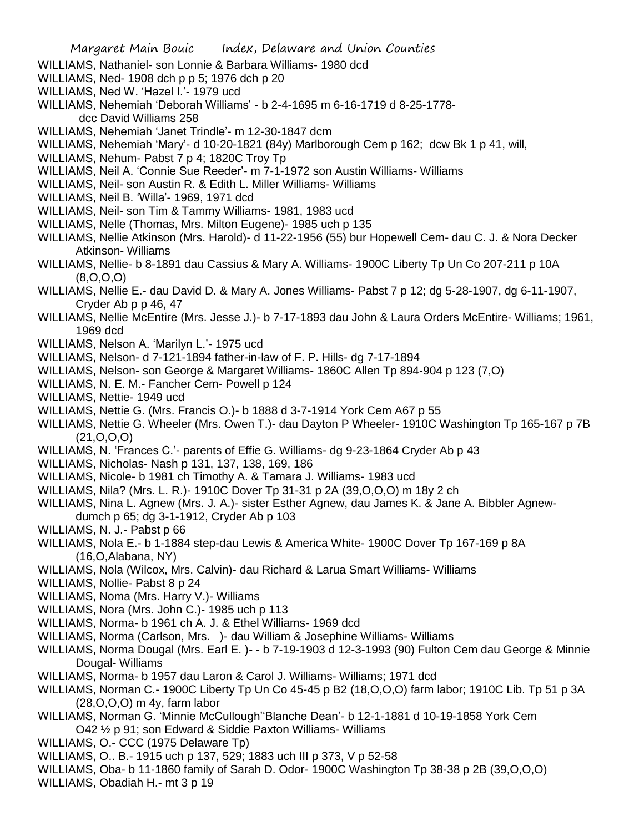- WILLIAMS, Nathaniel- son Lonnie & Barbara Williams- 1980 dcd
- WILLIAMS, Ned- 1908 dch p p 5; 1976 dch p 20
- WILLIAMS, Ned W. 'Hazel I.'- 1979 ucd
- WILLIAMS, Nehemiah 'Deborah Williams' b 2-4-1695 m 6-16-1719 d 8-25-1778 dcc David Williams 258
- WILLIAMS, Nehemiah 'Janet Trindle'- m 12-30-1847 dcm
- WILLIAMS, Nehemiah 'Mary'- d 10-20-1821 (84y) Marlborough Cem p 162; dcw Bk 1 p 41, will,
- WILLIAMS, Nehum- Pabst 7 p 4; 1820C Troy Tp
- WILLIAMS, Neil A. 'Connie Sue Reeder'- m 7-1-1972 son Austin Williams- Williams
- WILLIAMS, Neil- son Austin R. & Edith L. Miller Williams- Williams
- WILLIAMS, Neil B. 'Willa'- 1969, 1971 dcd
- WILLIAMS, Neil- son Tim & Tammy Williams- 1981, 1983 ucd
- WILLIAMS, Nelle (Thomas, Mrs. Milton Eugene)- 1985 uch p 135
- WILLIAMS, Nellie Atkinson (Mrs. Harold)- d 11-22-1956 (55) bur Hopewell Cem- dau C. J. & Nora Decker Atkinson- Williams
- WILLIAMS, Nellie- b 8-1891 dau Cassius & Mary A. Williams- 1900C Liberty Tp Un Co 207-211 p 10A (8,O,O,O)
- WILLIAMS, Nellie E.- dau David D. & Mary A. Jones Williams- Pabst 7 p 12; dg 5-28-1907, dg 6-11-1907, Cryder Ab p p 46, 47
- WILLIAMS, Nellie McEntire (Mrs. Jesse J.)- b 7-17-1893 dau John & Laura Orders McEntire- Williams; 1961, 1969 dcd
- WILLIAMS, Nelson A. 'Marilyn L.'- 1975 ucd
- WILLIAMS, Nelson- d 7-121-1894 father-in-law of F. P. Hills- dg 7-17-1894
- WILLIAMS, Nelson- son George & Margaret Williams- 1860C Allen Tp 894-904 p 123 (7,O)
- WILLIAMS, N. E. M.- Fancher Cem- Powell p 124
- WILLIAMS, Nettie- 1949 ucd
- WILLIAMS, Nettie G. (Mrs. Francis O.)- b 1888 d 3-7-1914 York Cem A67 p 55
- WILLIAMS, Nettie G. Wheeler (Mrs. Owen T.)- dau Dayton P Wheeler- 1910C Washington Tp 165-167 p 7B (21,O,O,O)
- WILLIAMS, N. 'Frances C.'- parents of Effie G. Williams- dg 9-23-1864 Cryder Ab p 43
- WILLIAMS, Nicholas- Nash p 131, 137, 138, 169, 186
- WILLIAMS, Nicole- b 1981 ch Timothy A. & Tamara J. Williams- 1983 ucd
- WILLIAMS, Nila? (Mrs. L. R.)- 1910C Dover Tp 31-31 p 2A (39,O,O,O) m 18y 2 ch
- WILLIAMS, Nina L. Agnew (Mrs. J. A.)- sister Esther Agnew, dau James K. & Jane A. Bibbler Agnewdumch p 65; dg 3-1-1912, Cryder Ab p 103
- WILLIAMS, N. J.- Pabst p 66
- WILLIAMS, Nola E.- b 1-1884 step-dau Lewis & America White- 1900C Dover Tp 167-169 p 8A (16,O,Alabana, NY)
- WILLIAMS, Nola (Wilcox, Mrs. Calvin)- dau Richard & Larua Smart Williams- Williams
- WILLIAMS, Nollie- Pabst 8 p 24
- WILLIAMS, Noma (Mrs. Harry V.)- Williams
- WILLIAMS, Nora (Mrs. John C.)- 1985 uch p 113
- WILLIAMS, Norma- b 1961 ch A. J. & Ethel Williams- 1969 dcd
- WILLIAMS, Norma (Carlson, Mrs. )- dau William & Josephine Williams- Williams
- WILLIAMS, Norma Dougal (Mrs. Earl E. )- b 7-19-1903 d 12-3-1993 (90) Fulton Cem dau George & Minnie Dougal- Williams
- WILLIAMS, Norma- b 1957 dau Laron & Carol J. Williams- Williams; 1971 dcd
- WILLIAMS, Norman C.- 1900C Liberty Tp Un Co 45-45 p B2 (18,O,O,O) farm labor; 1910C Lib. Tp 51 p 3A (28,O,O,O) m 4y, farm labor
- WILLIAMS, Norman G. 'Minnie McCullough''Blanche Dean'- b 12-1-1881 d 10-19-1858 York Cem O42 ½ p 91; son Edward & Siddie Paxton Williams- Williams
- WILLIAMS, O.- CCC (1975 Delaware Tp)
- WILLIAMS, O.. B.- 1915 uch p 137, 529; 1883 uch III p 373, V p 52-58
- WILLIAMS, Oba- b 11-1860 family of Sarah D. Odor- 1900C Washington Tp 38-38 p 2B (39,O,O,O)
- WILLIAMS, Obadiah H.- mt 3 p 19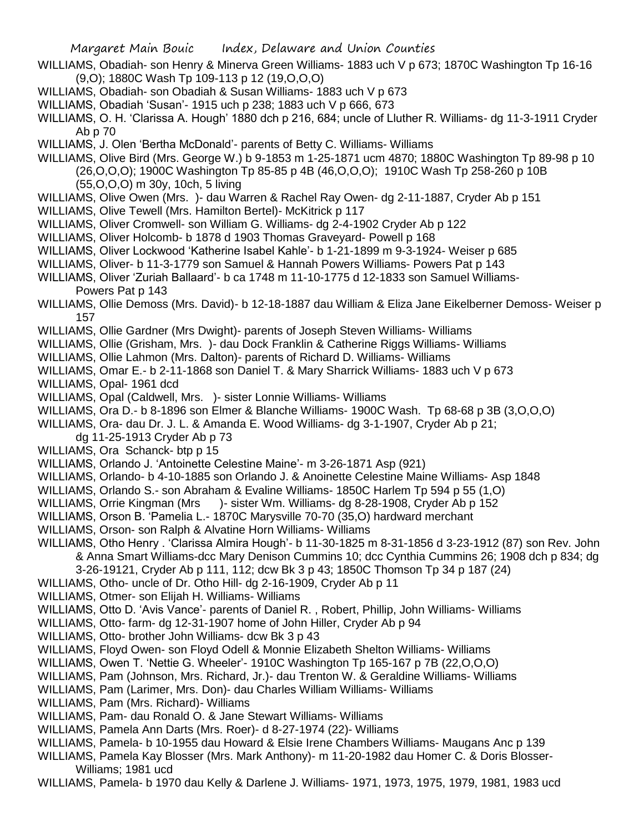- WILLIAMS, Obadiah- son Henry & Minerva Green Williams- 1883 uch V p 673; 1870C Washington Tp 16-16 (9,O); 1880C Wash Tp 109-113 p 12 (19,O,O,O)
- WILLIAMS, Obadiah- son Obadiah & Susan Williams- 1883 uch V p 673
- WILLIAMS, Obadiah 'Susan'- 1915 uch p 238; 1883 uch V p 666, 673
- WILLIAMS, O. H. 'Clarissa A. Hough' 1880 dch p 216, 684; uncle of Lluther R. Williams- dg 11-3-1911 Cryder Ab p 70
- WILLIAMS, J. Olen 'Bertha McDonald'- parents of Betty C. Williams- Williams
- WILLIAMS, Olive Bird (Mrs. George W.) b 9-1853 m 1-25-1871 ucm 4870; 1880C Washington Tp 89-98 p 10 (26,O,O,O); 1900C Washington Tp 85-85 p 4B (46,O,O,O); 1910C Wash Tp 258-260 p 10B
	- (55,O,O,O) m 30y, 10ch, 5 living
- WILLIAMS, Olive Owen (Mrs. )- dau Warren & Rachel Ray Owen- dg 2-11-1887, Cryder Ab p 151
- WILLIAMS, Olive Tewell (Mrs. Hamilton Bertel)- McKitrick p 117
- WILLIAMS, Oliver Cromwell- son William G. Williams- dg 2-4-1902 Cryder Ab p 122
- WILLIAMS, Oliver Holcomb- b 1878 d 1903 Thomas Graveyard- Powell p 168
- WILLIAMS, Oliver Lockwood 'Katherine Isabel Kahle'- b 1-21-1899 m 9-3-1924- Weiser p 685
- WILLIAMS, Oliver- b 11-3-1779 son Samuel & Hannah Powers Williams- Powers Pat p 143
- WILLIAMS, Oliver 'Zuriah Ballaard'- b ca 1748 m 11-10-1775 d 12-1833 son Samuel Williams-

Powers Pat p 143

- WILLIAMS, Ollie Demoss (Mrs. David)- b 12-18-1887 dau William & Eliza Jane Eikelberner Demoss- Weiser p 157
- WILLIAMS, Ollie Gardner (Mrs Dwight)- parents of Joseph Steven Williams- Williams
- WILLIAMS, Ollie (Grisham, Mrs. )- dau Dock Franklin & Catherine Riggs Williams- Williams
- WILLIAMS, Ollie Lahmon (Mrs. Dalton)- parents of Richard D. Williams- Williams
- WILLIAMS, Omar E.- b 2-11-1868 son Daniel T. & Mary Sharrick Williams- 1883 uch V p 673
- WILLIAMS, Opal- 1961 dcd
- WILLIAMS, Opal (Caldwell, Mrs. )- sister Lonnie Williams- Williams
- WILLIAMS, Ora D.- b 8-1896 son Elmer & Blanche Williams- 1900C Wash. Tp 68-68 p 3B (3,O,O,O)
- WILLIAMS, Ora- dau Dr. J. L. & Amanda E. Wood Williams- dg 3-1-1907, Cryder Ab p 21;
	- dg 11-25-1913 Cryder Ab p 73
- WILLIAMS, Ora Schanck- btp p 15
- WILLIAMS, Orlando J. 'Antoinette Celestine Maine'- m 3-26-1871 Asp (921)
- WILLIAMS, Orlando- b 4-10-1885 son Orlando J. & Anoinette Celestine Maine Williams- Asp 1848
- WILLIAMS, Orlando S.- son Abraham & Evaline Williams- 1850C Harlem Tp 594 p 55 (1,O)
- WILLIAMS, Orrie Kingman (Mrs )- sister Wm. Williams- dg 8-28-1908, Cryder Ab p 152
- WILLIAMS, Orson B. 'Pamelia L.- 1870C Marysville 70-70 (35,O) hardward merchant
- WILLIAMS, Orson- son Ralph & Alvatine Horn Williams- Williams
- WILLIAMS, Otho Henry . 'Clarissa Almira Hough'- b 11-30-1825 m 8-31-1856 d 3-23-1912 (87) son Rev. John & Anna Smart Williams-dcc Mary Denison Cummins 10; dcc Cynthia Cummins 26; 1908 dch p 834; dg 3-26-19121, Cryder Ab p 111, 112; dcw Bk 3 p 43; 1850C Thomson Tp 34 p 187 (24)
- WILLIAMS, Otho- uncle of Dr. Otho Hill- dg 2-16-1909, Cryder Ab p 11
- WILLIAMS, Otmer- son Elijah H. Williams- Williams
- WILLIAMS, Otto D. 'Avis Vance'- parents of Daniel R. , Robert, Phillip, John Williams- Williams
- WILLIAMS, Otto- farm- dg 12-31-1907 home of John Hiller, Cryder Ab p 94
- WILLIAMS, Otto- brother John Williams- dcw Bk 3 p 43
- WILLIAMS, Floyd Owen- son Floyd Odell & Monnie Elizabeth Shelton Williams- Williams
- WILLIAMS, Owen T. 'Nettie G. Wheeler'- 1910C Washington Tp 165-167 p 7B (22,O,O,O)
- WILLIAMS, Pam (Johnson, Mrs. Richard, Jr.)- dau Trenton W. & Geraldine Williams- Williams
- WILLIAMS, Pam (Larimer, Mrs. Don)- dau Charles William Williams- Williams
- WILLIAMS, Pam (Mrs. Richard)- Williams
- WILLIAMS, Pam- dau Ronald O. & Jane Stewart Williams- Williams
- WILLIAMS, Pamela Ann Darts (Mrs. Roer)- d 8-27-1974 (22)- Williams
- WILLIAMS, Pamela- b 10-1955 dau Howard & Elsie Irene Chambers Williams- Maugans Anc p 139
- WILLIAMS, Pamela Kay Blosser (Mrs. Mark Anthony)- m 11-20-1982 dau Homer C. & Doris Blosser-Williams; 1981 ucd
- WILLIAMS, Pamela- b 1970 dau Kelly & Darlene J. Williams- 1971, 1973, 1975, 1979, 1981, 1983 ucd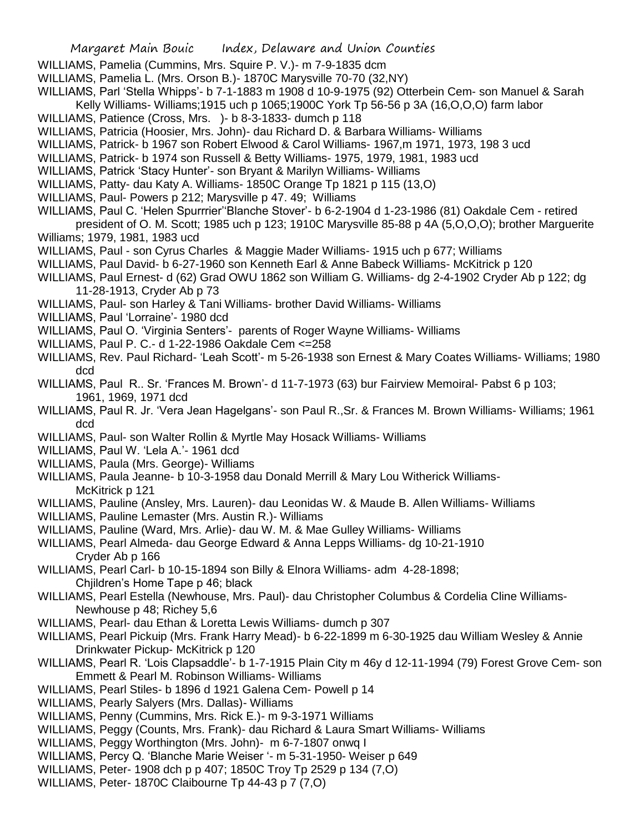## Margaret Main Bouic Index, Delaware and Union Counties

- WILLIAMS, Pamelia (Cummins, Mrs. Squire P. V.)- m 7-9-1835 dcm
- WILLIAMS, Pamelia L. (Mrs. Orson B.)- 1870C Marysville 70-70 (32,NY)
- WILLIAMS, Parl 'Stella Whipps'- b 7-1-1883 m 1908 d 10-9-1975 (92) Otterbein Cem- son Manuel & Sarah Kelly Williams- Williams;1915 uch p 1065;1900C York Tp 56-56 p 3A (16,O,O,O) farm labor
- WILLIAMS, Patience (Cross, Mrs. )- b 8-3-1833- dumch p 118
- WILLIAMS, Patricia (Hoosier, Mrs. John)- dau Richard D. & Barbara Williams- Williams
- WILLIAMS, Patrick- b 1967 son Robert Elwood & Carol Williams- 1967,m 1971, 1973, 198 3 ucd
- WILLIAMS, Patrick- b 1974 son Russell & Betty Williams- 1975, 1979, 1981, 1983 ucd
- WILLIAMS, Patrick 'Stacy Hunter'- son Bryant & Marilyn Williams- Williams
- WILLIAMS, Patty- dau Katy A. Williams- 1850C Orange Tp 1821 p 115 (13,O)
- WILLIAMS, Paul- Powers p 212; Marysville p 47. 49; Williams
- WILLIAMS, Paul C. 'Helen Spurrrier''Blanche Stover'- b 6-2-1904 d 1-23-1986 (81) Oakdale Cem retired president of O. M. Scott; 1985 uch p 123; 1910C Marysville 85-88 p 4A (5,O,O,O); brother Marguerite
- Williams; 1979, 1981, 1983 ucd
- WILLIAMS, Paul son Cyrus Charles & Maggie Mader Williams- 1915 uch p 677; Williams
- WILLIAMS, Paul David- b 6-27-1960 son Kenneth Earl & Anne Babeck Williams- McKitrick p 120
- WILLIAMS, Paul Ernest- d (62) Grad OWU 1862 son William G. Williams- dg 2-4-1902 Cryder Ab p 122; dg 11-28-1913, Cryder Ab p 73
- WILLIAMS, Paul- son Harley & Tani Williams- brother David Williams- Williams
- WILLIAMS, Paul 'Lorraine'- 1980 dcd
- WILLIAMS, Paul O. 'Virginia Senters'- parents of Roger Wayne Williams- Williams
- WILLIAMS, Paul P. C.- d 1-22-1986 Oakdale Cem <=258
- WILLIAMS, Rev. Paul Richard- 'Leah Scott'- m 5-26-1938 son Ernest & Mary Coates Williams- Williams; 1980 dcd
- WILLIAMS, Paul R.. Sr. 'Frances M. Brown'- d 11-7-1973 (63) bur Fairview Memoiral- Pabst 6 p 103; 1961, 1969, 1971 dcd
- WILLIAMS, Paul R. Jr. 'Vera Jean Hagelgans'- son Paul R.,Sr. & Frances M. Brown Williams- Williams; 1961 dcd
- WILLIAMS, Paul- son Walter Rollin & Myrtle May Hosack Williams- Williams
- WILLIAMS, Paul W. 'Lela A.'- 1961 dcd
- WILLIAMS, Paula (Mrs. George)- Williams
- WILLIAMS, Paula Jeanne- b 10-3-1958 dau Donald Merrill & Mary Lou Witherick Williams-McKitrick p 121
- WILLIAMS, Pauline (Ansley, Mrs. Lauren)- dau Leonidas W. & Maude B. Allen Williams- Williams
- WILLIAMS, Pauline Lemaster (Mrs. Austin R.)- Williams
- WILLIAMS, Pauline (Ward, Mrs. Arlie)- dau W. M. & Mae Gulley Williams- Williams
- WILLIAMS, Pearl Almeda- dau George Edward & Anna Lepps Williams- dg 10-21-1910 Cryder Ab p 166
- WILLIAMS, Pearl Carl- b 10-15-1894 son Billy & Elnora Williams- adm 4-28-1898; Chjildren's Home Tape p 46; black
- WILLIAMS, Pearl Estella (Newhouse, Mrs. Paul)- dau Christopher Columbus & Cordelia Cline Williams-Newhouse p 48; Richey 5,6
- WILLIAMS, Pearl- dau Ethan & Loretta Lewis Williams- dumch p 307
- WILLIAMS, Pearl Pickuip (Mrs. Frank Harry Mead)- b 6-22-1899 m 6-30-1925 dau William Wesley & Annie Drinkwater Pickup- McKitrick p 120
- WILLIAMS, Pearl R. 'Lois Clapsaddle'- b 1-7-1915 Plain City m 46y d 12-11-1994 (79) Forest Grove Cem- son Emmett & Pearl M. Robinson Williams- Williams
- WILLIAMS, Pearl Stiles- b 1896 d 1921 Galena Cem- Powell p 14
- WILLIAMS, Pearly Salyers (Mrs. Dallas)- Williams
- WILLIAMS, Penny (Cummins, Mrs. Rick E.)- m 9-3-1971 Williams
- WILLIAMS, Peggy (Counts, Mrs. Frank)- dau Richard & Laura Smart Williams- Williams
- WILLIAMS, Peggy Worthington (Mrs. John)- m 6-7-1807 onwq I
- WILLIAMS, Percy Q. 'Blanche Marie Weiser '- m 5-31-1950- Weiser p 649
- WILLIAMS, Peter- 1908 dch p p 407; 1850C Troy Tp 2529 p 134 (7,O)
- WILLIAMS, Peter- 1870C Claibourne Tp 44-43 p 7 (7,O)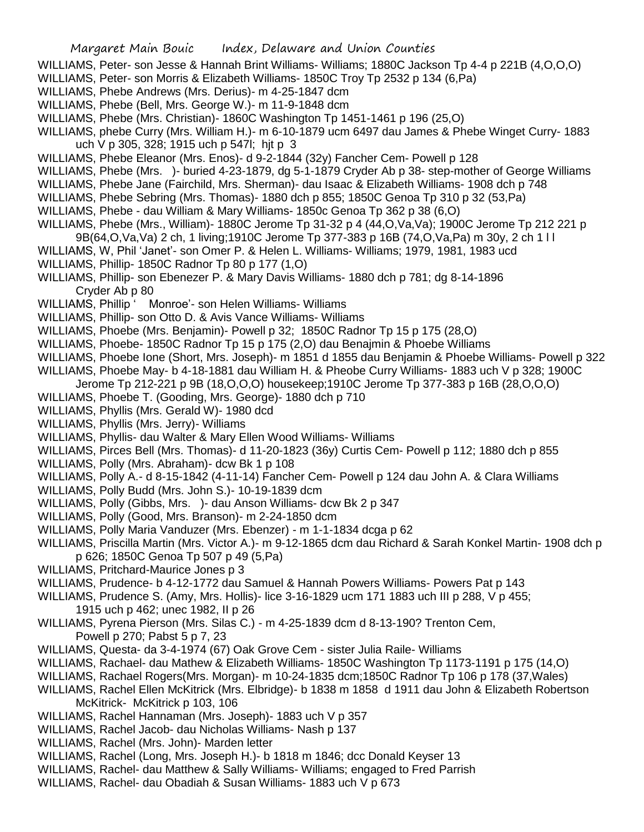- WILLIAMS, Peter- son Jesse & Hannah Brint Williams- Williams; 1880C Jackson Tp 4-4 p 221B (4,O,O,O)
- WILLIAMS, Peter- son Morris & Elizabeth Williams- 1850C Troy Tp 2532 p 134 (6,Pa)
- WILLIAMS, Phebe Andrews (Mrs. Derius)- m 4-25-1847 dcm
- WILLIAMS, Phebe (Bell, Mrs. George W.)- m 11-9-1848 dcm
- WILLIAMS, Phebe (Mrs. Christian)- 1860C Washington Tp 1451-1461 p 196 (25,O)
- WILLIAMS, phebe Curry (Mrs. William H.)- m 6-10-1879 ucm 6497 dau James & Phebe Winget Curry- 1883 uch V p 305, 328; 1915 uch p 547l; hjt p 3
- WILLIAMS, Phebe Eleanor (Mrs. Enos)- d 9-2-1844 (32y) Fancher Cem- Powell p 128
- WILLIAMS, Phebe (Mrs. )- buried 4-23-1879, dg 5-1-1879 Cryder Ab p 38- step-mother of George Williams
- WILLIAMS, Phebe Jane (Fairchild, Mrs. Sherman)- dau Isaac & Elizabeth Williams- 1908 dch p 748
- WILLIAMS, Phebe Sebring (Mrs. Thomas)- 1880 dch p 855; 1850C Genoa Tp 310 p 32 (53,Pa)
- WILLIAMS, Phebe dau William & Mary Williams- 1850c Genoa Tp 362 p 38 (6,O)
- WILLIAMS, Phebe (Mrs., William)- 1880C Jerome Tp 31-32 p 4 (44,O,Va,Va); 1900C Jerome Tp 212 221 p 9B(64,O,Va,Va) 2 ch, 1 living;1910C Jerome Tp 377-383 p 16B (74,O,Va,Pa) m 30y, 2 ch 1 l l
- WILLIAMS, W, Phil 'Janet'- son Omer P. & Helen L. Williams- Williams; 1979, 1981, 1983 ucd
- WILLIAMS, Phillip- 1850C Radnor Tp 80 p 177 (1,O)
- WILLIAMS, Phillip- son Ebenezer P. & Mary Davis Williams- 1880 dch p 781; dg 8-14-1896 Cryder Ab p 80
- WILLIAMS, Phillip ' Monroe'- son Helen Williams- Williams
- WILLIAMS, Phillip- son Otto D. & Avis Vance Williams- Williams
- WILLIAMS, Phoebe (Mrs. Benjamin)- Powell p 32; 1850C Radnor Tp 15 p 175 (28,O)
- WILLIAMS, Phoebe- 1850C Radnor Tp 15 p 175 (2,O) dau Benajmin & Phoebe Williams
- WILLIAMS, Phoebe Ione (Short, Mrs. Joseph)- m 1851 d 1855 dau Benjamin & Phoebe Williams- Powell p 322
- WILLIAMS, Phoebe May- b 4-18-1881 dau William H. & Pheobe Curry Williams- 1883 uch V p 328; 1900C
- Jerome Tp 212-221 p 9B (18,O,O,O) housekeep;1910C Jerome Tp 377-383 p 16B (28,O,O,O)
- WILLIAMS, Phoebe T. (Gooding, Mrs. George)- 1880 dch p 710
- WILLIAMS, Phyllis (Mrs. Gerald W)- 1980 dcd
- WILLIAMS, Phyllis (Mrs. Jerry)- Williams
- WILLIAMS, Phyllis- dau Walter & Mary Ellen Wood Williams- Williams
- WILLIAMS, Pirces Bell (Mrs. Thomas)- d 11-20-1823 (36y) Curtis Cem- Powell p 112; 1880 dch p 855
- WILLIAMS, Polly (Mrs. Abraham)- dcw Bk 1 p 108
- WILLIAMS, Polly A.- d 8-15-1842 (4-11-14) Fancher Cem- Powell p 124 dau John A. & Clara Williams
- WILLIAMS, Polly Budd (Mrs. John S.)- 10-19-1839 dcm
- WILLIAMS, Polly (Gibbs, Mrs. )- dau Anson Williams- dcw Bk 2 p 347
- WILLIAMS, Polly (Good, Mrs. Branson)- m 2-24-1850 dcm
- WILLIAMS, Polly Maria Vanduzer (Mrs. Ebenzer) m 1-1-1834 dcga p 62
- WILLIAMS, Priscilla Martin (Mrs. Victor A.)- m 9-12-1865 dcm dau Richard & Sarah Konkel Martin- 1908 dch p p 626; 1850C Genoa Tp 507 p 49 (5,Pa)
- WILLIAMS, Pritchard-Maurice Jones p 3
- WILLIAMS, Prudence- b 4-12-1772 dau Samuel & Hannah Powers Williams- Powers Pat p 143
- WILLIAMS, Prudence S. (Amy, Mrs. Hollis)- lice 3-16-1829 ucm 171 1883 uch III p 288, V p 455; 1915 uch p 462; unec 1982, II p 26
- WILLIAMS, Pyrena Pierson (Mrs. Silas C.) m 4-25-1839 dcm d 8-13-190? Trenton Cem, Powell p 270; Pabst 5 p 7, 23
- WILLIAMS, Questa- da 3-4-1974 (67) Oak Grove Cem sister Julia Raile- Williams
- WILLIAMS, Rachael- dau Mathew & Elizabeth Williams- 1850C Washington Tp 1173-1191 p 175 (14,O)
- WILLIAMS, Rachael Rogers(Mrs. Morgan)- m 10-24-1835 dcm;1850C Radnor Tp 106 p 178 (37,Wales)
- WILLIAMS, Rachel Ellen McKitrick (Mrs. Elbridge)- b 1838 m 1858 d 1911 dau John & Elizabeth Robertson McKitrick- McKitrick p 103, 106
- WILLIAMS, Rachel Hannaman (Mrs. Joseph)- 1883 uch V p 357
- WILLIAMS, Rachel Jacob- dau Nicholas Williams- Nash p 137
- WILLIAMS, Rachel (Mrs. John)- Marden letter
- WILLIAMS, Rachel (Long, Mrs. Joseph H.)- b 1818 m 1846; dcc Donald Keyser 13
- WILLIAMS, Rachel- dau Matthew & Sally Williams- Williams; engaged to Fred Parrish
- WILLIAMS, Rachel- dau Obadiah & Susan Williams- 1883 uch V p 673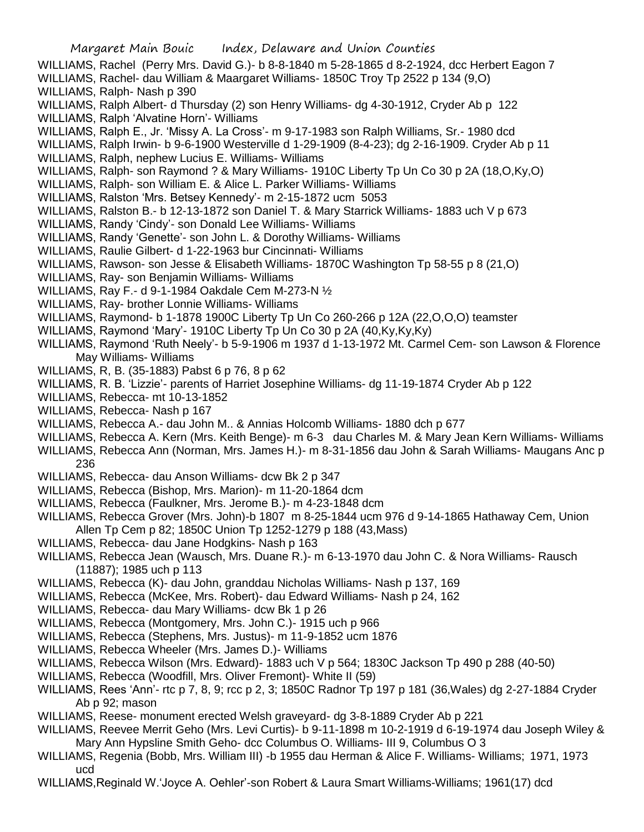WILLIAMS, Rachel (Perry Mrs. David G.)- b 8-8-1840 m 5-28-1865 d 8-2-1924, dcc Herbert Eagon 7 WILLIAMS, Rachel- dau William & Maargaret Williams- 1850C Troy Tp 2522 p 134 (9,O) WILLIAMS, Ralph- Nash p 390 WILLIAMS, Ralph Albert- d Thursday (2) son Henry Williams- dg 4-30-1912, Cryder Ab p 122 WILLIAMS, Ralph 'Alvatine Horn'- Williams WILLIAMS, Ralph E., Jr. 'Missy A. La Cross'- m 9-17-1983 son Ralph Williams, Sr.- 1980 dcd WILLIAMS, Ralph Irwin- b 9-6-1900 Westerville d 1-29-1909 (8-4-23); dg 2-16-1909. Cryder Ab p 11 WILLIAMS, Ralph, nephew Lucius E. Williams- Williams WILLIAMS, Ralph- son Raymond ? & Mary Williams- 1910C Liberty Tp Un Co 30 p 2A (18,O,Ky,O) WILLIAMS, Ralph- son William E. & Alice L. Parker Williams- Williams WILLIAMS, Ralston 'Mrs. Betsey Kennedy'- m 2-15-1872 ucm 5053 WILLIAMS, Ralston B.- b 12-13-1872 son Daniel T. & Mary Starrick Williams- 1883 uch V p 673 WILLIAMS, Randy 'Cindy'- son Donald Lee Williams- Williams WILLIAMS, Randy 'Genette'- son John L. & Dorothy Williams- Williams WILLIAMS, Raulie Gilbert- d 1-22-1963 bur Cincinnati- Williams WILLIAMS, Rawson- son Jesse & Elisabeth Williams- 1870C Washington Tp 58-55 p 8 (21,O) WILLIAMS, Ray- son Benjamin Williams- Williams WILLIAMS, Ray F.- d 9-1-1984 Oakdale Cem M-273-N ½ WILLIAMS, Ray- brother Lonnie Williams- Williams WILLIAMS, Raymond- b 1-1878 1900C Liberty Tp Un Co 260-266 p 12A (22,O,O,O) teamster WILLIAMS, Raymond 'Mary'- 1910C Liberty Tp Un Co 30 p 2A (40,Ky,Ky,Ky) WILLIAMS, Raymond 'Ruth Neely'- b 5-9-1906 m 1937 d 1-13-1972 Mt. Carmel Cem- son Lawson & Florence May Williams- Williams WILLIAMS, R, B. (35-1883) Pabst 6 p 76, 8 p 62 WILLIAMS, R. B. 'Lizzie'- parents of Harriet Josephine Williams- dg 11-19-1874 Cryder Ab p 122 WILLIAMS, Rebecca- mt 10-13-1852 WILLIAMS, Rebecca- Nash p 167 WILLIAMS, Rebecca A.- dau John M.. & Annias Holcomb Williams- 1880 dch p 677 WILLIAMS, Rebecca A. Kern (Mrs. Keith Benge)- m 6-3 dau Charles M. & Mary Jean Kern Williams- Williams WILLIAMS, Rebecca Ann (Norman, Mrs. James H.)- m 8-31-1856 dau John & Sarah Williams- Maugans Anc p 236 WILLIAMS, Rebecca- dau Anson Williams- dcw Bk 2 p 347 WILLIAMS, Rebecca (Bishop, Mrs. Marion)- m 11-20-1864 dcm WILLIAMS, Rebecca (Faulkner, Mrs. Jerome B.)- m 4-23-1848 dcm WILLIAMS, Rebecca Grover (Mrs. John)-b 1807 m 8-25-1844 ucm 976 d 9-14-1865 Hathaway Cem, Union Allen Tp Cem p 82; 1850C Union Tp 1252-1279 p 188 (43,Mass) WILLIAMS, Rebecca- dau Jane Hodgkins- Nash p 163 WILLIAMS, Rebecca Jean (Wausch, Mrs. Duane R.)- m 6-13-1970 dau John C. & Nora Williams- Rausch (11887); 1985 uch p 113 WILLIAMS, Rebecca (K)- dau John, granddau Nicholas Williams- Nash p 137, 169 WILLIAMS, Rebecca (McKee, Mrs. Robert)- dau Edward Williams- Nash p 24, 162 WILLIAMS, Rebecca- dau Mary Williams- dcw Bk 1 p 26 WILLIAMS, Rebecca (Montgomery, Mrs. John C.)- 1915 uch p 966 WILLIAMS, Rebecca (Stephens, Mrs. Justus)- m 11-9-1852 ucm 1876 WILLIAMS, Rebecca Wheeler (Mrs. James D.)- Williams WILLIAMS, Rebecca Wilson (Mrs. Edward)- 1883 uch V p 564; 1830C Jackson Tp 490 p 288 (40-50) WILLIAMS, Rebecca (Woodfill, Mrs. Oliver Fremont)- White II (59)

- WILLIAMS, Rees 'Ann'- rtc p 7, 8, 9; rcc p 2, 3; 1850C Radnor Tp 197 p 181 (36,Wales) dg 2-27-1884 Cryder Ab p 92; mason
- WILLIAMS, Reese- monument erected Welsh graveyard- dg 3-8-1889 Cryder Ab p 221
- WILLIAMS, Reevee Merrit Geho (Mrs. Levi Curtis)- b 9-11-1898 m 10-2-1919 d 6-19-1974 dau Joseph Wiley & Mary Ann Hypsline Smith Geho- dcc Columbus O. Williams- III 9, Columbus O 3
- WILLIAMS, Regenia (Bobb, Mrs. William III) -b 1955 dau Herman & Alice F. Williams- Williams; 1971, 1973 ucd
- WILLIAMS,Reginald W.'Joyce A. Oehler'-son Robert & Laura Smart Williams-Williams; 1961(17) dcd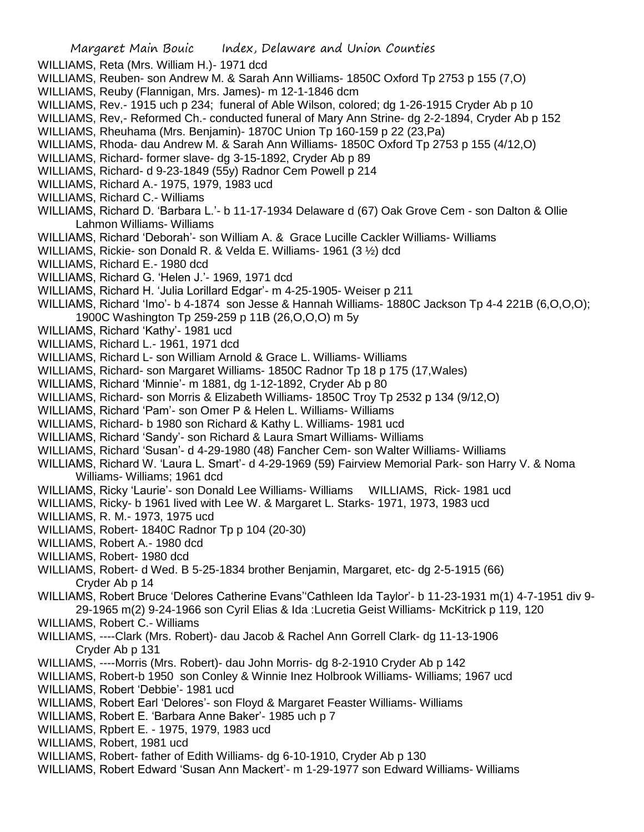WILLIAMS, Reta (Mrs. William H.)- 1971 dcd

- WILLIAMS, Reuben- son Andrew M. & Sarah Ann Williams- 1850C Oxford Tp 2753 p 155 (7,O)
- WILLIAMS, Reuby (Flannigan, Mrs. James)- m 12-1-1846 dcm
- WILLIAMS, Rev.- 1915 uch p 234; funeral of Able Wilson, colored; dg 1-26-1915 Cryder Ab p 10
- WILLIAMS, Rev,- Reformed Ch.- conducted funeral of Mary Ann Strine- dg 2-2-1894, Cryder Ab p 152
- WILLIAMS, Rheuhama (Mrs. Benjamin)- 1870C Union Tp 160-159 p 22 (23,Pa)
- WILLIAMS, Rhoda- dau Andrew M. & Sarah Ann Williams- 1850C Oxford Tp 2753 p 155 (4/12,O)
- WILLIAMS, Richard- former slave- dg 3-15-1892, Cryder Ab p 89
- WILLIAMS, Richard- d 9-23-1849 (55y) Radnor Cem Powell p 214
- WILLIAMS, Richard A.- 1975, 1979, 1983 ucd
- WILLIAMS, Richard C.- Williams
- WILLIAMS, Richard D. 'Barbara L.'- b 11-17-1934 Delaware d (67) Oak Grove Cem son Dalton & Ollie Lahmon Williams- Williams
- WILLIAMS, Richard 'Deborah'- son William A. & Grace Lucille Cackler Williams- Williams
- WILLIAMS, Rickie- son Donald R. & Velda E. Williams- 1961 (3 ½) dcd
- WILLIAMS, Richard E.- 1980 dcd
- WILLIAMS, Richard G. 'Helen J.'- 1969, 1971 dcd
- WILLIAMS, Richard H. 'Julia Lorillard Edgar'- m 4-25-1905- Weiser p 211
- WILLIAMS, Richard 'Imo'- b 4-1874 son Jesse & Hannah Williams- 1880C Jackson Tp 4-4 221B (6,O,O,O); 1900C Washington Tp 259-259 p 11B (26,O,O,O) m 5y
- WILLIAMS, Richard 'Kathy'- 1981 ucd
- WILLIAMS, Richard L.- 1961, 1971 dcd
- WILLIAMS, Richard L- son William Arnold & Grace L. Williams- Williams
- WILLIAMS, Richard- son Margaret Williams- 1850C Radnor Tp 18 p 175 (17,Wales)
- WILLIAMS, Richard 'Minnie'- m 1881, dg 1-12-1892, Cryder Ab p 80
- WILLIAMS, Richard- son Morris & Elizabeth Williams- 1850C Troy Tp 2532 p 134 (9/12,O)
- WILLIAMS, Richard 'Pam'- son Omer P & Helen L. Williams- Williams
- WILLIAMS, Richard- b 1980 son Richard & Kathy L. Williams- 1981 ucd
- WILLIAMS, Richard 'Sandy'- son Richard & Laura Smart Williams- Williams
- WILLIAMS, Richard 'Susan'- d 4-29-1980 (48) Fancher Cem- son Walter Williams- Williams
- WILLIAMS, Richard W. 'Laura L. Smart'- d 4-29-1969 (59) Fairview Memorial Park- son Harry V. & Noma Williams- Williams; 1961 dcd
- WILLIAMS, Ricky 'Laurie'- son Donald Lee Williams- Williams WILLIAMS, Rick- 1981 ucd
- WILLIAMS, Ricky- b 1961 lived with Lee W. & Margaret L. Starks- 1971, 1973, 1983 ucd
- WILLIAMS, R. M.- 1973, 1975 ucd
- WILLIAMS, Robert- 1840C Radnor Tp p 104 (20-30)
- WILLIAMS, Robert A.- 1980 dcd
- WILLIAMS, Robert- 1980 dcd
- WILLIAMS, Robert- d Wed. B 5-25-1834 brother Benjamin, Margaret, etc- dg 2-5-1915 (66) Cryder Ab p 14
- WILLIAMS, Robert Bruce 'Delores Catherine Evans''Cathleen Ida Taylor'- b 11-23-1931 m(1) 4-7-1951 div 9- 29-1965 m(2) 9-24-1966 son Cyril Elias & Ida :Lucretia Geist Williams- McKitrick p 119, 120
- WILLIAMS, Robert C.- Williams
- WILLIAMS, ----Clark (Mrs. Robert)- dau Jacob & Rachel Ann Gorrell Clark- dg 11-13-1906 Cryder Ab p 131
- WILLIAMS, ----Morris (Mrs. Robert)- dau John Morris- dg 8-2-1910 Cryder Ab p 142
- WILLIAMS, Robert-b 1950 son Conley & Winnie Inez Holbrook Williams- Williams; 1967 ucd
- WILLIAMS, Robert 'Debbie'- 1981 ucd
- WILLIAMS, Robert Earl 'Delores'- son Floyd & Margaret Feaster Williams- Williams
- WILLIAMS, Robert E. 'Barbara Anne Baker'- 1985 uch p 7
- WILLIAMS, Rpbert E. 1975, 1979, 1983 ucd
- WILLIAMS, Robert, 1981 ucd
- WILLIAMS, Robert- father of Edith Williams- dg 6-10-1910, Cryder Ab p 130
- WILLIAMS, Robert Edward 'Susan Ann Mackert'- m 1-29-1977 son Edward Williams- Williams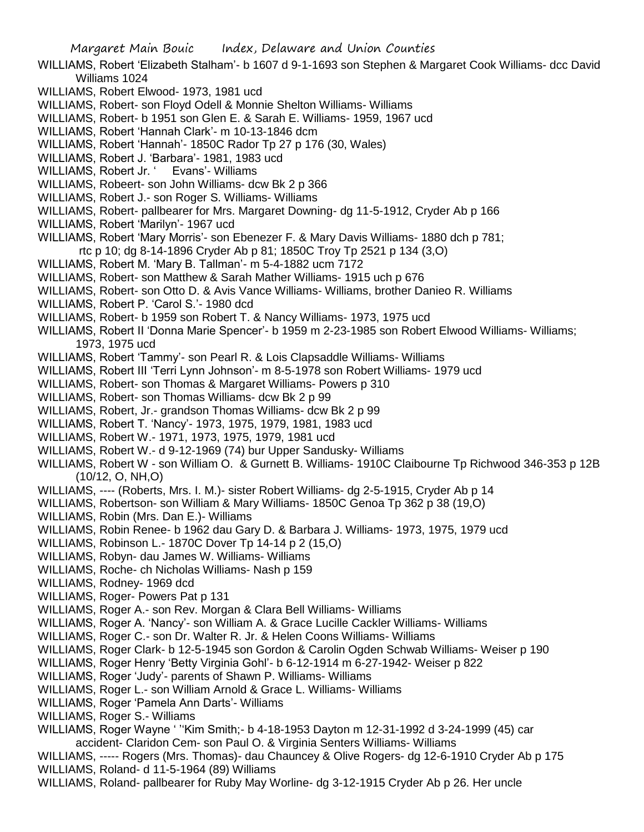- WILLIAMS, Robert 'Elizabeth Stalham'- b 1607 d 9-1-1693 son Stephen & Margaret Cook Williams- dcc David Williams 1024
- WILLIAMS, Robert Elwood- 1973, 1981 ucd
- WILLIAMS, Robert- son Floyd Odell & Monnie Shelton Williams- Williams
- WILLIAMS, Robert- b 1951 son Glen E. & Sarah E. Williams- 1959, 1967 ucd
- WILLIAMS, Robert 'Hannah Clark'- m 10-13-1846 dcm
- WILLIAMS, Robert 'Hannah'- 1850C Rador Tp 27 p 176 (30, Wales)
- WILLIAMS, Robert J. 'Barbara'- 1981, 1983 ucd
- WILLIAMS, Robert Jr. ' Evans'- Williams
- WILLIAMS, Robeert- son John Williams- dcw Bk 2 p 366
- WILLIAMS, Robert J.- son Roger S. Williams- Williams
- WILLIAMS, Robert- pallbearer for Mrs. Margaret Downing- dg 11-5-1912, Cryder Ab p 166
- WILLIAMS, Robert 'Marilyn'- 1967 ucd
- WILLIAMS, Robert 'Mary Morris'- son Ebenezer F. & Mary Davis Williams- 1880 dch p 781;
	- rtc p 10; dg 8-14-1896 Cryder Ab p 81; 1850C Troy Tp 2521 p 134 (3,O)
- WILLIAMS, Robert M. 'Mary B. Tallman'- m 5-4-1882 ucm 7172
- WILLIAMS, Robert- son Matthew & Sarah Mather Williams- 1915 uch p 676
- WILLIAMS, Robert- son Otto D. & Avis Vance Williams- Williams, brother Danieo R. Williams
- WILLIAMS, Robert P. 'Carol S.'- 1980 dcd
- WILLIAMS, Robert- b 1959 son Robert T. & Nancy Williams- 1973, 1975 ucd
- WILLIAMS, Robert II 'Donna Marie Spencer'- b 1959 m 2-23-1985 son Robert Elwood Williams- Williams; 1973, 1975 ucd
- WILLIAMS, Robert 'Tammy'- son Pearl R. & Lois Clapsaddle Williams- Williams
- WILLIAMS, Robert III 'Terri Lynn Johnson'- m 8-5-1978 son Robert Williams- 1979 ucd
- WILLIAMS, Robert- son Thomas & Margaret Williams- Powers p 310
- WILLIAMS, Robert- son Thomas Williams- dcw Bk 2 p 99
- WILLIAMS, Robert, Jr.- grandson Thomas Williams- dcw Bk 2 p 99
- WILLIAMS, Robert T. 'Nancy'- 1973, 1975, 1979, 1981, 1983 ucd
- WILLIAMS, Robert W.- 1971, 1973, 1975, 1979, 1981 ucd
- WILLIAMS, Robert W.- d 9-12-1969 (74) bur Upper Sandusky- Williams
- WILLIAMS, Robert W son William O. & Gurnett B. Williams- 1910C Claibourne Tp Richwood 346-353 p 12B (10/12, O, NH,O)
- WILLIAMS, ---- (Roberts, Mrs. I. M.)- sister Robert Williams- dg 2-5-1915, Cryder Ab p 14
- WILLIAMS, Robertson- son William & Mary Williams- 1850C Genoa Tp 362 p 38 (19,O)
- WILLIAMS, Robin (Mrs. Dan E.)- Williams
- WILLIAMS, Robin Renee- b 1962 dau Gary D. & Barbara J. Williams- 1973, 1975, 1979 ucd
- WILLIAMS, Robinson L.- 1870C Dover Tp 14-14 p 2 (15,O)
- WILLIAMS, Robyn- dau James W. Williams- Williams
- WILLIAMS, Roche- ch Nicholas Williams- Nash p 159
- WILLIAMS, Rodney- 1969 dcd
- WILLIAMS, Roger- Powers Pat p 131
- WILLIAMS, Roger A.- son Rev. Morgan & Clara Bell Williams- Williams
- WILLIAMS, Roger A. 'Nancy'- son William A. & Grace Lucille Cackler Williams- Williams
- WILLIAMS, Roger C.- son Dr. Walter R. Jr. & Helen Coons Williams- Williams
- WILLIAMS, Roger Clark- b 12-5-1945 son Gordon & Carolin Ogden Schwab Williams- Weiser p 190
- WILLIAMS, Roger Henry 'Betty Virginia Gohl'- b 6-12-1914 m 6-27-1942- Weiser p 822
- WILLIAMS, Roger 'Judy'- parents of Shawn P. Williams- Williams
- WILLIAMS, Roger L.- son William Arnold & Grace L. Williams- Williams
- WILLIAMS, Roger 'Pamela Ann Darts'- Williams
- WILLIAMS, Roger S.- Williams
- WILLIAMS, Roger Wayne ' ''Kim Smith;- b 4-18-1953 Dayton m 12-31-1992 d 3-24-1999 (45) car accident- Claridon Cem- son Paul O. & Virginia Senters Williams- Williams
- WILLIAMS, ----- Rogers (Mrs. Thomas)- dau Chauncey & Olive Rogers- dg 12-6-1910 Cryder Ab p 175 WILLIAMS, Roland- d 11-5-1964 (89) Williams
- WILLIAMS, Roland- pallbearer for Ruby May Worline- dg 3-12-1915 Cryder Ab p 26. Her uncle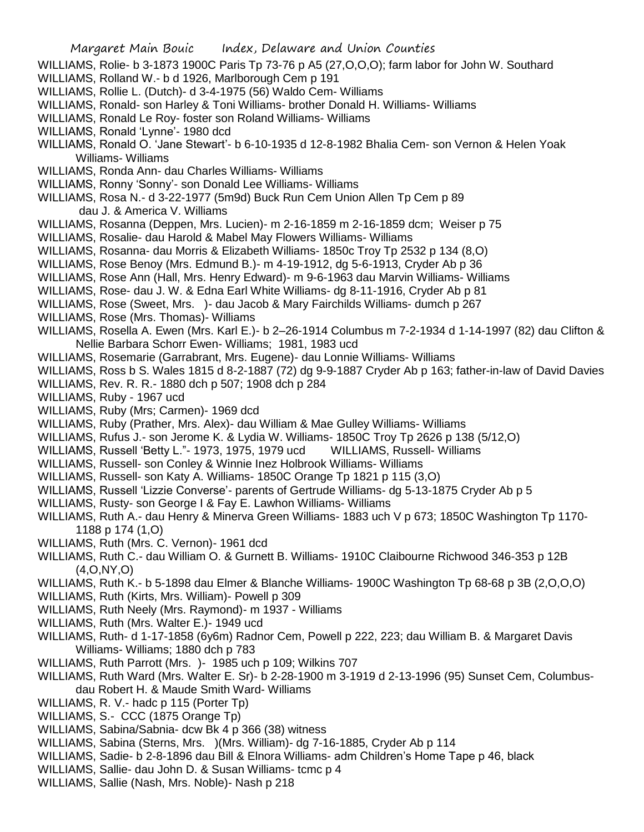- WILLIAMS, Rolie- b 3-1873 1900C Paris Tp 73-76 p A5 (27,O,O,O); farm labor for John W. Southard
- WILLIAMS, Rolland W.- b d 1926, Marlborough Cem p 191
- WILLIAMS, Rollie L. (Dutch)- d 3-4-1975 (56) Waldo Cem- Williams
- WILLIAMS, Ronald- son Harley & Toni Williams- brother Donald H. Williams- Williams
- WILLIAMS, Ronald Le Roy- foster son Roland Williams- Williams
- WILLIAMS, Ronald 'Lynne'- 1980 dcd
- WILLIAMS, Ronald O. 'Jane Stewart'- b 6-10-1935 d 12-8-1982 Bhalia Cem- son Vernon & Helen Yoak Williams- Williams
- WILLIAMS, Ronda Ann- dau Charles Williams- Williams
- WILLIAMS, Ronny 'Sonny'- son Donald Lee Williams- Williams
- WILLIAMS, Rosa N.- d 3-22-1977 (5m9d) Buck Run Cem Union Allen Tp Cem p 89 dau J. & America V. Williams
- WILLIAMS, Rosanna (Deppen, Mrs. Lucien)- m 2-16-1859 m 2-16-1859 dcm; Weiser p 75
- WILLIAMS, Rosalie- dau Harold & Mabel May Flowers Williams- Williams
- WILLIAMS, Rosanna- dau Morris & Elizabeth Williams- 1850c Troy Tp 2532 p 134 (8,O)
- WILLIAMS, Rose Benoy (Mrs. Edmund B.)- m 4-19-1912, dg 5-6-1913, Cryder Ab p 36
- WILLIAMS, Rose Ann (Hall, Mrs. Henry Edward)- m 9-6-1963 dau Marvin Williams- Williams
- WILLIAMS, Rose- dau J. W. & Edna Earl White Williams- dg 8-11-1916, Cryder Ab p 81
- WILLIAMS, Rose (Sweet, Mrs. )- dau Jacob & Mary Fairchilds Williams- dumch p 267
- WILLIAMS, Rose (Mrs. Thomas)- Williams
- WILLIAMS, Rosella A. Ewen (Mrs. Karl E.)- b 2–26-1914 Columbus m 7-2-1934 d 1-14-1997 (82) dau Clifton & Nellie Barbara Schorr Ewen- Williams; 1981, 1983 ucd
- WILLIAMS, Rosemarie (Garrabrant, Mrs. Eugene)- dau Lonnie Williams- Williams
- WILLIAMS, Ross b S. Wales 1815 d 8-2-1887 (72) dg 9-9-1887 Cryder Ab p 163; father-in-law of David Davies
- WILLIAMS, Rev. R. R.- 1880 dch p 507; 1908 dch p 284
- WILLIAMS, Ruby 1967 ucd
- WILLIAMS, Ruby (Mrs; Carmen)- 1969 dcd
- WILLIAMS, Ruby (Prather, Mrs. Alex)- dau William & Mae Gulley Williams- Williams
- WILLIAMS, Rufus J.- son Jerome K. & Lydia W. Williams- 1850C Troy Tp 2626 p 138 (5/12,O)
- WILLIAMS, Russell 'Betty L."- 1973, 1975, 1979 ucd WILLIAMS, Russell- Williams
- WILLIAMS, Russell- son Conley & Winnie Inez Holbrook Williams- Williams
- WILLIAMS, Russell- son Katy A. Williams- 1850C Orange Tp 1821 p 115 (3,O)
- WILLIAMS, Russell 'Lizzie Converse'- parents of Gertrude Williams- dg 5-13-1875 Cryder Ab p 5
- WILLIAMS, Rusty- son George I & Fay E. Lawhon Williams- Williams
- WILLIAMS, Ruth A.- dau Henry & Minerva Green Williams- 1883 uch V p 673; 1850C Washington Tp 1170- 1188 p 174 (1,O)
- WILLIAMS, Ruth (Mrs. C. Vernon)- 1961 dcd
- WILLIAMS, Ruth C.- dau William O. & Gurnett B. Williams- 1910C Claibourne Richwood 346-353 p 12B (4,O,NY,O)
- WILLIAMS, Ruth K.- b 5-1898 dau Elmer & Blanche Williams- 1900C Washington Tp 68-68 p 3B (2,O,O,O)
- WILLIAMS, Ruth (Kirts, Mrs. William)- Powell p 309
- WILLIAMS, Ruth Neely (Mrs. Raymond)- m 1937 Williams
- WILLIAMS, Ruth (Mrs. Walter E.)- 1949 ucd
- WILLIAMS, Ruth- d 1-17-1858 (6y6m) Radnor Cem, Powell p 222, 223; dau William B. & Margaret Davis Williams- Williams; 1880 dch p 783
- WILLIAMS, Ruth Parrott (Mrs. )- 1985 uch p 109; Wilkins 707
- WILLIAMS, Ruth Ward (Mrs. Walter E. Sr)- b 2-28-1900 m 3-1919 d 2-13-1996 (95) Sunset Cem, Columbusdau Robert H. & Maude Smith Ward- Williams
- WILLIAMS, R. V.- hadc p 115 (Porter Tp)
- WILLIAMS, S.- CCC (1875 Orange Tp)
- WILLIAMS, Sabina/Sabnia- dcw Bk 4 p 366 (38) witness
- WILLIAMS, Sabina (Sterns, Mrs. )(Mrs. William)- dg 7-16-1885, Cryder Ab p 114
- WILLIAMS, Sadie- b 2-8-1896 dau Bill & Elnora Williams- adm Children's Home Tape p 46, black
- WILLIAMS, Sallie- dau John D. & Susan Williams- tcmc p 4
- WILLIAMS, Sallie (Nash, Mrs. Noble)- Nash p 218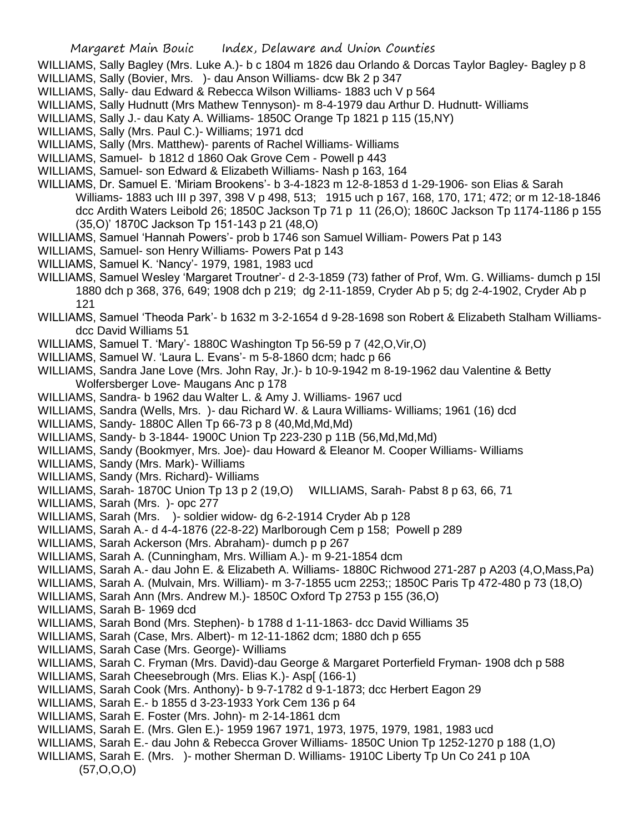- WILLIAMS, Sally Bagley (Mrs. Luke A.)- b c 1804 m 1826 dau Orlando & Dorcas Taylor Bagley- Bagley p 8
- WILLIAMS, Sally (Bovier, Mrs. )- dau Anson Williams- dcw Bk 2 p 347
- WILLIAMS, Sally- dau Edward & Rebecca Wilson Williams- 1883 uch V p 564
- WILLIAMS, Sally Hudnutt (Mrs Mathew Tennyson)- m 8-4-1979 dau Arthur D. Hudnutt- Williams
- WILLIAMS, Sally J.- dau Katy A. Williams- 1850C Orange Tp 1821 p 115 (15,NY)
- WILLIAMS, Sally (Mrs. Paul C.)- Williams; 1971 dcd
- WILLIAMS, Sally (Mrs. Matthew)- parents of Rachel Williams- Williams
- WILLIAMS, Samuel- b 1812 d 1860 Oak Grove Cem Powell p 443
- WILLIAMS, Samuel- son Edward & Elizabeth Williams- Nash p 163, 164
- WILLIAMS, Dr. Samuel E. 'Miriam Brookens'- b 3-4-1823 m 12-8-1853 d 1-29-1906- son Elias & Sarah Williams- 1883 uch III p 397, 398 V p 498, 513; 1915 uch p 167, 168, 170, 171; 472; or m 12-18-1846 dcc Ardith Waters Leibold 26; 1850C Jackson Tp 71 p 11 (26,O); 1860C Jackson Tp 1174-1186 p 155 (35,O)' 1870C Jackson Tp 151-143 p 21 (48,O)
- WILLIAMS, Samuel 'Hannah Powers'- prob b 1746 son Samuel William- Powers Pat p 143
- WILLIAMS, Samuel- son Henry Williams- Powers Pat p 143
- WILLIAMS, Samuel K. 'Nancy'- 1979, 1981, 1983 ucd
- WILLIAMS, Samuel Wesley 'Margaret Troutner'- d 2-3-1859 (73) father of Prof, Wm. G. Williams- dumch p 15l 1880 dch p 368, 376, 649; 1908 dch p 219; dg 2-11-1859, Cryder Ab p 5; dg 2-4-1902, Cryder Ab p 121
- WILLIAMS, Samuel 'Theoda Park'- b 1632 m 3-2-1654 d 9-28-1698 son Robert & Elizabeth Stalham Williamsdcc David Williams 51
- WILLIAMS, Samuel T. 'Mary'- 1880C Washington Tp 56-59 p 7 (42,O,Vir,O)
- WILLIAMS, Samuel W. 'Laura L. Evans'- m 5-8-1860 dcm; hadc p 66
- WILLIAMS, Sandra Jane Love (Mrs. John Ray, Jr.)- b 10-9-1942 m 8-19-1962 dau Valentine & Betty Wolfersberger Love- Maugans Anc p 178
- WILLIAMS, Sandra- b 1962 dau Walter L. & Amy J. Williams- 1967 ucd
- WILLIAMS, Sandra (Wells, Mrs. )- dau Richard W. & Laura Williams- Williams; 1961 (16) dcd
- WILLIAMS, Sandy-1880C Allen Tp 66-73 p 8 (40, Md, Md, Md)
- WILLIAMS, Sandy- b 3-1844- 1900C Union Tp 223-230 p 11B (56,Md,Md,Md)
- WILLIAMS, Sandy (Bookmyer, Mrs. Joe)- dau Howard & Eleanor M. Cooper Williams- Williams
- WILLIAMS, Sandy (Mrs. Mark)- Williams
- WILLIAMS, Sandy (Mrs. Richard)- Williams
- WILLIAMS, Sarah- 1870C Union Tp 13 p 2 (19,O) WILLIAMS, Sarah- Pabst 8 p 63, 66, 71
- WILLIAMS, Sarah (Mrs. )- opc 277
- WILLIAMS, Sarah (Mrs. )- soldier widow- dg 6-2-1914 Cryder Ab p 128
- WILLIAMS, Sarah A.- d 4-4-1876 (22-8-22) Marlborough Cem p 158; Powell p 289
- WILLIAMS, Sarah Ackerson (Mrs. Abraham)- dumch p p 267
- WILLIAMS, Sarah A. (Cunningham, Mrs. William A.)- m 9-21-1854 dcm
- WILLIAMS, Sarah A.- dau John E. & Elizabeth A. Williams- 1880C Richwood 271-287 p A203 (4,O,Mass,Pa)
- WILLIAMS, Sarah A. (Mulvain, Mrs. William)- m 3-7-1855 ucm 2253;; 1850C Paris Tp 472-480 p 73 (18,O)
- WILLIAMS, Sarah Ann (Mrs. Andrew M.)- 1850C Oxford Tp 2753 p 155 (36,O)
- WILLIAMS, Sarah B- 1969 dcd
- WILLIAMS, Sarah Bond (Mrs. Stephen)- b 1788 d 1-11-1863- dcc David Williams 35
- WILLIAMS, Sarah (Case, Mrs. Albert)- m 12-11-1862 dcm; 1880 dch p 655
- WILLIAMS, Sarah Case (Mrs. George)- Williams
- WILLIAMS, Sarah C. Fryman (Mrs. David)-dau George & Margaret Porterfield Fryman- 1908 dch p 588
- WILLIAMS, Sarah Cheesebrough (Mrs. Elias K.)- Asp[ (166-1)
- WILLIAMS, Sarah Cook (Mrs. Anthony)- b 9-7-1782 d 9-1-1873; dcc Herbert Eagon 29
- WILLIAMS, Sarah E.- b 1855 d 3-23-1933 York Cem 136 p 64
- WILLIAMS, Sarah E. Foster (Mrs. John)- m 2-14-1861 dcm
- WILLIAMS, Sarah E. (Mrs. Glen E.)- 1959 1967 1971, 1973, 1975, 1979, 1981, 1983 ucd
- WILLIAMS, Sarah E.- dau John & Rebecca Grover Williams- 1850C Union Tp 1252-1270 p 188 (1,O)
- WILLIAMS, Sarah E. (Mrs. )- mother Sherman D. Williams- 1910C Liberty Tp Un Co 241 p 10A (57,O,O,O)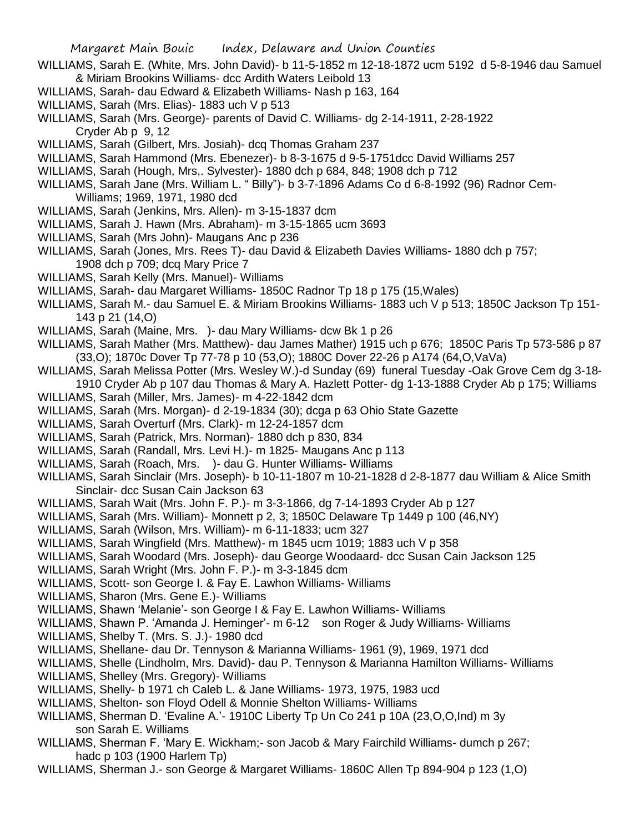- WILLIAMS, Sarah E. (White, Mrs. John David)- b 11-5-1852 m 12-18-1872 ucm 5192 d 5-8-1946 dau Samuel & Miriam Brookins Williams- dcc Ardith Waters Leibold 13
- WILLIAMS, Sarah- dau Edward & Elizabeth Williams- Nash p 163, 164
- WILLIAMS, Sarah (Mrs. Elias)- 1883 uch V p 513
- WILLIAMS, Sarah (Mrs. George)- parents of David C. Williams- dg 2-14-1911, 2-28-1922 Cryder Ab p 9, 12
- WILLIAMS, Sarah (Gilbert, Mrs. Josiah)- dcq Thomas Graham 237
- WILLIAMS, Sarah Hammond (Mrs. Ebenezer)- b 8-3-1675 d 9-5-1751dcc David Williams 257
- WILLIAMS, Sarah (Hough, Mrs,. Sylvester)- 1880 dch p 684, 848; 1908 dch p 712
- WILLIAMS, Sarah Jane (Mrs. William L. " Billy")- b 3-7-1896 Adams Co d 6-8-1992 (96) Radnor Cem-Williams; 1969, 1971, 1980 dcd
- WILLIAMS, Sarah (Jenkins, Mrs. Allen)- m 3-15-1837 dcm
- WILLIAMS, Sarah J. Hawn (Mrs. Abraham)- m 3-15-1865 ucm 3693
- WILLIAMS, Sarah (Mrs John)- Maugans Anc p 236
- WILLIAMS, Sarah (Jones, Mrs. Rees T)- dau David & Elizabeth Davies Williams- 1880 dch p 757; 1908 dch p 709; dcq Mary Price 7
- WILLIAMS, Sarah Kelly (Mrs. Manuel)- Williams
- WILLIAMS, Sarah- dau Margaret Williams- 1850C Radnor Tp 18 p 175 (15,Wales)
- WILLIAMS, Sarah M.- dau Samuel E. & Miriam Brookins Williams- 1883 uch V p 513; 1850C Jackson Tp 151- 143 p 21 (14,O)
- WILLIAMS, Sarah (Maine, Mrs. )- dau Mary Williams- dcw Bk 1 p 26
- WILLIAMS, Sarah Mather (Mrs. Matthew)- dau James Mather) 1915 uch p 676; 1850C Paris Tp 573-586 p 87 (33,O); 1870c Dover Tp 77-78 p 10 (53,O); 1880C Dover 22-26 p A174 (64,O,VaVa)
- WILLIAMS, Sarah Melissa Potter (Mrs. Wesley W.)-d Sunday (69) funeral Tuesday -Oak Grove Cem dg 3-18- 1910 Cryder Ab p 107 dau Thomas & Mary A. Hazlett Potter- dg 1-13-1888 Cryder Ab p 175; Williams
- WILLIAMS, Sarah (Miller, Mrs. James)- m 4-22-1842 dcm
- WILLIAMS, Sarah (Mrs. Morgan)- d 2-19-1834 (30); dcga p 63 Ohio State Gazette
- WILLIAMS, Sarah Overturf (Mrs. Clark)- m 12-24-1857 dcm
- WILLIAMS, Sarah (Patrick, Mrs. Norman)- 1880 dch p 830, 834
- WILLIAMS, Sarah (Randall, Mrs. Levi H.)- m 1825- Maugans Anc p 113
- WILLIAMS, Sarah (Roach, Mrs. )- dau G. Hunter Williams- Williams
- WILLIAMS, Sarah Sinclair (Mrs. Joseph)- b 10-11-1807 m 10-21-1828 d 2-8-1877 dau William & Alice Smith Sinclair- dcc Susan Cain Jackson 63
- WILLIAMS, Sarah Wait (Mrs. John F. P.)- m 3-3-1866, dg 7-14-1893 Cryder Ab p 127
- WILLIAMS, Sarah (Mrs. William)- Monnett p 2, 3; 1850C Delaware Tp 1449 p 100 (46,NY)
- WILLIAMS, Sarah (Wilson, Mrs. William)- m 6-11-1833; ucm 327
- WILLIAMS, Sarah Wingfield (Mrs. Matthew)- m 1845 ucm 1019; 1883 uch V p 358
- WILLIAMS, Sarah Woodard (Mrs. Joseph)- dau George Woodaard- dcc Susan Cain Jackson 125
- WILLIAMS, Sarah Wright (Mrs. John F. P.)- m 3-3-1845 dcm
- WILLIAMS, Scott- son George I. & Fay E. Lawhon Williams- Williams
- WILLIAMS, Sharon (Mrs. Gene E.)- Williams
- WILLIAMS, Shawn 'Melanie'- son George I & Fay E. Lawhon Williams- Williams
- WILLIAMS, Shawn P. 'Amanda J. Heminger'- m 6-12 son Roger & Judy Williams- Williams
- WILLIAMS, Shelby T. (Mrs. S. J.)- 1980 dcd
- WILLIAMS, Shellane- dau Dr. Tennyson & Marianna Williams- 1961 (9), 1969, 1971 dcd
- WILLIAMS, Shelle (Lindholm, Mrs. David)- dau P. Tennyson & Marianna Hamilton Williams- Williams
- WILLIAMS, Shelley (Mrs. Gregory)- Williams
- WILLIAMS, Shelly- b 1971 ch Caleb L. & Jane Williams- 1973, 1975, 1983 ucd
- WILLIAMS, Shelton- son Floyd Odell & Monnie Shelton Williams- Williams
- WILLIAMS, Sherman D. 'Evaline A.'- 1910C Liberty Tp Un Co 241 p 10A (23,O,O,Ind) m 3y son Sarah E. Williams
- WILLIAMS, Sherman F. 'Mary E. Wickham;- son Jacob & Mary Fairchild Williams- dumch p 267; hadc p 103 (1900 Harlem Tp)
- WILLIAMS, Sherman J.- son George & Margaret Williams- 1860C Allen Tp 894-904 p 123 (1,O)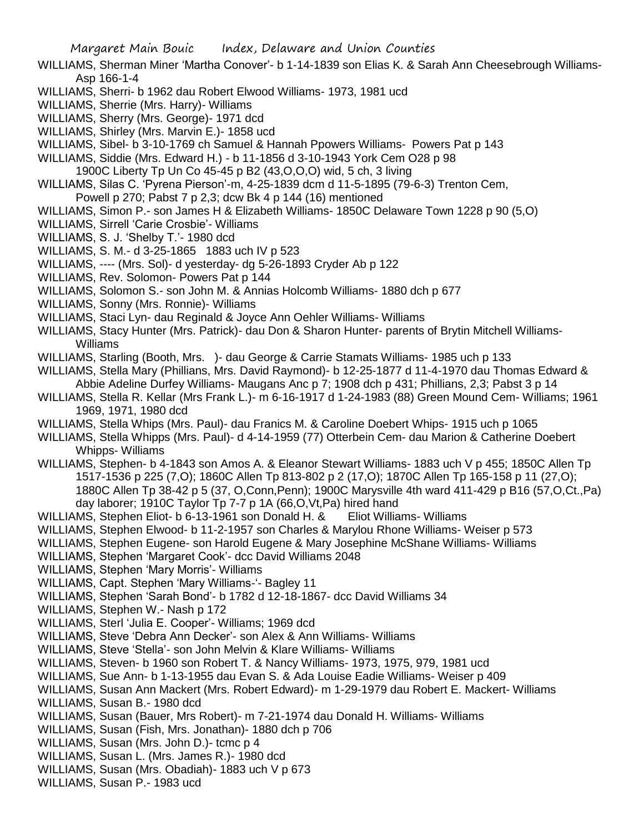- WILLIAMS, Sherman Miner 'Martha Conover'- b 1-14-1839 son Elias K. & Sarah Ann Cheesebrough Williams-Asp 166-1-4
- WILLIAMS, Sherri- b 1962 dau Robert Elwood Williams- 1973, 1981 ucd
- WILLIAMS, Sherrie (Mrs. Harry)- Williams
- WILLIAMS, Sherry (Mrs. George)- 1971 dcd
- WILLIAMS, Shirley (Mrs. Marvin E.)- 1858 ucd
- WILLIAMS, Sibel- b 3-10-1769 ch Samuel & Hannah Ppowers Williams- Powers Pat p 143
- WILLIAMS, Siddie (Mrs. Edward H.) b 11-1856 d 3-10-1943 York Cem O28 p 98
- 1900C Liberty Tp Un Co 45-45 p B2 (43,O,O,O) wid, 5 ch, 3 living
- WILLIAMS, Silas C. 'Pyrena Pierson'-m, 4-25-1839 dcm d 11-5-1895 (79-6-3) Trenton Cem, Powell p 270; Pabst 7 p 2,3; dcw Bk 4 p 144 (16) mentioned
- 
- WILLIAMS, Simon P.- son James H & Elizabeth Williams- 1850C Delaware Town 1228 p 90 (5,O)
- WILLIAMS, Sirrell 'Carie Crosbie'- Williams
- WILLIAMS, S. J. 'Shelby T.'- 1980 dcd
- WILLIAMS, S. M.- d 3-25-1865 1883 uch IV p 523
- WILLIAMS, ---- (Mrs. Sol)- d yesterday- dg 5-26-1893 Cryder Ab p 122
- WILLIAMS, Rev. Solomon- Powers Pat p 144
- WILLIAMS, Solomon S.- son John M. & Annias Holcomb Williams- 1880 dch p 677
- WILLIAMS, Sonny (Mrs. Ronnie)- Williams
- WILLIAMS, Staci Lyn- dau Reginald & Joyce Ann Oehler Williams- Williams
- WILLIAMS, Stacy Hunter (Mrs. Patrick)- dau Don & Sharon Hunter- parents of Brytin Mitchell Williams-Williams
- WILLIAMS, Starling (Booth, Mrs. )- dau George & Carrie Stamats Williams- 1985 uch p 133
- WILLIAMS, Stella Mary (Phillians, Mrs. David Raymond)- b 12-25-1877 d 11-4-1970 dau Thomas Edward & Abbie Adeline Durfey Williams- Maugans Anc p 7; 1908 dch p 431; Phillians, 2,3; Pabst 3 p 14
- WILLIAMS, Stella R. Kellar (Mrs Frank L.)- m 6-16-1917 d 1-24-1983 (88) Green Mound Cem- Williams; 1961 1969, 1971, 1980 dcd
- WILLIAMS, Stella Whips (Mrs. Paul)- dau Franics M. & Caroline Doebert Whips- 1915 uch p 1065
- WILLIAMS, Stella Whipps (Mrs. Paul)- d 4-14-1959 (77) Otterbein Cem- dau Marion & Catherine Doebert Whipps- Williams
- WILLIAMS, Stephen- b 4-1843 son Amos A. & Eleanor Stewart Williams- 1883 uch V p 455; 1850C Allen Tp 1517-1536 p 225 (7,O); 1860C Allen Tp 813-802 p 2 (17,O); 1870C Allen Tp 165-158 p 11 (27,O); 1880C Allen Tp 38-42 p 5 (37, O,Conn,Penn); 1900C Marysville 4th ward 411-429 p B16 (57,O,Ct.,Pa) day laborer; 1910C Taylor Tp 7-7 p 1A (66,O,Vt,Pa) hired hand
- WILLIAMS, Stephen Eliot- b 6-13-1961 son Donald H. & Eliot Williams- Williams
- WILLIAMS, Stephen Elwood- b 11-2-1957 son Charles & Marylou Rhone Williams- Weiser p 573
- WILLIAMS, Stephen Eugene- son Harold Eugene & Mary Josephine McShane Williams- Williams
- WILLIAMS, Stephen 'Margaret Cook'- dcc David Williams 2048
- WILLIAMS, Stephen 'Mary Morris'- Williams
- WILLIAMS, Capt. Stephen 'Mary Williams-'- Bagley 11
- WILLIAMS, Stephen 'Sarah Bond'- b 1782 d 12-18-1867- dcc David Williams 34
- WILLIAMS, Stephen W.- Nash p 172
- WILLIAMS, Sterl 'Julia E. Cooper'- Williams; 1969 dcd
- WILLIAMS, Steve 'Debra Ann Decker'- son Alex & Ann Williams- Williams
- WILLIAMS, Steve 'Stella'- son John Melvin & Klare Williams- Williams
- WILLIAMS, Steven- b 1960 son Robert T. & Nancy Williams- 1973, 1975, 979, 1981 ucd
- WILLIAMS, Sue Ann- b 1-13-1955 dau Evan S. & Ada Louise Eadie Williams- Weiser p 409
- WILLIAMS, Susan Ann Mackert (Mrs. Robert Edward)- m 1-29-1979 dau Robert E. Mackert- Williams
- WILLIAMS, Susan B.- 1980 dcd
- WILLIAMS, Susan (Bauer, Mrs Robert)- m 7-21-1974 dau Donald H. Williams- Williams
- WILLIAMS, Susan (Fish, Mrs. Jonathan)- 1880 dch p 706
- WILLIAMS, Susan (Mrs. John D.)- tcmc p 4
- WILLIAMS, Susan L. (Mrs. James R.)- 1980 dcd
- WILLIAMS, Susan (Mrs. Obadiah)- 1883 uch V p 673
- WILLIAMS, Susan P.- 1983 ucd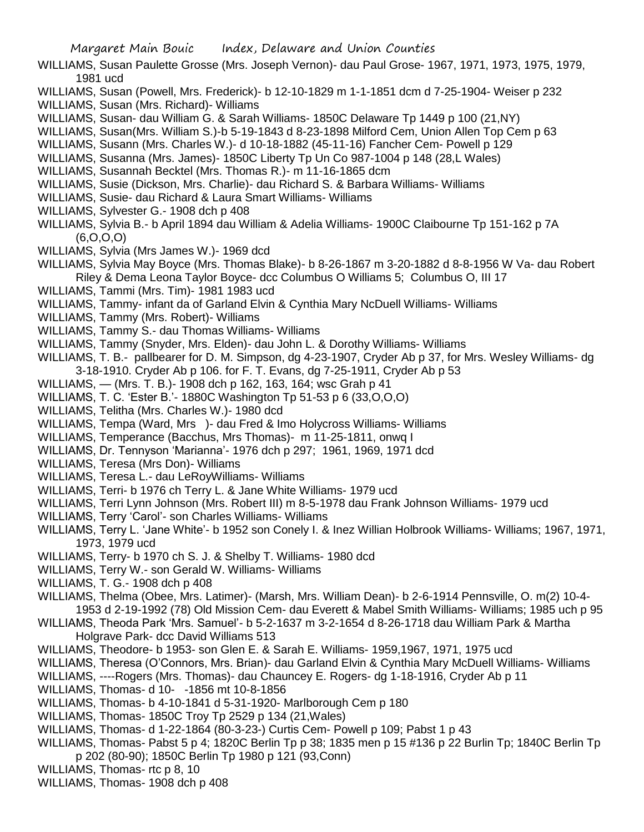- WILLIAMS, Susan Paulette Grosse (Mrs. Joseph Vernon)- dau Paul Grose- 1967, 1971, 1973, 1975, 1979, 1981 ucd
- WILLIAMS, Susan (Powell, Mrs. Frederick)- b 12-10-1829 m 1-1-1851 dcm d 7-25-1904- Weiser p 232
- WILLIAMS, Susan (Mrs. Richard)- Williams
- WILLIAMS, Susan- dau William G. & Sarah Williams- 1850C Delaware Tp 1449 p 100 (21,NY)
- WILLIAMS, Susan(Mrs. William S.)-b 5-19-1843 d 8-23-1898 Milford Cem, Union Allen Top Cem p 63
- WILLIAMS, Susann (Mrs. Charles W.)- d 10-18-1882 (45-11-16) Fancher Cem- Powell p 129
- WILLIAMS, Susanna (Mrs. James)- 1850C Liberty Tp Un Co 987-1004 p 148 (28,L Wales)
- WILLIAMS, Susannah Becktel (Mrs. Thomas R.)- m 11-16-1865 dcm
- WILLIAMS, Susie (Dickson, Mrs. Charlie)- dau Richard S. & Barbara Williams- Williams
- WILLIAMS, Susie- dau Richard & Laura Smart Williams- Williams
- WILLIAMS, Sylvester G.- 1908 dch p 408
- WILLIAMS, Sylvia B.- b April 1894 dau William & Adelia Williams- 1900C Claibourne Tp 151-162 p 7A (6,O,O,O)
- WILLIAMS, Sylvia (Mrs James W.)- 1969 dcd
- WILLIAMS, Sylvia May Boyce (Mrs. Thomas Blake)- b 8-26-1867 m 3-20-1882 d 8-8-1956 W Va- dau Robert Riley & Dema Leona Taylor Boyce- dcc Columbus O Williams 5; Columbus O, III 17
- WILLIAMS, Tammi (Mrs. Tim)- 1981 1983 ucd
- WILLIAMS, Tammy- infant da of Garland Elvin & Cynthia Mary NcDuell Williams- Williams
- WILLIAMS, Tammy (Mrs. Robert)- Williams
- WILLIAMS, Tammy S.- dau Thomas Williams- Williams
- WILLIAMS, Tammy (Snyder, Mrs. Elden)- dau John L. & Dorothy Williams- Williams
- WILLIAMS, T. B.- pallbearer for D. M. Simpson, dg 4-23-1907, Cryder Ab p 37, for Mrs. Wesley Williams- dg 3-18-1910. Cryder Ab p 106. for F. T. Evans, dg 7-25-1911, Cryder Ab p 53
- WILLIAMS, (Mrs. T. B.)- 1908 dch p 162, 163, 164; wsc Grah p 41
- WILLIAMS, T. C. 'Ester B.'- 1880C Washington Tp 51-53 p 6 (33,O,O,O)
- WILLIAMS, Telitha (Mrs. Charles W.)- 1980 dcd
- WILLIAMS, Tempa (Ward, Mrs )- dau Fred & Imo Holycross Williams- Williams
- WILLIAMS, Temperance (Bacchus, Mrs Thomas)- m 11-25-1811, onwq I
- WILLIAMS, Dr. Tennyson 'Marianna'- 1976 dch p 297; 1961, 1969, 1971 dcd
- WILLIAMS, Teresa (Mrs Don)- Williams
- WILLIAMS, Teresa L.- dau LeRoyWilliams- Williams
- WILLIAMS, Terri- b 1976 ch Terry L. & Jane White Williams- 1979 ucd
- WILLIAMS, Terri Lynn Johnson (Mrs. Robert III) m 8-5-1978 dau Frank Johnson Williams- 1979 ucd
- WILLIAMS, Terry 'Carol'- son Charles Williams- Williams
- WILLIAMS, Terry L. 'Jane White'- b 1952 son Conely I. & Inez Willian Holbrook Williams- Williams; 1967, 1971, 1973, 1979 ucd
- WILLIAMS, Terry- b 1970 ch S. J. & Shelby T. Williams- 1980 dcd
- WILLIAMS, Terry W.- son Gerald W. Williams- Williams
- WILLIAMS, T. G.- 1908 dch p 408
- WILLIAMS, Thelma (Obee, Mrs. Latimer)- (Marsh, Mrs. William Dean)- b 2-6-1914 Pennsville, O. m(2) 10-4- 1953 d 2-19-1992 (78) Old Mission Cem- dau Everett & Mabel Smith Williams- Williams; 1985 uch p 95
- WILLIAMS, Theoda Park 'Mrs. Samuel'- b 5-2-1637 m 3-2-1654 d 8-26-1718 dau William Park & Martha Holgrave Park- dcc David Williams 513
- WILLIAMS, Theodore- b 1953- son Glen E. & Sarah E. Williams- 1959,1967, 1971, 1975 ucd
- WILLIAMS, Theresa (O'Connors, Mrs. Brian)- dau Garland Elvin & Cynthia Mary McDuell Williams- Williams
- WILLIAMS, ----Rogers (Mrs. Thomas)- dau Chauncey E. Rogers- dg 1-18-1916, Cryder Ab p 11
- WILLIAMS, Thomas- d 10- -1856 mt 10-8-1856
- WILLIAMS, Thomas- b 4-10-1841 d 5-31-1920- Marlborough Cem p 180
- WILLIAMS, Thomas- 1850C Troy Tp 2529 p 134 (21,Wales)
- WILLIAMS, Thomas- d 1-22-1864 (80-3-23-) Curtis Cem- Powell p 109; Pabst 1 p 43
- WILLIAMS, Thomas- Pabst 5 p 4; 1820C Berlin Tp p 38; 1835 men p 15 #136 p 22 Burlin Tp; 1840C Berlin Tp p 202 (80-90); 1850C Berlin Tp 1980 p 121 (93,Conn)
- WILLIAMS, Thomas- rtc p 8, 10
- WILLIAMS, Thomas- 1908 dch p 408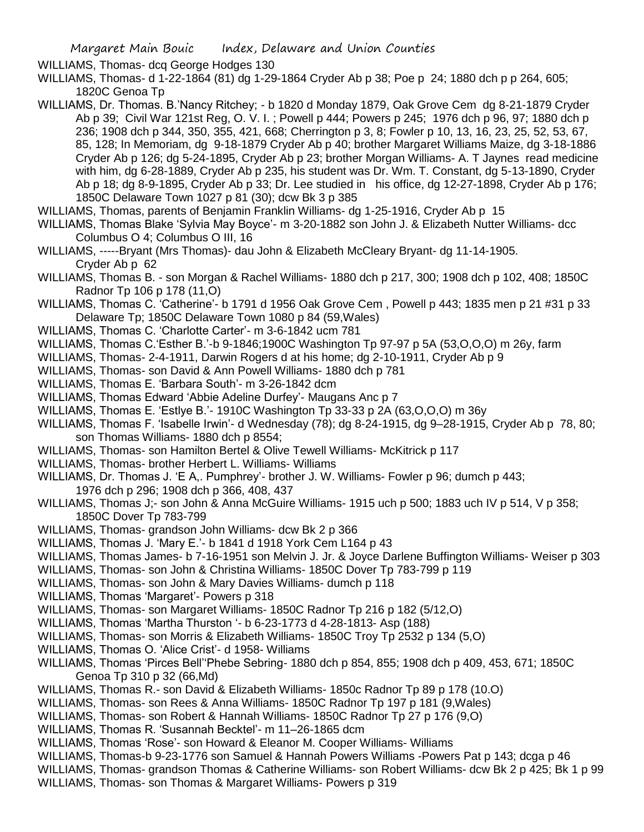WILLIAMS, Thomas- dcq George Hodges 130

WILLIAMS, Thomas- d 1-22-1864 (81) dg 1-29-1864 Cryder Ab p 38; Poe p 24; 1880 dch p p 264, 605; 1820C Genoa Tp

- WILLIAMS, Dr. Thomas. B.'Nancy Ritchey; b 1820 d Monday 1879, Oak Grove Cem dg 8-21-1879 Cryder Ab p 39; Civil War 121st Reg, O. V. I. ; Powell p 444; Powers p 245; 1976 dch p 96, 97; 1880 dch p 236; 1908 dch p 344, 350, 355, 421, 668; Cherrington p 3, 8; Fowler p 10, 13, 16, 23, 25, 52, 53, 67, 85, 128; In Memoriam, dg 9-18-1879 Cryder Ab p 40; brother Margaret Williams Maize, dg 3-18-1886 Cryder Ab p 126; dg 5-24-1895, Cryder Ab p 23; brother Morgan Williams- A. T Jaynes read medicine with him, dg 6-28-1889, Cryder Ab p 235, his student was Dr. Wm. T. Constant, dg 5-13-1890, Cryder Ab p 18; dg 8-9-1895, Cryder Ab p 33; Dr. Lee studied in his office, dg 12-27-1898, Cryder Ab p 176; 1850C Delaware Town 1027 p 81 (30); dcw Bk 3 p 385
- WILLIAMS, Thomas, parents of Benjamin Franklin Williams- dg 1-25-1916, Cryder Ab p 15
- WILLIAMS, Thomas Blake 'Sylvia May Boyce'- m 3-20-1882 son John J. & Elizabeth Nutter Williams- dcc Columbus O 4; Columbus O III, 16
- WILLIAMS, -----Bryant (Mrs Thomas)- dau John & Elizabeth McCleary Bryant- dg 11-14-1905. Cryder Ab p 62
- WILLIAMS, Thomas B. son Morgan & Rachel Williams- 1880 dch p 217, 300; 1908 dch p 102, 408; 1850C Radnor Tp 106 p 178 (11,O)
- WILLIAMS, Thomas C. 'Catherine'- b 1791 d 1956 Oak Grove Cem , Powell p 443; 1835 men p 21 #31 p 33 Delaware Tp; 1850C Delaware Town 1080 p 84 (59,Wales)
- WILLIAMS, Thomas C. 'Charlotte Carter'- m 3-6-1842 ucm 781
- WILLIAMS, Thomas C.'Esther B.'-b 9-1846;1900C Washington Tp 97-97 p 5A (53,O,O,O) m 26y, farm
- WILLIAMS, Thomas- 2-4-1911, Darwin Rogers d at his home; dg 2-10-1911, Cryder Ab p 9
- WILLIAMS, Thomas- son David & Ann Powell Williams- 1880 dch p 781
- WILLIAMS, Thomas E. 'Barbara South'- m 3-26-1842 dcm
- WILLIAMS, Thomas Edward 'Abbie Adeline Durfey'- Maugans Anc p 7
- WILLIAMS, Thomas E. 'Estlye B.'- 1910C Washington Tp 33-33 p 2A (63,O,O,O) m 36y
- WILLIAMS, Thomas F. 'Isabelle Irwin'- d Wednesday (78); dg 8-24-1915, dg 9–28-1915, Cryder Ab p 78, 80; son Thomas Williams- 1880 dch p 8554;
- WILLIAMS, Thomas- son Hamilton Bertel & Olive Tewell Williams- McKitrick p 117
- WILLIAMS, Thomas- brother Herbert L. Williams- Williams
- WILLIAMS, Dr. Thomas J. 'E A,. Pumphrey'- brother J. W. Williams- Fowler p 96; dumch p 443; 1976 dch p 296; 1908 dch p 366, 408, 437
- WILLIAMS, Thomas J;- son John & Anna McGuire Williams- 1915 uch p 500; 1883 uch IV p 514, V p 358; 1850C Dover Tp 783-799
- WILLIAMS, Thomas- grandson John Williams- dcw Bk 2 p 366
- WILLIAMS, Thomas J. 'Mary E.'- b 1841 d 1918 York Cem L164 p 43
- WILLIAMS, Thomas James- b 7-16-1951 son Melvin J. Jr. & Joyce Darlene Buffington Williams- Weiser p 303
- WILLIAMS, Thomas- son John & Christina Williams- 1850C Dover Tp 783-799 p 119
- WILLIAMS, Thomas- son John & Mary Davies Williams- dumch p 118
- WILLIAMS, Thomas 'Margaret'- Powers p 318
- WILLIAMS, Thomas- son Margaret Williams- 1850C Radnor Tp 216 p 182 (5/12,O)
- WILLIAMS, Thomas 'Martha Thurston '- b 6-23-1773 d 4-28-1813- Asp (188)
- WILLIAMS, Thomas- son Morris & Elizabeth Williams- 1850C Troy Tp 2532 p 134 (5,O)
- WILLIAMS, Thomas O. 'Alice Crist'- d 1958- Williams
- WILLIAMS, Thomas 'Pirces Bell''Phebe Sebring- 1880 dch p 854, 855; 1908 dch p 409, 453, 671; 1850C Genoa Tp 310 p 32 (66,Md)
- WILLIAMS, Thomas R.- son David & Elizabeth Williams- 1850c Radnor Tp 89 p 178 (10.O)
- WILLIAMS, Thomas- son Rees & Anna Williams- 1850C Radnor Tp 197 p 181 (9,Wales)
- WILLIAMS, Thomas- son Robert & Hannah Williams- 1850C Radnor Tp 27 p 176 (9,O)
- WILLIAMS, Thomas R. 'Susannah Becktel'- m 11–26-1865 dcm
- WILLIAMS, Thomas 'Rose'- son Howard & Eleanor M. Cooper Williams- Williams
- WILLIAMS, Thomas-b 9-23-1776 son Samuel & Hannah Powers Williams -Powers Pat p 143; dcga p 46
- WILLIAMS, Thomas- grandson Thomas & Catherine Williams- son Robert Williams- dcw Bk 2 p 425; Bk 1 p 99
- WILLIAMS, Thomas- son Thomas & Margaret Williams- Powers p 319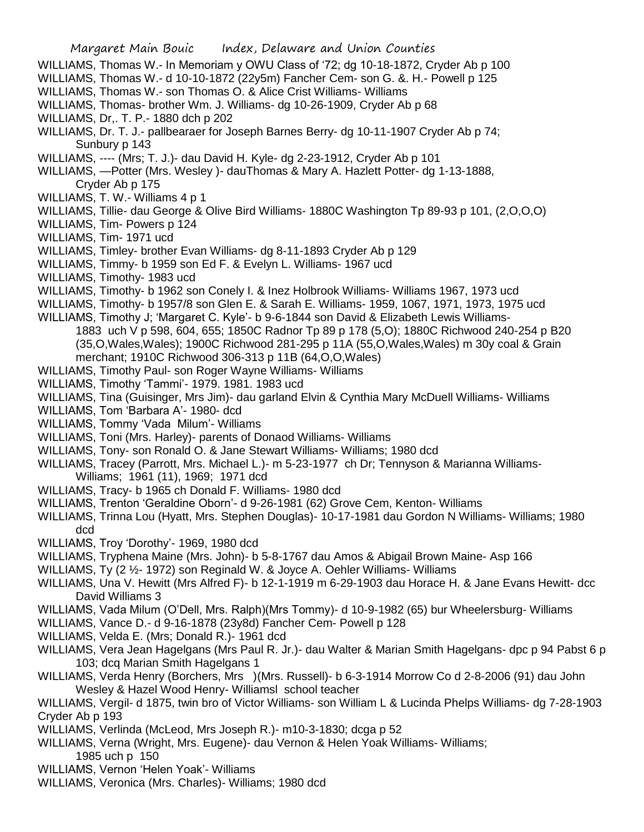- WILLIAMS, Thomas W.- In Memoriam y OWU Class of '72; dg 10-18-1872, Cryder Ab p 100
- WILLIAMS, Thomas W.- d 10-10-1872 (22y5m) Fancher Cem- son G. &. H.- Powell p 125
- WILLIAMS, Thomas W.- son Thomas O. & Alice Crist Williams- Williams
- WILLIAMS, Thomas- brother Wm. J. Williams- dg 10-26-1909, Cryder Ab p 68
- WILLIAMS, Dr,. T. P.- 1880 dch p 202
- WILLIAMS, Dr. T. J.- pallbearaer for Joseph Barnes Berry- dg 10-11-1907 Cryder Ab p 74; Sunbury p 143
- WILLIAMS, ---- (Mrs; T. J.)- dau David H. Kyle- dg 2-23-1912, Cryder Ab p 101
- WILLIAMS, —Potter (Mrs. Wesley )- dauThomas & Mary A. Hazlett Potter- dg 1-13-1888, Cryder Ab p 175
- WILLIAMS, T. W.- Williams 4 p 1
- WILLIAMS, Tillie- dau George & Olive Bird Williams- 1880C Washington Tp 89-93 p 101, (2,O,O,O)
- WILLIAMS, Tim- Powers p 124
- WILLIAMS, Tim- 1971 ucd
- WILLIAMS, Timley- brother Evan Williams- dg 8-11-1893 Cryder Ab p 129
- WILLIAMS, Timmy- b 1959 son Ed F. & Evelyn L. Williams- 1967 ucd
- WILLIAMS, Timothy- 1983 ucd
- WILLIAMS, Timothy- b 1962 son Conely I. & Inez Holbrook Williams- Williams 1967, 1973 ucd
- WILLIAMS, Timothy- b 1957/8 son Glen E. & Sarah E. Williams- 1959, 1067, 1971, 1973, 1975 ucd
- WILLIAMS, Timothy J; 'Margaret C. Kyle'- b 9-6-1844 son David & Elizabeth Lewis Williams-1883 uch V p 598, 604, 655; 1850C Radnor Tp 89 p 178 (5,O); 1880C Richwood 240-254 p B20 (35,O,Wales,Wales); 1900C Richwood 281-295 p 11A (55,O,Wales,Wales) m 30y coal & Grain merchant; 1910C Richwood 306-313 p 11B (64,O,O,Wales)
- WILLIAMS, Timothy Paul- son Roger Wayne Williams- Williams
- WILLIAMS, Timothy 'Tammi'- 1979. 1981. 1983 ucd
- WILLIAMS, Tina (Guisinger, Mrs Jim)- dau garland Elvin & Cynthia Mary McDuell Williams- Williams
- WILLIAMS, Tom 'Barbara A'- 1980- dcd
- WILLIAMS, Tommy 'Vada Milum'- Williams
- WILLIAMS, Toni (Mrs. Harley)- parents of Donaod Williams- Williams
- WILLIAMS, Tony- son Ronald O. & Jane Stewart Williams- Williams; 1980 dcd
- WILLIAMS, Tracey (Parrott, Mrs. Michael L.)- m 5-23-1977 ch Dr; Tennyson & Marianna Williams-Williams; 1961 (11), 1969; 1971 dcd
- WILLIAMS, Tracy- b 1965 ch Donald F. Williams- 1980 dcd
- WILLIAMS, Trenton 'Geraldine Oborn'- d 9-26-1981 (62) Grove Cem, Kenton- Williams
- WILLIAMS, Trinna Lou (Hyatt, Mrs. Stephen Douglas)- 10-17-1981 dau Gordon N Williams- Williams; 1980 dcd
- WILLIAMS, Troy 'Dorothy'- 1969, 1980 dcd
- WILLIAMS, Tryphena Maine (Mrs. John)- b 5-8-1767 dau Amos & Abigail Brown Maine- Asp 166
- WILLIAMS, Ty (2 ½- 1972) son Reginald W. & Joyce A. Oehler Williams- Williams
- WILLIAMS, Una V. Hewitt (Mrs Alfred F)- b 12-1-1919 m 6-29-1903 dau Horace H. & Jane Evans Hewitt- dcc David Williams 3
- WILLIAMS, Vada Milum (O'Dell, Mrs. Ralph)(Mrs Tommy)- d 10-9-1982 (65) bur Wheelersburg- Williams
- WILLIAMS, Vance D.- d 9-16-1878 (23y8d) Fancher Cem- Powell p 128
- WILLIAMS, Velda E. (Mrs; Donald R.)- 1961 dcd
- WILLIAMS, Vera Jean Hagelgans (Mrs Paul R. Jr.)- dau Walter & Marian Smith Hagelgans- dpc p 94 Pabst 6 p 103; dcq Marian Smith Hagelgans 1
- WILLIAMS, Verda Henry (Borchers, Mrs )(Mrs. Russell)- b 6-3-1914 Morrow Co d 2-8-2006 (91) dau John Wesley & Hazel Wood Henry- Williamsl school teacher
- WILLIAMS, Vergil- d 1875, twin bro of Victor Williams- son William L & Lucinda Phelps Williams- dg 7-28-1903 Cryder Ab p 193
- WILLIAMS, Verlinda (McLeod, Mrs Joseph R.)- m10-3-1830; dcga p 52
- WILLIAMS, Verna (Wright, Mrs. Eugene)- dau Vernon & Helen Yoak Williams- Williams;
- 1985 uch p 150
- WILLIAMS, Vernon 'Helen Yoak'- Williams
- WILLIAMS, Veronica (Mrs. Charles)- Williams; 1980 dcd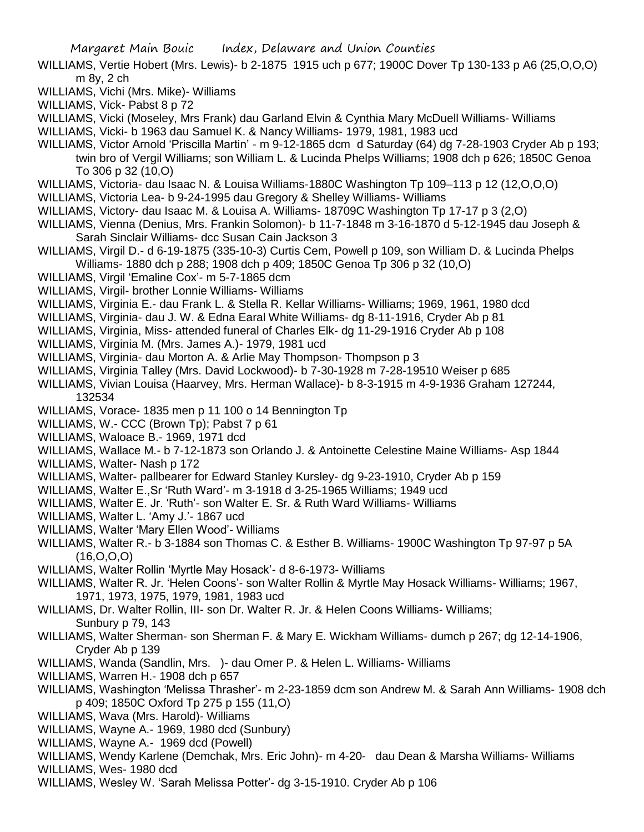- WILLIAMS, Vertie Hobert (Mrs. Lewis)- b 2-1875 1915 uch p 677; 1900C Dover Tp 130-133 p A6 (25,O,O,O) m 8y, 2 ch
- WILLIAMS, Vichi (Mrs. Mike)- Williams
- WILLIAMS, Vick- Pabst 8 p 72
- WILLIAMS, Vicki (Moseley, Mrs Frank) dau Garland Elvin & Cynthia Mary McDuell Williams- Williams
- WILLIAMS, Vicki- b 1963 dau Samuel K. & Nancy Williams- 1979, 1981, 1983 ucd
- WILLIAMS, Victor Arnold 'Priscilla Martin' m 9-12-1865 dcm d Saturday (64) dg 7-28-1903 Cryder Ab p 193; twin bro of Vergil Williams; son William L. & Lucinda Phelps Williams; 1908 dch p 626; 1850C Genoa To 306 p 32 (10,O)
- WILLIAMS, Victoria- dau Isaac N. & Louisa Williams-1880C Washington Tp 109–113 p 12 (12,O,O,O)
- WILLIAMS, Victoria Lea- b 9-24-1995 dau Gregory & Shelley Williams- Williams
- WILLIAMS, Victory- dau Isaac M. & Louisa A. Williams- 18709C Washington Tp 17-17 p 3 (2,O)
- WILLIAMS, Vienna (Denius, Mrs. Frankin Solomon)- b 11-7-1848 m 3-16-1870 d 5-12-1945 dau Joseph & Sarah Sinclair Williams- dcc Susan Cain Jackson 3
- WILLIAMS, Virgil D.- d 6-19-1875 (335-10-3) Curtis Cem, Powell p 109, son William D. & Lucinda Phelps Williams- 1880 dch p 288; 1908 dch p 409; 1850C Genoa Tp 306 p 32 (10,O)
- WILLIAMS, Virgil 'Emaline Cox'- m 5-7-1865 dcm
- WILLIAMS, Virgil- brother Lonnie Williams- Williams
- WILLIAMS, Virginia E.- dau Frank L. & Stella R. Kellar Williams- Williams; 1969, 1961, 1980 dcd
- WILLIAMS, Virginia- dau J. W. & Edna Earal White Williams- dg 8-11-1916, Cryder Ab p 81
- WILLIAMS, Virginia, Miss- attended funeral of Charles Elk- dg 11-29-1916 Cryder Ab p 108
- WILLIAMS, Virginia M. (Mrs. James A.)- 1979, 1981 ucd
- WILLIAMS, Virginia- dau Morton A. & Arlie May Thompson- Thompson p 3
- WILLIAMS, Virginia Talley (Mrs. David Lockwood)- b 7-30-1928 m 7-28-19510 Weiser p 685
- WILLIAMS, Vivian Louisa (Haarvey, Mrs. Herman Wallace)- b 8-3-1915 m 4-9-1936 Graham 127244, 132534
- WILLIAMS, Vorace- 1835 men p 11 100 o 14 Bennington Tp
- WILLIAMS, W.- CCC (Brown Tp): Pabst 7 p 61
- WILLIAMS, Waloace B.- 1969, 1971 dcd
- WILLIAMS, Wallace M.- b 7-12-1873 son Orlando J. & Antoinette Celestine Maine Williams- Asp 1844
- WILLIAMS, Walter- Nash p 172
- WILLIAMS, Walter- pallbearer for Edward Stanley Kursley- dg 9-23-1910, Cryder Ab p 159
- WILLIAMS, Walter E.,Sr 'Ruth Ward'- m 3-1918 d 3-25-1965 Williams; 1949 ucd
- WILLIAMS, Walter E. Jr. 'Ruth'- son Walter E. Sr. & Ruth Ward Williams- Williams
- WILLIAMS, Walter L. 'Amy J.'- 1867 ucd
- WILLIAMS, Walter 'Mary Ellen Wood'- Williams
- WILLIAMS, Walter R.- b 3-1884 son Thomas C. & Esther B. Williams- 1900C Washington Tp 97-97 p 5A  $(16, 0, 0, 0)$
- WILLIAMS, Walter Rollin 'Myrtle May Hosack'- d 8-6-1973- Williams
- WILLIAMS, Walter R. Jr. 'Helen Coons'- son Walter Rollin & Myrtle May Hosack Williams- Williams; 1967, 1971, 1973, 1975, 1979, 1981, 1983 ucd
- WILLIAMS, Dr. Walter Rollin, III- son Dr. Walter R. Jr. & Helen Coons Williams- Williams; Sunbury p 79, 143
- WILLIAMS, Walter Sherman- son Sherman F. & Mary E. Wickham Williams- dumch p 267; dg 12-14-1906, Cryder Ab p 139
- WILLIAMS, Wanda (Sandlin, Mrs. )- dau Omer P. & Helen L. Williams- Williams
- WILLIAMS, Warren H.- 1908 dch p 657
- WILLIAMS, Washington 'Melissa Thrasher'- m 2-23-1859 dcm son Andrew M. & Sarah Ann Williams- 1908 dch p 409; 1850C Oxford Tp 275 p 155 (11,O)
- WILLIAMS, Wava (Mrs. Harold)- Williams
- WILLIAMS, Wayne A.- 1969, 1980 dcd (Sunbury)
- WILLIAMS, Wayne A.- 1969 dcd (Powell)
- WILLIAMS, Wendy Karlene (Demchak, Mrs. Eric John)- m 4-20- dau Dean & Marsha Williams- Williams WILLIAMS, Wes- 1980 dcd
- WILLIAMS, Wesley W. 'Sarah Melissa Potter'- dg 3-15-1910. Cryder Ab p 106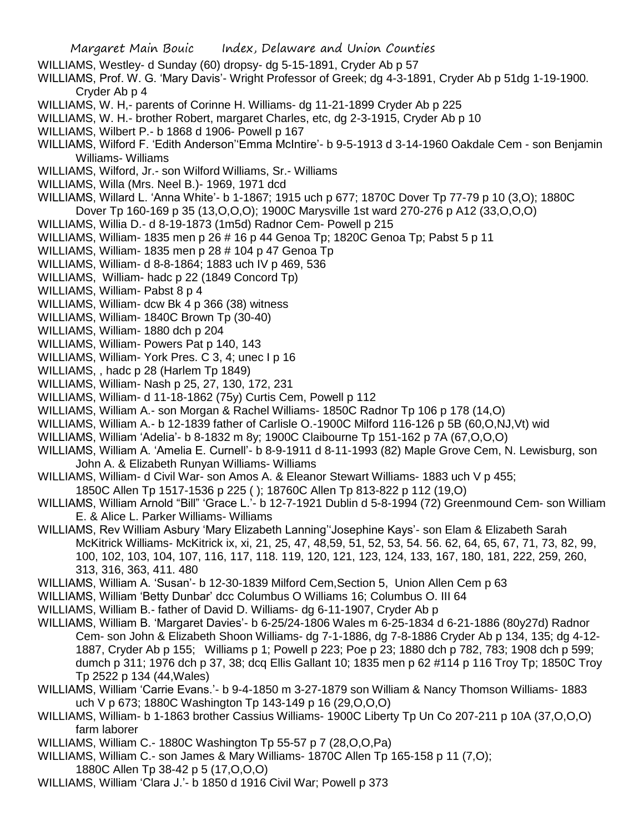- WILLIAMS, Westley- d Sunday (60) dropsy- dg 5-15-1891, Cryder Ab p 57
- WILLIAMS, Prof. W. G. 'Mary Davis'- Wright Professor of Greek; dg 4-3-1891, Cryder Ab p 51dg 1-19-1900. Cryder Ab p 4
- WILLIAMS, W. H,- parents of Corinne H. Williams- dg 11-21-1899 Cryder Ab p 225
- WILLIAMS, W. H.- brother Robert, margaret Charles, etc, dg 2-3-1915, Cryder Ab p 10
- WILLIAMS, Wilbert P.- b 1868 d 1906- Powell p 167
- WILLIAMS, Wilford F. 'Edith Anderson''Emma McIntire'- b 9-5-1913 d 3-14-1960 Oakdale Cem son Benjamin Williams- Williams
- WILLIAMS, Wilford, Jr.- son Wilford Williams, Sr.- Williams
- WILLIAMS, Willa (Mrs. Neel B.)- 1969, 1971 dcd
- WILLIAMS, Willard L. 'Anna White'- b 1-1867; 1915 uch p 677; 1870C Dover Tp 77-79 p 10 (3,O); 1880C
- Dover Tp 160-169 p 35 (13,O,O,O); 1900C Marysville 1st ward 270-276 p A12 (33,O,O,O)
- WILLIAMS, Willia D.- d 8-19-1873 (1m5d) Radnor Cem- Powell p 215
- WILLIAMS, William- 1835 men p 26 # 16 p 44 Genoa Tp; 1820C Genoa Tp; Pabst 5 p 11
- WILLIAMS, William- 1835 men p 28 # 104 p 47 Genoa Tp
- WILLIAMS, William- d 8-8-1864; 1883 uch IV p 469, 536
- WILLIAMS, William- hadc p 22 (1849 Concord Tp)
- WILLIAMS, William- Pabst 8 p 4
- WILLIAMS, William- dcw Bk 4 p 366 (38) witness
- WILLIAMS, William- 1840C Brown Tp (30-40)
- WILLIAMS, William- 1880 dch p 204
- WILLIAMS, William- Powers Pat p 140, 143
- WILLIAMS, William- York Pres. C 3, 4; unec I p 16
- WILLIAMS, , hadc p 28 (Harlem Tp 1849)
- WILLIAMS, William- Nash p 25, 27, 130, 172, 231
- WILLIAMS, William- d 11-18-1862 (75y) Curtis Cem, Powell p 112
- WILLIAMS, William A.- son Morgan & Rachel Williams- 1850C Radnor Tp 106 p 178 (14,O)
- WILLIAMS, William A.- b 12-1839 father of Carlisle O.-1900C Milford 116-126 p 5B (60,O,NJ,Vt) wid
- WILLIAMS, William 'Adelia'- b 8-1832 m 8y; 1900C Claibourne Tp 151-162 p 7A (67,O,O,O)
- WILLIAMS, William A. 'Amelia E. Curnell'- b 8-9-1911 d 8-11-1993 (82) Maple Grove Cem, N. Lewisburg, son John A. & Elizabeth Runyan Williams- Williams
- WILLIAMS, William- d Civil War- son Amos A. & Eleanor Stewart Williams- 1883 uch V p 455;
- 1850C Allen Tp 1517-1536 p 225 ( ); 18760C Allen Tp 813-822 p 112 (19,O)
- WILLIAMS, William Arnold "Bill" 'Grace L.'- b 12-7-1921 Dublin d 5-8-1994 (72) Greenmound Cem- son William E. & Alice L. Parker Williams- Williams
- WILLIAMS, Rev William Asbury 'Mary Elizabeth Lanning''Josephine Kays'- son Elam & Elizabeth Sarah McKitrick Williams- McKitrick ix, xi, 21, 25, 47, 48,59, 51, 52, 53, 54. 56. 62, 64, 65, 67, 71, 73, 82, 99, 100, 102, 103, 104, 107, 116, 117, 118. 119, 120, 121, 123, 124, 133, 167, 180, 181, 222, 259, 260, 313, 316, 363, 411. 480
- WILLIAMS, William A. 'Susan'- b 12-30-1839 Milford Cem,Section 5, Union Allen Cem p 63
- WILLIAMS, William 'Betty Dunbar' dcc Columbus O Williams 16; Columbus O. III 64
- WILLIAMS, William B.- father of David D. Williams- dg 6-11-1907, Cryder Ab p
- WILLIAMS, William B. 'Margaret Davies'- b 6-25/24-1806 Wales m 6-25-1834 d 6-21-1886 (80y27d) Radnor Cem- son John & Elizabeth Shoon Williams- dg 7-1-1886, dg 7-8-1886 Cryder Ab p 134, 135; dg 4-12- 1887, Cryder Ab p 155; Williams p 1; Powell p 223; Poe p 23; 1880 dch p 782, 783; 1908 dch p 599; dumch p 311; 1976 dch p 37, 38; dcq Ellis Gallant 10; 1835 men p 62 #114 p 116 Troy Tp; 1850C Troy Tp 2522 p 134 (44,Wales)
- WILLIAMS, William 'Carrie Evans.'- b 9-4-1850 m 3-27-1879 son William & Nancy Thomson Williams- 1883 uch V p 673; 1880C Washington Tp 143-149 p 16 (29,O,O,O)
- WILLIAMS, William- b 1-1863 brother Cassius Williams- 1900C Liberty Tp Un Co 207-211 p 10A (37,O,O,O) farm laborer
- WILLIAMS, William C.- 1880C Washington Tp 55-57 p 7 (28,O,O,Pa)
- WILLIAMS, William C.- son James & Mary Williams- 1870C Allen Tp 165-158 p 11 (7,O); 1880C Allen Tp 38-42 p 5 (17,O,O,O)
- WILLIAMS, William 'Clara J.'- b 1850 d 1916 Civil War; Powell p 373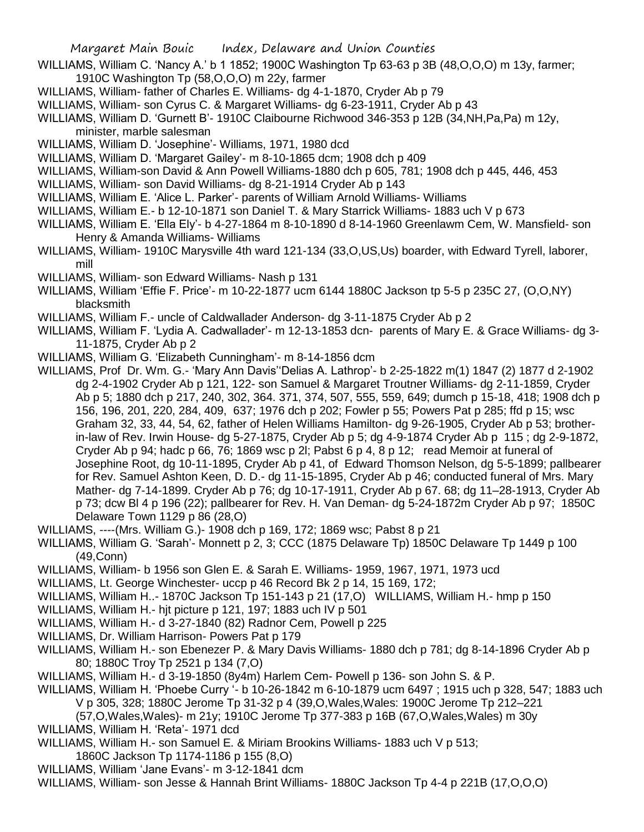- WILLIAMS, William C. 'Nancy A.' b 1 1852; 1900C Washington Tp 63-63 p 3B (48,O,O,O) m 13y, farmer; 1910C Washington Tp (58,O,O,O) m 22y, farmer
- WILLIAMS, William- father of Charles E. Williams- dg 4-1-1870, Cryder Ab p 79
- WILLIAMS, William- son Cyrus C. & Margaret Williams- dg 6-23-1911, Cryder Ab p 43
- WILLIAMS, William D. 'Gurnett B'- 1910C Claibourne Richwood 346-353 p 12B (34,NH,Pa,Pa) m 12y, minister, marble salesman
- WILLIAMS, William D. 'Josephine'- Williams, 1971, 1980 dcd
- WILLIAMS, William D. 'Margaret Gailey'- m 8-10-1865 dcm; 1908 dch p 409
- WILLIAMS, William-son David & Ann Powell Williams-1880 dch p 605, 781; 1908 dch p 445, 446, 453
- WILLIAMS, William- son David Williams- dg 8-21-1914 Cryder Ab p 143
- WILLIAMS, William E. 'Alice L. Parker'- parents of William Arnold Williams- Williams
- WILLIAMS, William E.- b 12-10-1871 son Daniel T. & Mary Starrick Williams- 1883 uch V p 673
- WILLIAMS, William E. 'Ella Ely'- b 4-27-1864 m 8-10-1890 d 8-14-1960 Greenlawm Cem, W. Mansfield- son Henry & Amanda Williams- Williams
- WILLIAMS, William- 1910C Marysville 4th ward 121-134 (33,O,US,Us) boarder, with Edward Tyrell, laborer, mill
- WILLIAMS, William- son Edward Williams- Nash p 131
- WILLIAMS, William 'Effie F. Price'- m 10-22-1877 ucm 6144 1880C Jackson tp 5-5 p 235C 27, (O,O,NY) blacksmith
- WILLIAMS, William F.- uncle of Caldwallader Anderson- dg 3-11-1875 Cryder Ab p 2
- WILLIAMS, William F. 'Lydia A. Cadwallader'- m 12-13-1853 dcn- parents of Mary E. & Grace Williams- dg 3- 11-1875, Cryder Ab p 2
- WILLIAMS, William G. 'Elizabeth Cunningham'- m 8-14-1856 dcm
- WILLIAMS, Prof Dr. Wm. G.- 'Mary Ann Davis''Delias A. Lathrop'- b 2-25-1822 m(1) 1847 (2) 1877 d 2-1902 dg 2-4-1902 Cryder Ab p 121, 122- son Samuel & Margaret Troutner Williams- dg 2-11-1859, Cryder Ab p 5; 1880 dch p 217, 240, 302, 364. 371, 374, 507, 555, 559, 649; dumch p 15-18, 418; 1908 dch p 156, 196, 201, 220, 284, 409, 637; 1976 dch p 202; Fowler p 55; Powers Pat p 285; ffd p 15; wsc Graham 32, 33, 44, 54, 62, father of Helen Williams Hamilton- dg 9-26-1905, Cryder Ab p 53; brotherin-law of Rev. Irwin House- dg 5-27-1875, Cryder Ab p 5; dg 4-9-1874 Cryder Ab p 115 ; dg 2-9-1872, Cryder Ab p 94; hadc p 66, 76; 1869 wsc p 2l; Pabst 6 p 4, 8 p 12; read Memoir at funeral of Josephine Root, dg 10-11-1895, Cryder Ab p 41, of Edward Thomson Nelson, dg 5-5-1899; pallbearer for Rev. Samuel Ashton Keen, D. D.- dg 11-15-1895, Cryder Ab p 46; conducted funeral of Mrs. Mary Mather- dg 7-14-1899. Cryder Ab p 76; dg 10-17-1911, Cryder Ab p 67. 68; dg 11–28-1913, Cryder Ab p 73; dcw Bl 4 p 196 (22); pallbearer for Rev. H. Van Deman- dg 5-24-1872m Cryder Ab p 97; 1850C Delaware Town 1129 p 86 (28,O)
- WILLIAMS, ----(Mrs. William G.)- 1908 dch p 169, 172; 1869 wsc; Pabst 8 p 21
- WILLIAMS, William G. 'Sarah'- Monnett p 2, 3; CCC (1875 Delaware Tp) 1850C Delaware Tp 1449 p 100 (49,Conn)
- WILLIAMS, William- b 1956 son Glen E. & Sarah E. Williams- 1959, 1967, 1971, 1973 ucd
- WILLIAMS, Lt. George Winchester- uccp p 46 Record Bk 2 p 14, 15 169, 172;
- WILLIAMS, William H..- 1870C Jackson Tp 151-143 p 21 (17,O) WILLIAMS, William H.- hmp p 150
- WILLIAMS, William H.- hjt picture p 121, 197; 1883 uch IV p 501
- WILLIAMS, William H.- d 3-27-1840 (82) Radnor Cem, Powell p 225
- WILLIAMS, Dr. William Harrison- Powers Pat p 179
- WILLIAMS, William H.- son Ebenezer P. & Mary Davis Williams- 1880 dch p 781; dg 8-14-1896 Cryder Ab p 80; 1880C Troy Tp 2521 p 134 (7,O)
- WILLIAMS, William H.- d 3-19-1850 (8y4m) Harlem Cem- Powell p 136- son John S. & P.
- WILLIAMS, William H. 'Phoebe Curry '- b 10-26-1842 m 6-10-1879 ucm 6497 ; 1915 uch p 328, 547; 1883 uch V p 305, 328; 1880C Jerome Tp 31-32 p 4 (39,O,Wales,Wales: 1900C Jerome Tp 212–221
	- (57,O,Wales,Wales)- m 21y; 1910C Jerome Tp 377-383 p 16B (67,O,Wales,Wales) m 30y
- WILLIAMS, William H. 'Reta'- 1971 dcd
- WILLIAMS, William H.- son Samuel E. & Miriam Brookins Williams- 1883 uch V p 513;
- 1860C Jackson Tp 1174-1186 p 155 (8,O)
- WILLIAMS, William 'Jane Evans'- m 3-12-1841 dcm
- WILLIAMS, William- son Jesse & Hannah Brint Williams- 1880C Jackson Tp 4-4 p 221B (17,O,O,O)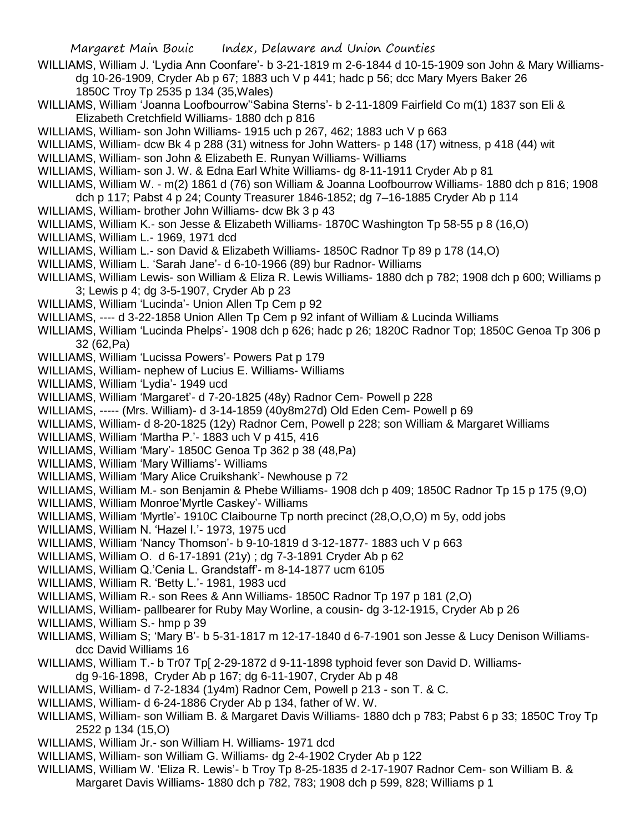WILLIAMS, William J. 'Lydia Ann Coonfare'- b 3-21-1819 m 2-6-1844 d 10-15-1909 son John & Mary Williamsdg 10-26-1909, Cryder Ab p 67; 1883 uch V p 441; hadc p 56; dcc Mary Myers Baker 26 1850C Troy Tp 2535 p 134 (35,Wales)

- WILLIAMS, William 'Joanna Loofbourrow''Sabina Sterns'- b 2-11-1809 Fairfield Co m(1) 1837 son Eli & Elizabeth Cretchfield Williams- 1880 dch p 816
- WILLIAMS, William- son John Williams- 1915 uch p 267, 462; 1883 uch V p 663
- WILLIAMS, William- dcw Bk 4 p 288 (31) witness for John Watters- p 148 (17) witness, p 418 (44) wit
- WILLIAMS, William- son John & Elizabeth E. Runyan Williams- Williams
- WILLIAMS, William- son J. W. & Edna Earl White Williams- dg 8-11-1911 Cryder Ab p 81
- WILLIAMS, William W. m(2) 1861 d (76) son William & Joanna Loofbourrow Williams- 1880 dch p 816; 1908
- dch p 117; Pabst 4 p 24; County Treasurer 1846-1852; dg 7–16-1885 Cryder Ab p 114
- WILLIAMS, William- brother John Williams- dcw Bk 3 p 43
- WILLIAMS, William K.- son Jesse & Elizabeth Williams- 1870C Washington Tp 58-55 p 8 (16,O)
- WILLIAMS, William L.- 1969, 1971 dcd
- WILLIAMS, William L.- son David & Elizabeth Williams- 1850C Radnor Tp 89 p 178 (14,O)
- WILLIAMS, William L. 'Sarah Jane'- d 6-10-1966 (89) bur Radnor- Williams
- WILLIAMS, William Lewis- son William & Eliza R. Lewis Williams- 1880 dch p 782; 1908 dch p 600; Williams p 3; Lewis p 4; dg 3-5-1907, Cryder Ab p 23
- WILLIAMS, William 'Lucinda'- Union Allen Tp Cem p 92
- WILLIAMS, ---- d 3-22-1858 Union Allen Tp Cem p 92 infant of William & Lucinda Williams
- WILLIAMS, William 'Lucinda Phelps'- 1908 dch p 626; hadc p 26; 1820C Radnor Top; 1850C Genoa Tp 306 p 32 (62,Pa)
- WILLIAMS, William 'Lucissa Powers'- Powers Pat p 179
- WILLIAMS, William- nephew of Lucius E. Williams- Williams
- WILLIAMS, William 'Lydia'- 1949 ucd
- WILLIAMS, William 'Margaret'- d 7-20-1825 (48y) Radnor Cem- Powell p 228
- WILLIAMS, ----- (Mrs. William)- d 3-14-1859 (40y8m27d) Old Eden Cem- Powell p 69
- WILLIAMS, William- d 8-20-1825 (12y) Radnor Cem, Powell p 228; son William & Margaret Williams
- WILLIAMS, William 'Martha P.'- 1883 uch V p 415, 416
- WILLIAMS, William 'Mary'- 1850C Genoa Tp 362 p 38 (48,Pa)
- WILLIAMS, William 'Mary Williams'- Williams
- WILLIAMS, William 'Mary Alice Cruikshank'- Newhouse p 72
- WILLIAMS, William M.- son Benjamin & Phebe Williams- 1908 dch p 409; 1850C Radnor Tp 15 p 175 (9,O)
- WILLIAMS, William Monroe'Myrtle Caskey'- Williams
- WILLIAMS, William 'Myrtle'- 1910C Claibourne Tp north precinct (28,O,O,O) m 5y, odd jobs
- WILLIAMS, William N. 'Hazel I.'- 1973, 1975 ucd
- WILLIAMS, William 'Nancy Thomson'- b 9-10-1819 d 3-12-1877- 1883 uch V p 663
- WILLIAMS, William O. d 6-17-1891 (21y) ; dg 7-3-1891 Cryder Ab p 62
- WILLIAMS, William Q.'Cenia L. Grandstaff'- m 8-14-1877 ucm 6105
- WILLIAMS, William R. 'Betty L.'- 1981, 1983 ucd
- WILLIAMS, William R.- son Rees & Ann Williams- 1850C Radnor Tp 197 p 181 (2,O)
- WILLIAMS, William- pallbearer for Ruby May Worline, a cousin- dg 3-12-1915, Cryder Ab p 26
- WILLIAMS, William S.- hmp p 39
- WILLIAMS, William S; 'Mary B'- b 5-31-1817 m 12-17-1840 d 6-7-1901 son Jesse & Lucy Denison Williamsdcc David Williams 16
- WILLIAMS, William T.- b Tr07 Tp[ 2-29-1872 d 9-11-1898 typhoid fever son David D. Williamsdg 9-16-1898, Cryder Ab p 167; dg 6-11-1907, Cryder Ab p 48
- WILLIAMS, William- d 7-2-1834 (1y4m) Radnor Cem, Powell p 213 son T. & C.
- WILLIAMS, William- d 6-24-1886 Cryder Ab p 134, father of W. W.
- WILLIAMS, William- son William B. & Margaret Davis Williams- 1880 dch p 783; Pabst 6 p 33; 1850C Troy Tp 2522 p 134 (15,O)
- WILLIAMS, William Jr.- son William H. Williams- 1971 dcd
- WILLIAMS, William- son William G. Williams- dg 2-4-1902 Cryder Ab p 122
- WILLIAMS, William W. 'Eliza R. Lewis'- b Troy Tp 8-25-1835 d 2-17-1907 Radnor Cem- son William B. & Margaret Davis Williams- 1880 dch p 782, 783; 1908 dch p 599, 828; Williams p 1